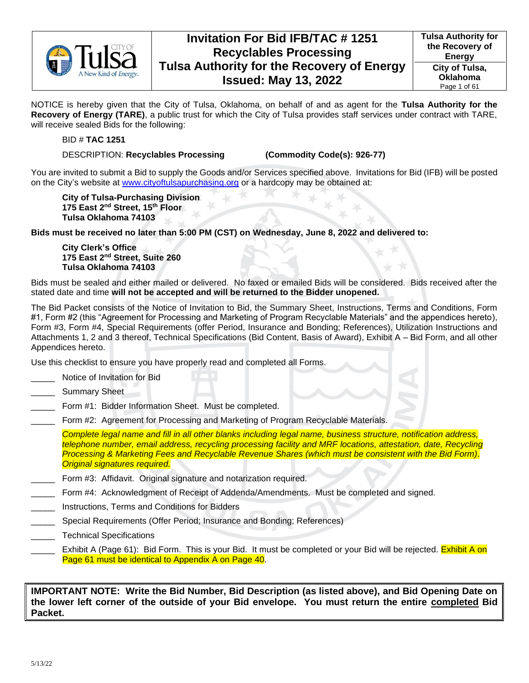

NOTICE is hereby given that the City of Tulsa, Oklahoma, on behalf of and as agent for the **Tulsa Authority for the Recovery of Energy (TARE)**, a public trust for which the City of Tulsa provides staff services under contract with TARE, will receive sealed Bids for the following:

#### BID # **TAC 1251**

#### DESCRIPTION: **Recyclables Processing (Commodity Code(s): 926-77)**

You are invited to submit a Bid to supply the Goods and/or Services specified above. Invitations for Bid (IFB) will be posted on the City's website at [www.cityoftulsapurchasing.org](http://www.cityoftulsapurchasing.org/) or a hardcopy may be obtained at:

**City of Tulsa-Purchasing Division 175 East 2nd Street, 15th Floor Tulsa Oklahoma 74103**

**Bids must be received no later than 5:00 PM (CST) on Wednesday, June 8, 2022 and delivered to:**

**City Clerk's Office 175 East 2nd Street, Suite 260 Tulsa Oklahoma 74103**

Bids must be sealed and either mailed or delivered. No faxed or emailed Bids will be considered. Bids received after the stated date and time **will not be accepted and will be returned to the Bidder unopened.** 

The Bid Packet consists of the Notice of Invitation to Bid, the Summary Sheet, Instructions, Terms and Conditions, Form #1, Form #2 (this "Agreement for Processing and Marketing of Program Recyclable Materials" and the appendices hereto), Form #3, Form #4, Special Requirements (offer Period, Insurance and Bonding; References), Utilization Instructions and Attachments 1, 2 and 3 thereof, Technical Specifications (Bid Content, Basis of Award), Exhibit A – Bid Form, and all other Appendices hereto.

Use this checklist to ensure you have properly read and completed all Forms.

- Notice of Invitation for Bid
- Summary Sheet
- Form #1: Bidder Information Sheet. Must be completed.
- Form #2: Agreement for Processing and Marketing of Program Recyclable Materials.

*Complete legal name and fill in all other blanks including legal name, business structure, notification address, telephone number, email address, recycling processing facility and MRF locations, attestation, date, Recycling Processing & Marketing Fees and Recyclable Revenue Shares (which must be consistent with the Bid Form). Original signatures required.*

- Form #3: Affidavit. Original signature and notarization required.
- \_\_\_\_\_ Form #4: Acknowledgment of Receipt of Addenda/Amendments. Must be completed and signed.
- \_\_\_\_\_ Instructions, Terms and Conditions for Bidders
- \_\_\_\_\_ Special Requirements (Offer Period; Insurance and Bonding; References)
- \_\_\_\_\_ Technical Specifications
- Exhibit A (Page 61): Bid Form. This is your Bid. It must be completed or your Bid will be rejected. Exhibit A on Page 61 must be identical to Appendix A on Page 40.

**IMPORTANT NOTE: Write the Bid Number, Bid Description (as listed above), and Bid Opening Date on the lower left corner of the outside of your Bid envelope. You must return the entire completed Bid Packet.**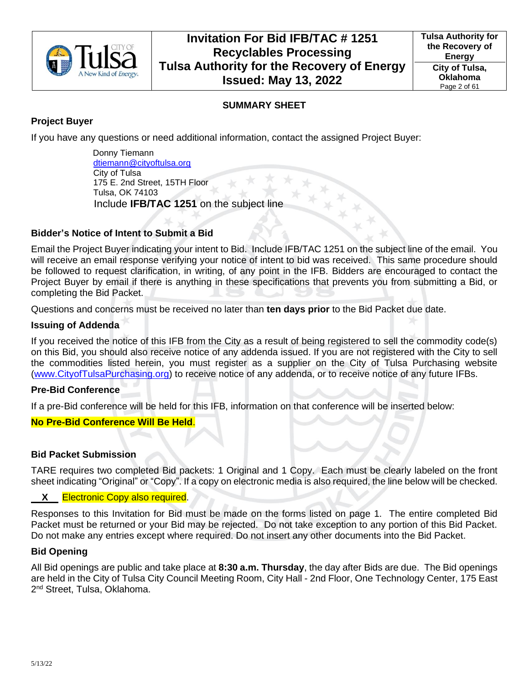

## **SUMMARY SHEET**

## **Project Buyer**

If you have any questions or need additional information, contact the assigned Project Buyer:

 Donny Tiemann [dtiemann@cityoftulsa.org](mailto:dtiemann@cityoftulsa.org) City of Tulsa 175 E. 2nd Street, 15TH Floor Tulsa, OK 74103 Include **IFB/TAC 1251** on the subject line

## **Bidder's Notice of Intent to Submit a Bid**

Email the Project Buyer indicating your intent to Bid. Include IFB/TAC 1251 on the subject line of the email. You will receive an email response verifying your notice of intent to bid was received. This same procedure should be followed to request clarification, in writing, of any point in the IFB. Bidders are encouraged to contact the Project Buyer by email if there is anything in these specifications that prevents you from submitting a Bid, or completing the Bid Packet.

Questions and concerns must be received no later than **ten days prior** to the Bid Packet due date.

### **Issuing of Addenda**

If you received the notice of this IFB from the City as a result of being registered to sell the commodity code(s) on this Bid, you should also receive notice of any addenda issued. If you are not registered with the City to sell the commodities listed herein, you must register as a supplier on the City of Tulsa Purchasing website [\(www.CityofTulsaPurchasing.org\)](http://www.cityoftulsapurchasing.org/) to receive notice of any addenda, or to receive notice of any future IFBs.

### **Pre-Bid Conference**

If a pre-Bid conference will be held for this IFB, information on that conference will be inserted below:

### **No Pre-Bid Conference Will Be Held**.

### **Bid Packet Submission**

TARE requires two completed Bid packets: 1 Original and 1 Copy. Each must be clearly labeled on the front sheet indicating "Original" or "Copy". If a copy on electronic media is also required, the line below will be checked.

### **X** Electronic Copy also required.

Responses to this Invitation for Bid must be made on the forms listed on page 1. The entire completed Bid Packet must be returned or your Bid may be rejected. Do not take exception to any portion of this Bid Packet. Do not make any entries except where required. Do not insert any other documents into the Bid Packet.

#### **Bid Opening**

All Bid openings are public and take place at **8:30 a.m. Thursday**, the day after Bids are due. The Bid openings are held in the City of Tulsa City Council Meeting Room, City Hall - 2nd Floor, One Technology Center, 175 East 2<sup>nd</sup> Street, Tulsa, Oklahoma.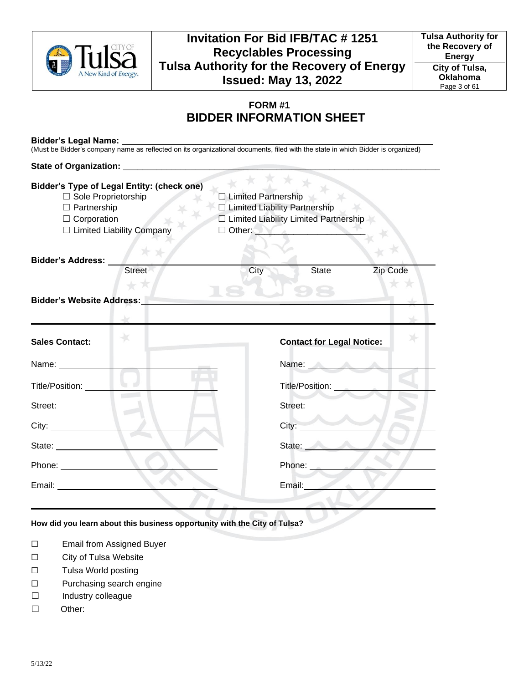

## **FORM #1 BIDDER INFORMATION SHEET**

#### **Bidder's Legal Name: \_\_\_\_\_\_**

(Mus**t** be Bidder's company name as reflected on its organizational documents, filed with the state in which Bidder is organized)

# **State of Organization: \_\_\_\_\_\_\_\_\_\_\_\_\_\_\_\_\_\_\_\_\_\_\_\_\_\_\_\_\_\_\_\_\_\_\_\_\_\_\_\_\_\_\_\_\_\_\_\_\_\_\_\_\_\_\_\_\_\_\_\_\_\_\_\_\_\_**

| <b>Bidder's Type of Legal Entity: (check one)</b><br>□ Limited Partnership<br>$\Box$ Sole Proprietorship<br>□ Limited Liability Partnership<br>$\Box$ Partnership<br>□ Limited Liability Limited Partnership<br>$\Box$ Corporation<br>□ Limited Liability Company |        |      |                                  |          |
|-------------------------------------------------------------------------------------------------------------------------------------------------------------------------------------------------------------------------------------------------------------------|--------|------|----------------------------------|----------|
| Bidder's Address:                                                                                                                                                                                                                                                 |        |      |                                  |          |
|                                                                                                                                                                                                                                                                   | Street | City | State                            | Zip Code |
| <b>Bidder's Website Address:</b>                                                                                                                                                                                                                                  |        |      |                                  |          |
|                                                                                                                                                                                                                                                                   |        |      |                                  |          |
|                                                                                                                                                                                                                                                                   |        |      |                                  |          |
| <b>Sales Contact:</b>                                                                                                                                                                                                                                             |        |      | <b>Contact for Legal Notice:</b> |          |
| Name: Name                                                                                                                                                                                                                                                        |        |      | Name: Name:                      |          |
| Title/Position:                                                                                                                                                                                                                                                   |        |      | Title/Position: __________       |          |
| Street:                                                                                                                                                                                                                                                           |        |      | Street: New York Street:         |          |
|                                                                                                                                                                                                                                                                   |        |      | City:                            |          |
| State: _______________                                                                                                                                                                                                                                            |        |      | State:                           |          |
| Phone: _________________                                                                                                                                                                                                                                          |        |      | Phone: 2008                      |          |
| Email: Email: Albert March 2007                                                                                                                                                                                                                                   | N.     |      | Email:                           |          |
|                                                                                                                                                                                                                                                                   |        |      |                                  |          |

#### **How did you learn about this business opportunity with the City of Tulsa?**

- ☐ Email from Assigned Buyer
- ☐ City of Tulsa Website
- ☐ Tulsa World posting
- ☐ Purchasing search engine
- ☐ Industry colleague
- ☐ Other: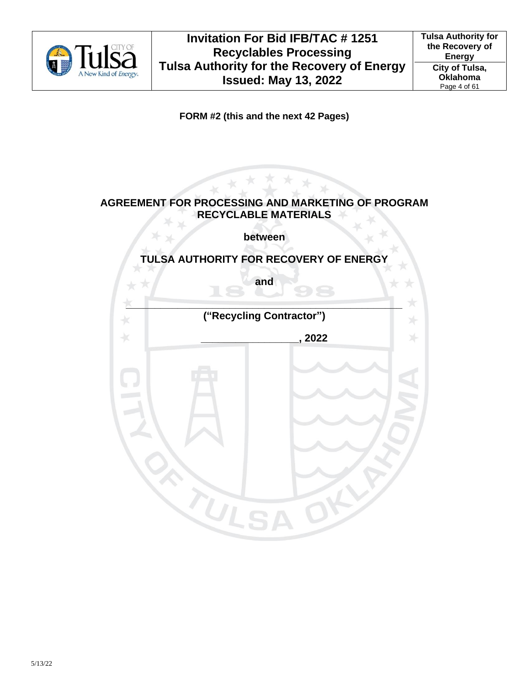

**FORM #2 (this and the next 42 Pages)**

## **AGREEMENT FOR PROCESSING AND MARKETING OF PROGRAM RECYCLABLE MATERIALS**

**between**

## **TULSA AUTHORITY FOR RECOVERY OF ENERGY**

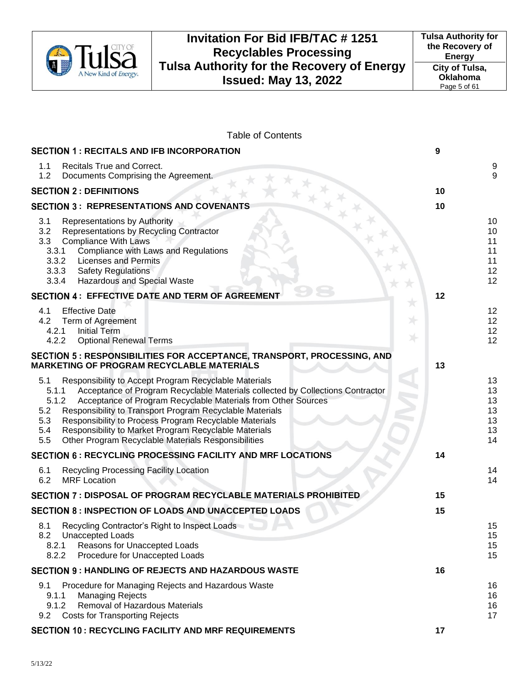

#### Table of Contents

| <b>SECTION 1: RECITALS AND IFB INCORPORATION</b>                                                                                                                                                                                                                                                                                                                                                                                                                                                    | 9                                      |
|-----------------------------------------------------------------------------------------------------------------------------------------------------------------------------------------------------------------------------------------------------------------------------------------------------------------------------------------------------------------------------------------------------------------------------------------------------------------------------------------------------|----------------------------------------|
| Recitals True and Correct.<br>1.1<br>1.2<br>Documents Comprising the Agreement.                                                                                                                                                                                                                                                                                                                                                                                                                     | $\begin{array}{c} 9 \\ 9 \end{array}$  |
| <b>SECTION 2 : DEFINITIONS</b>                                                                                                                                                                                                                                                                                                                                                                                                                                                                      | 10                                     |
| <b>SECTION 3: REPRESENTATIONS AND COVENANTS</b>                                                                                                                                                                                                                                                                                                                                                                                                                                                     | 10                                     |
| 3.1<br>Representations by Authority<br>3.2<br>Representations by Recycling Contractor<br>3.3<br><b>Compliance With Laws</b><br>Compliance with Laws and Regulations<br>3.3.1<br>3.3.2<br><b>Licenses and Permits</b><br>3.3.3 Safety Regulations<br><b>Hazardous and Special Waste</b><br>3.3.4                                                                                                                                                                                                     | 10<br>10<br>11<br>11<br>11<br>12<br>12 |
| SECTION 4 : EFFECTIVE DATE AND TERM OF AGREEMENT                                                                                                                                                                                                                                                                                                                                                                                                                                                    | 12                                     |
| <b>Effective Date</b><br>4.1<br>Term of Agreement<br>4.2<br><b>Initial Term</b><br>4.2.1<br>4.2.2<br><b>Optional Renewal Terms</b>                                                                                                                                                                                                                                                                                                                                                                  | 12<br>12<br>12<br>12                   |
| SECTION 5 : RESPONSIBILITIES FOR ACCEPTANCE, TRANSPORT, PROCESSING, AND<br><b>MARKETING OF PROGRAM RECYCLABLE MATERIALS</b>                                                                                                                                                                                                                                                                                                                                                                         | 13                                     |
| Responsibility to Accept Program Recyclable Materials<br>5.1<br>Acceptance of Program Recyclable Materials collected by Collections Contractor<br>5.1.1<br>5.1.2<br>Acceptance of Program Recyclable Materials from Other Sources<br>5.2<br>Responsibility to Transport Program Recyclable Materials<br>Responsibility to Process Program Recyclable Materials<br>5.3<br>Responsibility to Market Program Recyclable Materials<br>5.4<br>Other Program Recyclable Materials Responsibilities<br>5.5 | 13<br>13<br>13<br>13<br>13<br>13<br>14 |
| <b>SECTION 6: RECYCLING PROCESSING FACILITY AND MRF LOCATIONS</b>                                                                                                                                                                                                                                                                                                                                                                                                                                   | 14                                     |
| Recycling Processing Facility Location<br>6.1<br>6.2<br><b>MRF</b> Location                                                                                                                                                                                                                                                                                                                                                                                                                         | 14<br>14                               |
| <b>SECTION 7 : DISPOSAL OF PROGRAM RECYCLABLE MATERIALS PROHIBITED</b>                                                                                                                                                                                                                                                                                                                                                                                                                              | 15                                     |
| <b>SECTION 8 : INSPECTION OF LOADS AND UNACCEPTED LOADS</b>                                                                                                                                                                                                                                                                                                                                                                                                                                         | 15                                     |
| Recycling Contractor's Right to Inspect Loads<br>8.1<br>Unaccepted Loads<br>8.2<br>8.2.1<br>Reasons for Unaccepted Loads<br>8.2.2<br>Procedure for Unaccepted Loads                                                                                                                                                                                                                                                                                                                                 | 15<br>15<br>15<br>15                   |
| <b>SECTION 9: HANDLING OF REJECTS AND HAZARDOUS WASTE</b>                                                                                                                                                                                                                                                                                                                                                                                                                                           | 16                                     |
| 9.1<br>Procedure for Managing Rejects and Hazardous Waste<br>9.1.1<br><b>Managing Rejects</b><br>Removal of Hazardous Materials<br>9.1.2<br><b>Costs for Transporting Rejects</b><br>9.2                                                                                                                                                                                                                                                                                                            | 16<br>16<br>16<br>17                   |
| <b>SECTION 10 : RECYCLING FACILITY AND MRF REQUIREMENTS</b>                                                                                                                                                                                                                                                                                                                                                                                                                                         | 17                                     |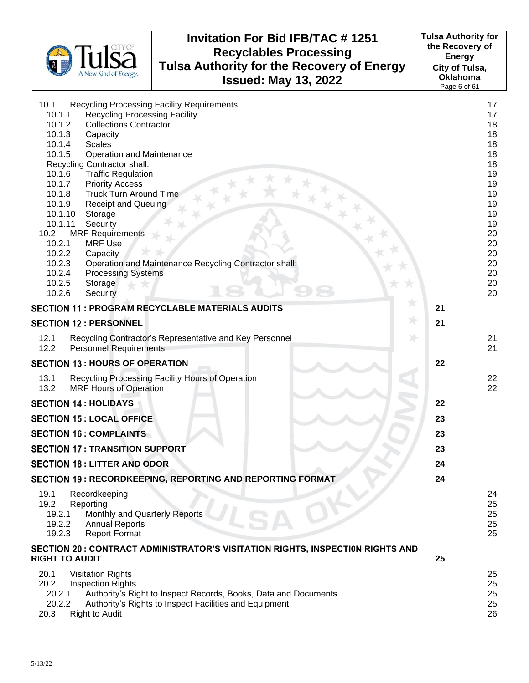|                                                                             | <b>Invitation For Bid IFB/TAC # 1251</b><br><b>Recyclables Processing</b>        | <b>Tulsa Authority for</b><br>the Recovery of<br><b>Energy</b> |          |
|-----------------------------------------------------------------------------|----------------------------------------------------------------------------------|----------------------------------------------------------------|----------|
| A New Kind of Energy                                                        | <b>Tulsa Authority for the Recovery of Energy</b><br><b>Issued: May 13, 2022</b> | City of Tulsa,<br><b>Oklahoma</b><br>Page 6 of 61              |          |
| 10.1                                                                        | <b>Recycling Processing Facility Requirements</b>                                |                                                                | 17       |
| 10.1.1<br><b>Recycling Processing Facility</b>                              |                                                                                  |                                                                | 17       |
| 10.1.2<br><b>Collections Contractor</b>                                     |                                                                                  |                                                                | 18       |
| 10.1.3<br>Capacity<br>10.1.4<br><b>Scales</b>                               |                                                                                  |                                                                | 18<br>18 |
| 10.1.5<br><b>Operation and Maintenance</b>                                  |                                                                                  |                                                                | 18       |
| Recycling Contractor shall:                                                 |                                                                                  |                                                                | 18       |
| 10.1.6<br><b>Traffic Regulation</b>                                         |                                                                                  |                                                                | 19       |
| 10.1.7<br><b>Priority Access</b><br><b>Truck Turn Around Time</b><br>10.1.8 |                                                                                  |                                                                | 19<br>19 |
| 10.1.9<br><b>Receipt and Queuing</b>                                        |                                                                                  |                                                                | 19       |
| 10.1.10<br>Storage                                                          |                                                                                  |                                                                | 19       |
| 10.1.11<br>Security                                                         |                                                                                  |                                                                | 19       |
| <b>MRF Requirements</b><br>10.2<br>10.2.1<br><b>MRF Use</b>                 |                                                                                  |                                                                | 20       |
| 10.2.2<br>Capacity                                                          |                                                                                  |                                                                | 20<br>20 |
| 10.2.3                                                                      | Operation and Maintenance Recycling Contractor shall:                            |                                                                | 20       |
| 10.2.4<br><b>Processing Systems</b>                                         |                                                                                  |                                                                | 20       |
| 10.2.5<br>Storage                                                           |                                                                                  |                                                                | 20       |
| 10.2.6<br>Security                                                          |                                                                                  |                                                                | 20       |
|                                                                             | <b>SECTION 11 : PROGRAM RECYCLABLE MATERIALS AUDITS</b>                          | 21                                                             |          |
| <b>SECTION 12 : PERSONNEL</b>                                               |                                                                                  | 21                                                             |          |
| 12.1<br>12.2<br><b>Personnel Requirements</b>                               | Recycling Contractor's Representative and Key Personnel                          |                                                                | 21<br>21 |
| <b>SECTION 13: HOURS OF OPERATION</b>                                       |                                                                                  | 22                                                             |          |
| 13.1<br>13.2<br><b>MRF Hours of Operation</b>                               | Recycling Processing Facility Hours of Operation                                 |                                                                | 22<br>22 |
| <b>SECTION 14 : HOLIDAYS</b>                                                |                                                                                  | 22                                                             |          |
| <b>SECTION 15: LOCAL OFFICE</b>                                             |                                                                                  | 23                                                             |          |
| <b>SECTION 16 : COMPLAINTS</b>                                              |                                                                                  | 23                                                             |          |
| <b>SECTION 17: TRANSITION SUPPORT</b>                                       |                                                                                  | 23                                                             |          |
| <b>SECTION 18 : LITTER AND ODOR</b>                                         |                                                                                  | 24                                                             |          |
|                                                                             | SECTION 19: RECORDKEEPING, REPORTING AND REPORTING FORMAT                        | 24                                                             |          |
| 19.1<br>Recordkeeping                                                       |                                                                                  |                                                                | 24       |
| 19.2<br>Reporting<br>Monthly and Quarterly Reports<br>19.2.1                |                                                                                  |                                                                | 25<br>25 |
| 19.2.2<br><b>Annual Reports</b>                                             |                                                                                  |                                                                | 25       |
| 19.2.3<br><b>Report Format</b>                                              |                                                                                  |                                                                | 25       |
| <b>RIGHT TO AUDIT</b>                                                       | SECTION 20 : CONTRACT ADMINISTRATOR'S VISITATION RIGHTS, INSPECTION RIGHTS AND   | 25                                                             |          |
|                                                                             |                                                                                  |                                                                |          |
| 20.1<br><b>Visitation Rights</b><br>20.2<br><b>Inspection Rights</b>        |                                                                                  |                                                                | 25<br>25 |
| 20.2.1                                                                      | Authority's Right to Inspect Records, Books, Data and Documents                  |                                                                | 25       |
| 20.2.2                                                                      | Authority's Rights to Inspect Facilities and Equipment                           |                                                                | 25       |
| 20.3<br><b>Right to Audit</b>                                               |                                                                                  |                                                                | 26       |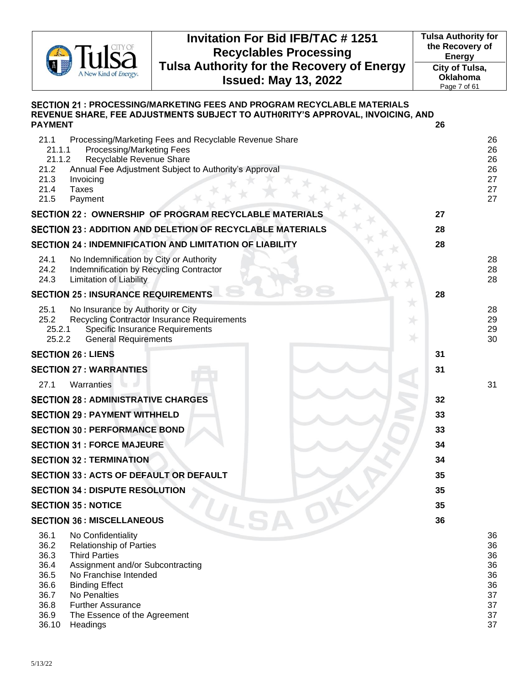

**Tulsa Authority for the Recovery of Energy City of Tulsa, Oklahoma** Page 7 of 61

| SECTION 21 : PROCESSING/MARKETING FEES AND PROGRAM RECYCLABLE MATERIALS<br>REVENUE SHARE, FEE ADJUSTMENTS SUBJECT TO AUTH0RITY'S APPROVAL, INVOICING, AND                                                                                                                                                                                   |                                                          |
|---------------------------------------------------------------------------------------------------------------------------------------------------------------------------------------------------------------------------------------------------------------------------------------------------------------------------------------------|----------------------------------------------------------|
| <b>PAYMENT</b>                                                                                                                                                                                                                                                                                                                              | 26                                                       |
| 21.1<br>Processing/Marketing Fees and Recyclable Revenue Share<br>21.1.1<br>Processing/Marketing Fees<br>21.1.2<br>Recyclable Revenue Share<br>21.2<br>Annual Fee Adjustment Subject to Authority's Approval<br>21.3<br>Invoicing<br>21.4<br><b>Taxes</b><br>21.5<br>Payment                                                                | 26<br>26<br>26<br>26<br>27<br>27<br>27                   |
| <b>SECTION 22: OWNERSHIP OF PROGRAM RECYCLABLE MATERIALS</b>                                                                                                                                                                                                                                                                                | 27                                                       |
| <b>SECTION 23 : ADDITION AND DELETION OF RECYCLABLE MATERIALS</b>                                                                                                                                                                                                                                                                           | 28                                                       |
| <b>SECTION 24 : INDEMNIFICATION AND LIMITATION OF LIABILITY</b>                                                                                                                                                                                                                                                                             | 28                                                       |
| 24.1<br>No Indemnification by City or Authority<br>24.2<br>Indemnification by Recycling Contractor<br>24.3<br><b>Limitation of Liability</b>                                                                                                                                                                                                | 28<br>28<br>28                                           |
| <b>SECTION 25 : INSURANCE REQUIREMENTS</b>                                                                                                                                                                                                                                                                                                  | 28                                                       |
| 25.1<br>No Insurance by Authority or City<br>25.2<br>Recycling Contractor Insurance Requirements<br>25.2.1<br><b>Specific Insurance Requirements</b><br>25.2.2<br><b>General Requirements</b>                                                                                                                                               | 28<br>29<br>29<br>30                                     |
| <b>SECTION 26 : LIENS</b>                                                                                                                                                                                                                                                                                                                   | 31                                                       |
| <b>SECTION 27 : WARRANTIES</b>                                                                                                                                                                                                                                                                                                              | 31                                                       |
| 27.1<br>Warranties                                                                                                                                                                                                                                                                                                                          | 31                                                       |
| <b>SECTION 28 : ADMINISTRATIVE CHARGES</b>                                                                                                                                                                                                                                                                                                  | 32                                                       |
| <b>SECTION 29 : PAYMENT WITHHELD</b>                                                                                                                                                                                                                                                                                                        | 33                                                       |
| <b>SECTION 30 : PERFORMANCE BOND</b>                                                                                                                                                                                                                                                                                                        | 33                                                       |
| <b>SECTION 31 : FORCE MAJEURE</b>                                                                                                                                                                                                                                                                                                           | 34                                                       |
| <b>SECTION 32 : TERMINATION</b>                                                                                                                                                                                                                                                                                                             | 34                                                       |
| <b>SECTION 33: ACTS OF DEFAULT OR DEFAULT</b>                                                                                                                                                                                                                                                                                               | 35                                                       |
| <b>SECTION 34 : DISPUTE RESOLUTION</b>                                                                                                                                                                                                                                                                                                      | 35                                                       |
| <b>SECTION 35: NOTICE</b>                                                                                                                                                                                                                                                                                                                   | 35                                                       |
| ULS<br><b>SECTION 36 : MISCELLANEOUS</b>                                                                                                                                                                                                                                                                                                    | 36                                                       |
| 36.1<br>No Confidentiality<br>36.2<br><b>Relationship of Parties</b><br>36.3<br><b>Third Parties</b><br>36.4<br>Assignment and/or Subcontracting<br>36.5<br>No Franchise Intended<br>36.6<br><b>Binding Effect</b><br>36.7<br>No Penalties<br>36.8<br><b>Further Assurance</b><br>36.9<br>The Essence of the Agreement<br>36.10<br>Headings | 36<br>36<br>36<br>36<br>36<br>36<br>37<br>37<br>37<br>37 |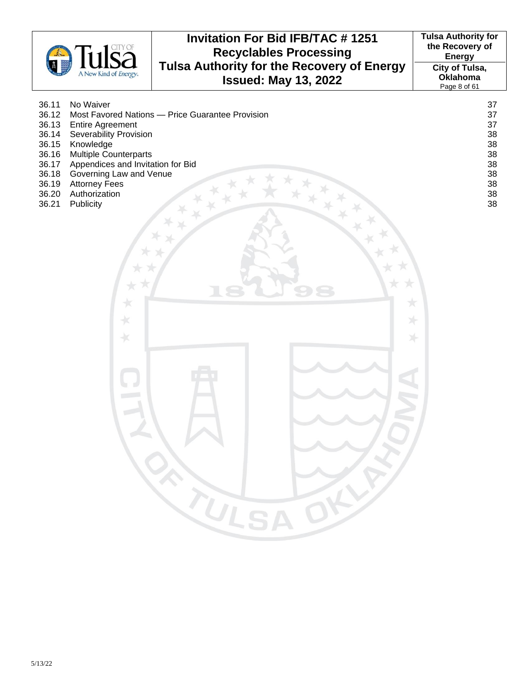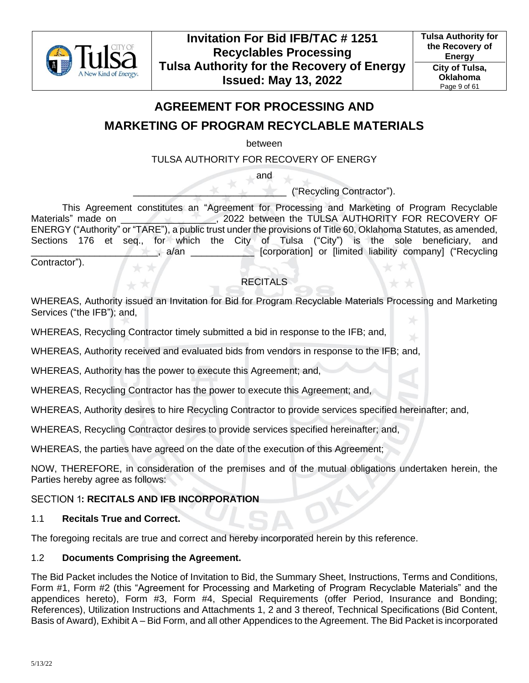

## **AGREEMENT FOR PROCESSING AND**

## **MARKETING OF PROGRAM RECYCLABLE MATERIALS**

between

TULSA AUTHORITY FOR RECOVERY OF ENERGY

and

\_\_\_\_\_\_\_\_\_\_\_\_\_\_\_\_\_\_\_\_\_\_\_\_\_\_\_\_\_ ("Recycling Contractor").

This Agreement constitutes an "Agreement for Processing and Marketing of Program Recyclable Materials" made on  $\overline{a}$ , 2022 between the TULSA AUTHORITY FOR RECOVERY OF ENERGY ("Authority" or "TARE"), a public trust under the provisions of Title 60, Oklahoma Statutes, as amended, Sections 176 et seq., for which the City of Tulsa ("City") is the sole beneficiary, and \_\_\_\_\_\_\_\_\_\_\_\_\_\_\_\_\_\_\_\_\_\_\_\_, a/an \_\_\_\_\_\_\_\_\_\_\_\_ [corporation] or [limited liability company] ("Recycling Contractor").

RECITALS

WHEREAS, Authority issued an Invitation for Bid for Program Recyclable Materials Processing and Marketing Services ("the IFB"); and,

WHEREAS, Recycling Contractor timely submitted a bid in response to the IFB; and,

WHEREAS, Authority received and evaluated bids from vendors in response to the IFB; and,

WHEREAS, Authority has the power to execute this Agreement; and,

WHEREAS, Recycling Contractor has the power to execute this Agreement; and,

WHEREAS, Authority desires to hire Recycling Contractor to provide services specified hereinafter; and,

WHEREAS, Recycling Contractor desires to provide services specified hereinafter; and,

WHEREAS, the parties have agreed on the date of the execution of this Agreement;

NOW, THEREFORE, in consideration of the premises and of the mutual obligations undertaken herein, the Parties hereby agree as follows:

## <span id="page-8-0"></span>**SECTION 1: RECITALS AND IFB INCORPORATION**

### <span id="page-8-1"></span>1.1 **Recitals True and Correct.**

The foregoing recitals are true and correct and hereby incorporated herein by this reference.

## <span id="page-8-2"></span>1.2 **Documents Comprising the Agreement.**

The Bid Packet includes the Notice of Invitation to Bid, the Summary Sheet, Instructions, Terms and Conditions, Form #1, Form #2 (this "Agreement for Processing and Marketing of Program Recyclable Materials" and the appendices hereto), Form #3, Form #4, Special Requirements (offer Period, Insurance and Bonding; References), Utilization Instructions and Attachments 1, 2 and 3 thereof, Technical Specifications (Bid Content, Basis of Award), Exhibit A – Bid Form, and all other Appendices to the Agreement. The Bid Packet is incorporated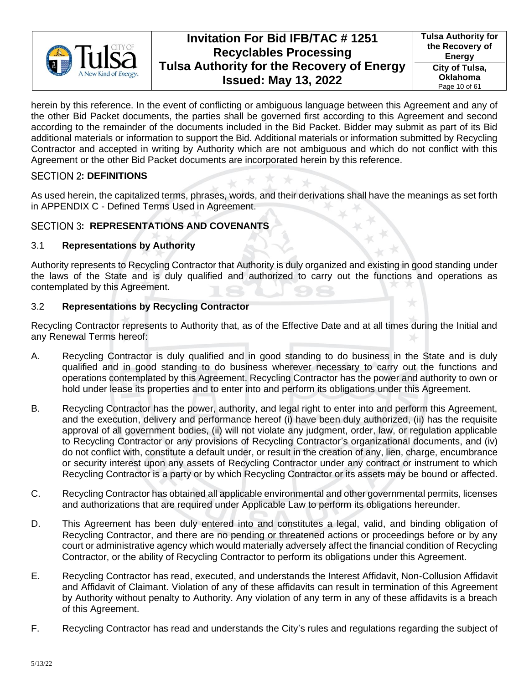

herein by this reference. In the event of conflicting or ambiguous language between this Agreement and any of the other Bid Packet documents, the parties shall be governed first according to this Agreement and second according to the remainder of the documents included in the Bid Packet. Bidder may submit as part of its Bid additional materials or information to support the Bid. Additional materials or information submitted by Recycling Contractor and accepted in writing by Authority which are not ambiguous and which do not conflict with this Agreement or the other Bid Packet documents are incorporated herein by this reference.

## <span id="page-9-0"></span>**SECTION 2: DEFINITIONS**

As used herein, the capitalized terms, phrases, words, and their derivations shall have the meanings as set forth in APPENDIX C - Defined Terms Used in Agreement.

## <span id="page-9-1"></span>**SECTION 3: REPRESENTATIONS AND COVENANTS**

## <span id="page-9-2"></span>3.1 **Representations by Authority**

Authority represents to Recycling Contractor that Authority is duly organized and existing in good standing under the laws of the State and is duly qualified and authorized to carry out the functions and operations as contemplated by this Agreement.

## <span id="page-9-3"></span>3.2 **Representations by Recycling Contractor**

Recycling Contractor represents to Authority that, as of the Effective Date and at all times during the Initial and any Renewal Terms hereof:

- A. Recycling Contractor is duly qualified and in good standing to do business in the State and is duly qualified and in good standing to do business wherever necessary to carry out the functions and operations contemplated by this Agreement. Recycling Contractor has the power and authority to own or hold under lease its properties and to enter into and perform its obligations under this Agreement.
- B. Recycling Contractor has the power, authority, and legal right to enter into and perform this Agreement, and the execution, delivery and performance hereof (i) have been duly authorized, (ii) has the requisite approval of all government bodies, (ii) will not violate any judgment, order, law, or regulation applicable to Recycling Contractor or any provisions of Recycling Contractor's organizational documents, and (iv) do not conflict with, constitute a default under, or result in the creation of any, lien, charge, encumbrance or security interest upon any assets of Recycling Contractor under any contract or instrument to which Recycling Contractor is a party or by which Recycling Contractor or its assets may be bound or affected.
- C. Recycling Contractor has obtained all applicable environmental and other governmental permits, licenses and authorizations that are required under Applicable Law to perform its obligations hereunder.
- D. This Agreement has been duly entered into and constitutes a legal, valid, and binding obligation of Recycling Contractor, and there are no pending or threatened actions or proceedings before or by any court or administrative agency which would materially adversely affect the financial condition of Recycling Contractor, or the ability of Recycling Contractor to perform its obligations under this Agreement.
- E. Recycling Contractor has read, executed, and understands the Interest Affidavit, Non-Collusion Affidavit and Affidavit of Claimant. Violation of any of these affidavits can result in termination of this Agreement by Authority without penalty to Authority. Any violation of any term in any of these affidavits is a breach of this Agreement.
- F. Recycling Contractor has read and understands the City's rules and regulations regarding the subject of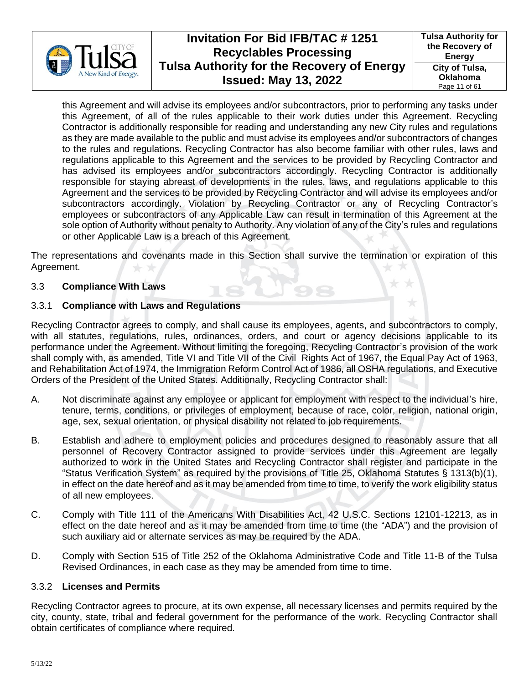

this Agreement and will advise its employees and/or subcontractors, prior to performing any tasks under this Agreement, of all of the rules applicable to their work duties under this Agreement. Recycling Contractor is additionally responsible for reading and understanding any new City rules and regulations as they are made available to the public and must advise its employees and/or subcontractors of changes to the rules and regulations. Recycling Contractor has also become familiar with other rules, laws and regulations applicable to this Agreement and the services to be provided by Recycling Contractor and has advised its employees and/or subcontractors accordingly. Recycling Contractor is additionally responsible for staying abreast of developments in the rules, laws, and regulations applicable to this Agreement and the services to be provided by Recycling Contractor and will advise its employees and/or subcontractors accordingly. Violation by Recycling Contractor or any of Recycling Contractor's employees or subcontractors of any Applicable Law can result in termination of this Agreement at the sole option of Authority without penalty to Authority. Any violation of any of the City's rules and regulations or other Applicable Law is a breach of this Agreement.

The representations and covenants made in this Section shall survive the termination or expiration of this Agreement.

### <span id="page-10-0"></span>3.3 **Compliance With Laws**

### <span id="page-10-1"></span>3.3.1 **Compliance with Laws and Regulations**

Recycling Contractor agrees to comply, and shall cause its employees, agents, and subcontractors to comply, with all statutes, regulations, rules, ordinances, orders, and court or agency decisions applicable to its performance under the Agreement. Without limiting the foregoing, Recycling Contractor's provision of the work shall comply with, as amended, Title VI and Title VII of the Civil Rights Act of 1967, the Equal Pay Act of 1963, and Rehabilitation Act of 1974, the Immigration Reform Control Act of 1986, all OSHA regulations, and Executive Orders of the President of the United States. Additionally, Recycling Contractor shall:

- A. Not discriminate against any employee or applicant for employment with respect to the individual's hire, tenure, terms, conditions, or privileges of employment, because of race, color, religion, national origin, age, sex, sexual orientation, or physical disability not related to job requirements.
- B. Establish and adhere to employment policies and procedures designed to reasonably assure that all personnel of Recovery Contractor assigned to provide services under this Agreement are legally authorized to work in the United States and Recycling Contractor shall register and participate in the "Status Verification System" as required by the provisions of Title 25, Oklahoma Statutes § 1313(b)(1), in effect on the date hereof and as it may be amended from time to time, to verify the work eligibility status of all new employees.
- C. Comply with Title 111 of the Americans With Disabilities Act, 42 U.S.C. Sections 12101-12213, as in effect on the date hereof and as it may be amended from time to time (the "ADA") and the provision of such auxiliary aid or alternate services as may be required by the ADA.
- D. Comply with Section 515 of Title 252 of the Oklahoma Administrative Code and Title 11-B of the Tulsa Revised Ordinances, in each case as they may be amended from time to time.

### <span id="page-10-2"></span>3.3.2 **Licenses and Permits**

Recycling Contractor agrees to procure, at its own expense, all necessary licenses and permits required by the city, county, state, tribal and federal government for the performance of the work. Recycling Contractor shall obtain certificates of compliance where required.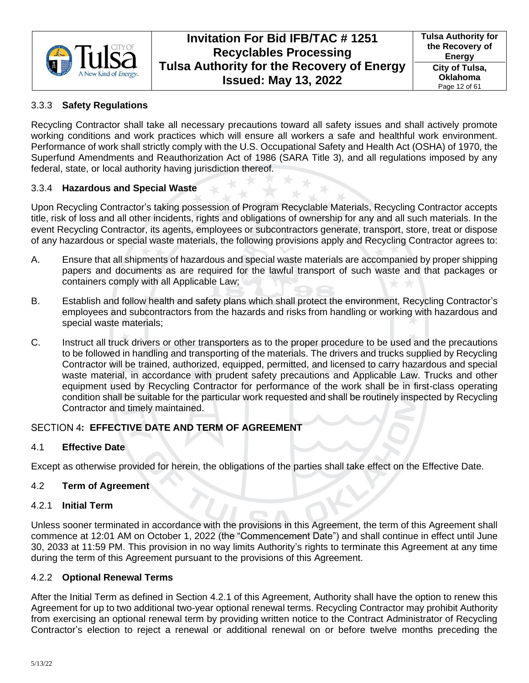

## <span id="page-11-0"></span>3.3.3 **Safety Regulations**

Recycling Contractor shall take all necessary precautions toward all safety issues and shall actively promote working conditions and work practices which will ensure all workers a safe and healthful work environment. Performance of work shall strictly comply with the U.S. Occupational Safety and Health Act (OSHA) of 1970, the Superfund Amendments and Reauthorization Act of 1986 (SARA Title 3), and all regulations imposed by any federal, state, or local authority having jurisdiction thereof.

## <span id="page-11-1"></span>3.3.4 **Hazardous and Special Waste**

Upon Recycling Contractor's taking possession of Program Recyclable Materials, Recycling Contractor accepts title, risk of loss and all other incidents, rights and obligations of ownership for any and all such materials. In the event Recycling Contractor, its agents, employees or subcontractors generate, transport, store, treat or dispose of any hazardous or special waste materials, the following provisions apply and Recycling Contractor agrees to:

- A. Ensure that all shipments of hazardous and special waste materials are accompanied by proper shipping papers and documents as are required for the lawful transport of such waste and that packages or containers comply with all Applicable Law;
- B. Establish and follow health and safety plans which shall protect the environment, Recycling Contractor's employees and subcontractors from the hazards and risks from handling or working with hazardous and special waste materials;
- C. Instruct all truck drivers or other transporters as to the proper procedure to be used and the precautions to be followed in handling and transporting of the materials. The drivers and trucks supplied by Recycling Contractor will be trained, authorized, equipped, permitted, and licensed to carry hazardous and special waste material, in accordance with prudent safety precautions and Applicable Law. Trucks and other equipment used by Recycling Contractor for performance of the work shall be in first-class operating condition shall be suitable for the particular work requested and shall be routinely inspected by Recycling Contractor and timely maintained.

## <span id="page-11-2"></span>SECTION 4: EFFECTIVE DATE AND TERM OF AGREEMENT

### <span id="page-11-3"></span>4.1 **Effective Date**

Except as otherwise provided for herein, the obligations of the parties shall take effect on the Effective Date.

### <span id="page-11-4"></span>4.2 **Term of Agreement**

### <span id="page-11-5"></span>4.2.1 **Initial Term**

Unless sooner terminated in accordance with the provisions in this Agreement, the term of this Agreement shall commence at 12:01 AM on October 1, 2022 (the "Commencement Date") and shall continue in effect until June 30, 2033 at 11:59 PM. This provision in no way limits Authority's rights to terminate this Agreement at any time during the term of this Agreement pursuant to the provisions of this Agreement.

### <span id="page-11-6"></span>4.2.2 **Optional Renewal Terms**

After the Initial Term as defined in Section [4.2.1](#page-11-5) of this Agreement, Authority shall have the option to renew this Agreement for up to two additional two-year optional renewal terms. Recycling Contractor may prohibit Authority from exercising an optional renewal term by providing written notice to the Contract Administrator of Recycling Contractor's election to reject a renewal or additional renewal on or before twelve months preceding the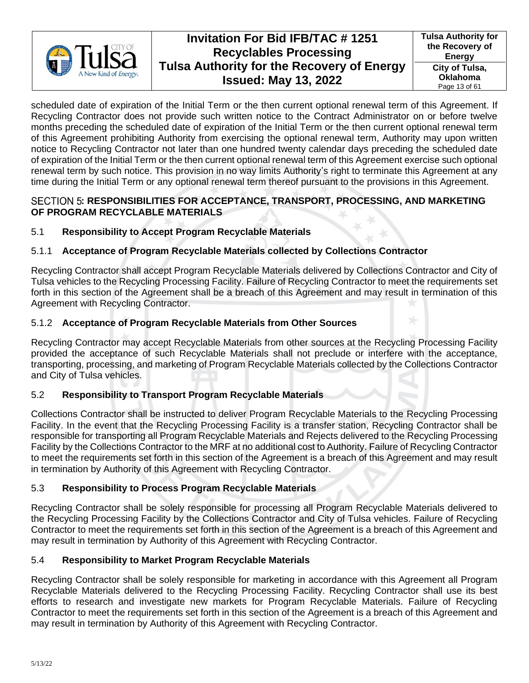

scheduled date of expiration of the Initial Term or the then current optional renewal term of this Agreement. If Recycling Contractor does not provide such written notice to the Contract Administrator on or before twelve months preceding the scheduled date of expiration of the Initial Term or the then current optional renewal term of this Agreement prohibiting Authority from exercising the optional renewal term, Authority may upon written notice to Recycling Contractor not later than one hundred twenty calendar days preceding the scheduled date of expiration of the Initial Term or the then current optional renewal term of this Agreement exercise such optional renewal term by such notice. This provision in no way limits Authority's right to terminate this Agreement at any time during the Initial Term or any optional renewal term thereof pursuant to the provisions in this Agreement.

## <span id="page-12-0"></span>SECTION 5: RESPONSIBILITIES FOR ACCEPTANCE, TRANSPORT, PROCESSING, AND MARKETING **OF PROGRAM RECYCLABLE MATERIALS**

## <span id="page-12-1"></span>5.1 **Responsibility to Accept Program Recyclable Materials**

## <span id="page-12-2"></span>5.1.1 **Acceptance of Program Recyclable Materials collected by Collections Contractor**

Recycling Contractor shall accept Program Recyclable Materials delivered by Collections Contractor and City of Tulsa vehicles to the Recycling Processing Facility. Failure of Recycling Contractor to meet the requirements set forth in this section of the Agreement shall be a breach of this Agreement and may result in termination of this Agreement with Recycling Contractor.

## <span id="page-12-3"></span>5.1.2 **Acceptance of Program Recyclable Materials from Other Sources**

Recycling Contractor may accept Recyclable Materials from other sources at the Recycling Processing Facility provided the acceptance of such Recyclable Materials shall not preclude or interfere with the acceptance, transporting, processing, and marketing of Program Recyclable Materials collected by the Collections Contractor and City of Tulsa vehicles.

## <span id="page-12-4"></span>5.2 **Responsibility to Transport Program Recyclable Materials**

Collections Contractor shall be instructed to deliver Program Recyclable Materials to the Recycling Processing Facility. In the event that the Recycling Processing Facility is a transfer station, Recycling Contractor shall be responsible for transporting all Program Recyclable Materials and Rejects delivered to the Recycling Processing Facility by the Collections Contractor to the MRF at no additional cost to Authority. Failure of Recycling Contractor to meet the requirements set forth in this section of the Agreement is a breach of this Agreement and may result in termination by Authority of this Agreement with Recycling Contractor.

## <span id="page-12-5"></span>5.3 **Responsibility to Process Program Recyclable Materials**

Recycling Contractor shall be solely responsible for processing all Program Recyclable Materials delivered to the Recycling Processing Facility by the Collections Contractor and City of Tulsa vehicles. Failure of Recycling Contractor to meet the requirements set forth in this section of the Agreement is a breach of this Agreement and may result in termination by Authority of this Agreement with Recycling Contractor.

## <span id="page-12-6"></span>5.4 **Responsibility to Market Program Recyclable Materials**

Recycling Contractor shall be solely responsible for marketing in accordance with this Agreement all Program Recyclable Materials delivered to the Recycling Processing Facility. Recycling Contractor shall use its best efforts to research and investigate new markets for Program Recyclable Materials. Failure of Recycling Contractor to meet the requirements set forth in this section of the Agreement is a breach of this Agreement and may result in termination by Authority of this Agreement with Recycling Contractor.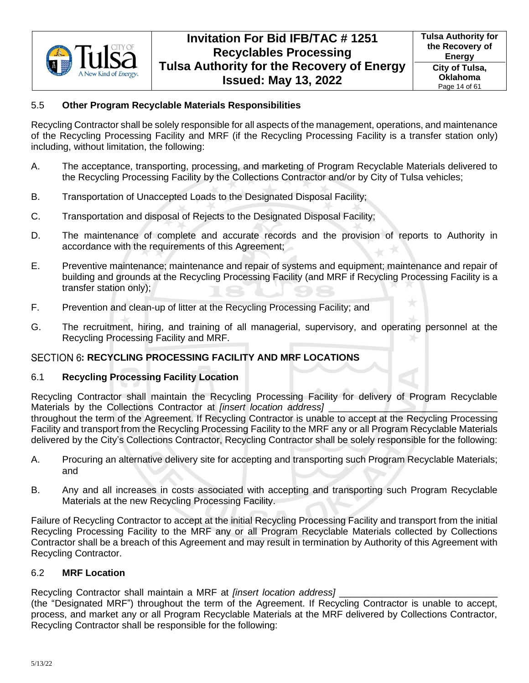

## <span id="page-13-0"></span>5.5 **Other Program Recyclable Materials Responsibilities**

Recycling Contractor shall be solely responsible for all aspects of the management, operations, and maintenance of the Recycling Processing Facility and MRF (if the Recycling Processing Facility is a transfer station only) including, without limitation, the following:

- A. The acceptance, transporting, processing, and marketing of Program Recyclable Materials delivered to the Recycling Processing Facility by the Collections Contractor and/or by City of Tulsa vehicles;
- B. Transportation of Unaccepted Loads to the Designated Disposal Facility;
- C. Transportation and disposal of Rejects to the Designated Disposal Facility;
- D. The maintenance of complete and accurate records and the provision of reports to Authority in accordance with the requirements of this Agreement;
- E. Preventive maintenance; maintenance and repair of systems and equipment; maintenance and repair of building and grounds at the Recycling Processing Facility (and MRF if Recycling Processing Facility is a transfer station only);
- F. Prevention and clean-up of litter at the Recycling Processing Facility; and
- G. The recruitment, hiring, and training of all managerial, supervisory, and operating personnel at the Recycling Processing Facility and MRF.

## <span id="page-13-1"></span>SECTION 6: RECYCLING PROCESSING FACILITY AND MRF LOCATIONS

### <span id="page-13-2"></span>6.1 **Recycling Processing Facility Location**

Recycling Contractor shall maintain the Recycling Processing Facility for delivery of Program Recyclable Materials by the Collections Contractor at *[insert location address]* 

throughout the term of the Agreement. If Recycling Contractor is unable to accept at the Recycling Processing Facility and transport from the Recycling Processing Facility to the MRF any or all Program Recyclable Materials delivered by the City's Collections Contractor, Recycling Contractor shall be solely responsible for the following:

- A. Procuring an alternative delivery site for accepting and transporting such Program Recyclable Materials; and
- B. Any and all increases in costs associated with accepting and transporting such Program Recyclable Materials at the new Recycling Processing Facility.

Failure of Recycling Contractor to accept at the initial Recycling Processing Facility and transport from the initial Recycling Processing Facility to the MRF any or all Program Recyclable Materials collected by Collections Contractor shall be a breach of this Agreement and may result in termination by Authority of this Agreement with Recycling Contractor.

### <span id="page-13-3"></span>6.2 **MRF Location**

Recycling Contractor shall maintain a MRF at *[insert location address]* 

(the "Designated MRF") throughout the term of the Agreement. If Recycling Contractor is unable to accept, process, and market any or all Program Recyclable Materials at the MRF delivered by Collections Contractor, Recycling Contractor shall be responsible for the following: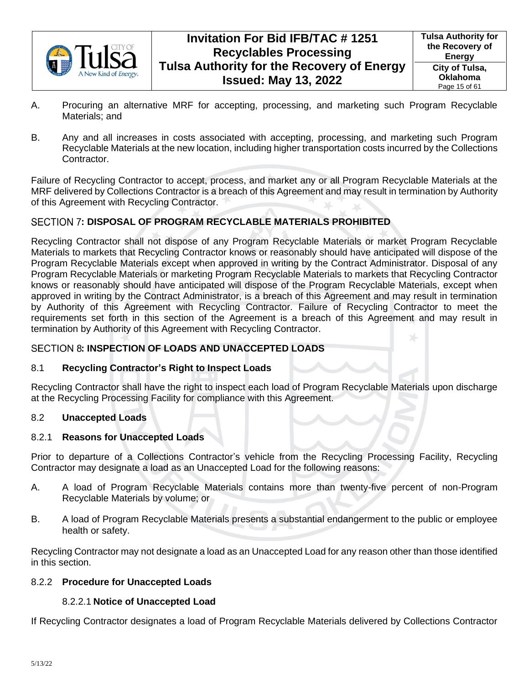

- A. Procuring an alternative MRF for accepting, processing, and marketing such Program Recyclable Materials; and
- B. Any and all increases in costs associated with accepting, processing, and marketing such Program Recyclable Materials at the new location, including higher transportation costs incurred by the Collections Contractor.

Failure of Recycling Contractor to accept, process, and market any or all Program Recyclable Materials at the MRF delivered by Collections Contractor is a breach of this Agreement and may result in termination by Authority of this Agreement with Recycling Contractor.

## <span id="page-14-0"></span>SECTION 7: DISPOSAL OF PROGRAM RECYCLABLE MATERIALS PROHIBITED

Recycling Contractor shall not dispose of any Program Recyclable Materials or market Program Recyclable Materials to markets that Recycling Contractor knows or reasonably should have anticipated will dispose of the Program Recyclable Materials except when approved in writing by the Contract Administrator. Disposal of any Program Recyclable Materials or marketing Program Recyclable Materials to markets that Recycling Contractor knows or reasonably should have anticipated will dispose of the Program Recyclable Materials, except when approved in writing by the Contract Administrator, is a breach of this Agreement and may result in termination by Authority of this Agreement with Recycling Contractor. Failure of Recycling Contractor to meet the requirements set forth in this section of the Agreement is a breach of this Agreement and may result in termination by Authority of this Agreement with Recycling Contractor.

## <span id="page-14-1"></span>**: INSPECTION OF LOADS AND UNACCEPTED LOADS**

### <span id="page-14-2"></span>8.1 **Recycling Contractor's Right to Inspect Loads**

Recycling Contractor shall have the right to inspect each load of Program Recyclable Materials upon discharge at the Recycling Processing Facility for compliance with this Agreement.

### <span id="page-14-3"></span>8.2 **Unaccepted Loads**

### <span id="page-14-4"></span>8.2.1 **Reasons for Unaccepted Loads**

Prior to departure of a Collections Contractor's vehicle from the Recycling Processing Facility, Recycling Contractor may designate a load as an Unaccepted Load for the following reasons:

- A. A load of Program Recyclable Materials contains more than twenty-five percent of non-Program Recyclable Materials by volume; or
- B. A load of Program Recyclable Materials presents a substantial endangerment to the public or employee health or safety.

Recycling Contractor may not designate a load as an Unaccepted Load for any reason other than those identified in this section.

### <span id="page-14-5"></span>8.2.2 **Procedure for Unaccepted Loads**

### 8.2.2.1 **Notice of Unaccepted Load**

If Recycling Contractor designates a load of Program Recyclable Materials delivered by Collections Contractor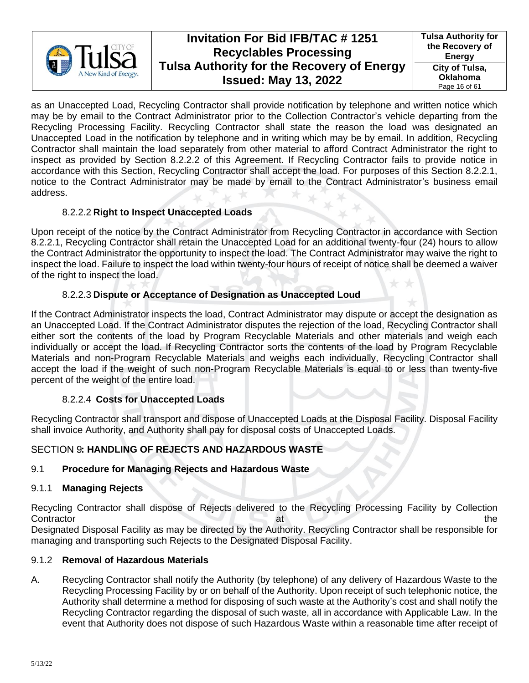

**Tulsa Authority for the Recovery of Energy City of Tulsa, Oklahoma** Page 16 of 61

as an Unaccepted Load, Recycling Contractor shall provide notification by telephone and written notice which may be by email to the Contract Administrator prior to the Collection Contractor's vehicle departing from the Recycling Processing Facility. Recycling Contractor shall state the reason the load was designated an Unaccepted Load in the notification by telephone and in writing which may be by email. In addition, Recycling Contractor shall maintain the load separately from other material to afford Contract Administrator the right to inspect as provided by Section 8.2.2.2 of this Agreement. If Recycling Contractor fails to provide notice in accordance with this Section, Recycling Contractor shall accept the load. For purposes of this Section 8.2.2.1, notice to the Contract Administrator may be made by email to the Contract Administrator's business email address.

## 8.2.2.2 **Right to Inspect Unaccepted Loads**

Upon receipt of the notice by the Contract Administrator from Recycling Contractor in accordance with Section 8.2.2.1, Recycling Contractor shall retain the Unaccepted Load for an additional twenty-four (24) hours to allow the Contract Administrator the opportunity to inspect the load. The Contract Administrator may waive the right to inspect the load. Failure to inspect the load within twenty-four hours of receipt of notice shall be deemed a waiver of the right to inspect the load.

## 8.2.2.3 **Dispute or Acceptance of Designation as Unaccepted Loud**

If the Contract Administrator inspects the load, Contract Administrator may dispute or accept the designation as an Unaccepted Load. If the Contract Administrator disputes the rejection of the load, Recycling Contractor shall either sort the contents of the load by Program Recyclable Materials and other materials and weigh each individually or accept the load. If Recycling Contractor sorts the contents of the load by Program Recyclable Materials and non-Program Recyclable Materials and weighs each individually, Recycling Contractor shall accept the load if the weight of such non-Program Recyclable Materials is equal to or less than twenty-five percent of the weight of the entire load.

## 8.2.2.4 **Costs for Unaccepted Loads**

Recycling Contractor shall transport and dispose of Unaccepted Loads at the Disposal Facility. Disposal Facility shall invoice Authority, and Authority shall pay for disposal costs of Unaccepted Loads.

## <span id="page-15-0"></span>SECTION 9: HANDLING OF REJECTS AND HAZARDOUS WASTE

## <span id="page-15-1"></span>9.1 **Procedure for Managing Rejects and Hazardous Waste**

### <span id="page-15-2"></span>9.1.1 **Managing Rejects**

Recycling Contractor shall dispose of Rejects delivered to the Recycling Processing Facility by Collection Contractor the state of the state of the state of the state of the state of the state of the state of the state of the state of the state of the state of the state of the state of the state of the state of the state of the Designated Disposal Facility as may be directed by the Authority. Recycling Contractor shall be responsible for managing and transporting such Rejects to the Designated Disposal Facility.

### <span id="page-15-3"></span>9.1.2 **Removal of Hazardous Materials**

A. Recycling Contractor shall notify the Authority (by telephone) of any delivery of Hazardous Waste to the Recycling Processing Facility by or on behalf of the Authority. Upon receipt of such telephonic notice, the Authority shall determine a method for disposing of such waste at the Authority's cost and shall notify the Recycling Contractor regarding the disposal of such waste, all in accordance with Applicable Law. In the event that Authority does not dispose of such Hazardous Waste within a reasonable time after receipt of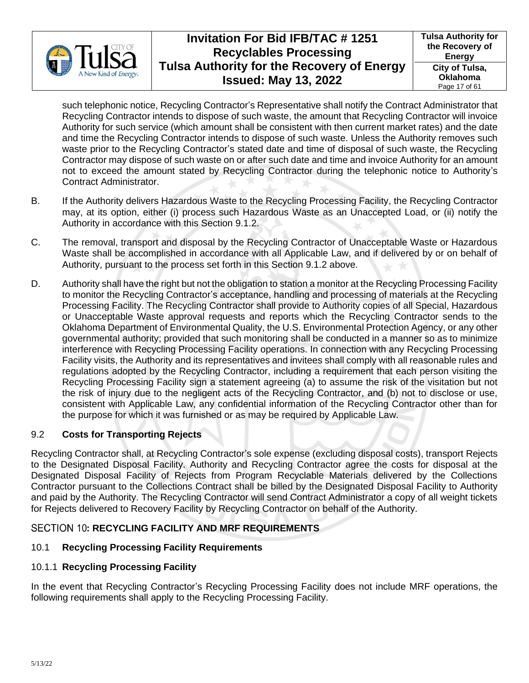

such telephonic notice, Recycling Contractor's Representative shall notify the Contract Administrator that Recycling Contractor intends to dispose of such waste, the amount that Recycling Contractor will invoice Authority for such service (which amount shall be consistent with then current market rates) and the date and time the Recycling Contractor intends to dispose of such waste. Unless the Authority removes such waste prior to the Recycling Contractor's stated date and time of disposal of such waste, the Recycling Contractor may dispose of such waste on or after such date and time and invoice Authority for an amount not to exceed the amount stated by Recycling Contractor during the telephonic notice to Authority's Contract Administrator.

- B. If the Authority delivers Hazardous Waste to the Recycling Processing Facility, the Recycling Contractor may, at its option, either (i) process such Hazardous Waste as an Unaccepted Load, or (ii) notify the Authority in accordance with this Section [9.1.2.](#page-15-3)
- C. The removal, transport and disposal by the Recycling Contractor of Unacceptable Waste or Hazardous Waste shall be accomplished in accordance with all Applicable Law, and if delivered by or on behalf of Authority, pursuant to the process set forth in this Section [9.1.2](#page-15-3) above.
- D. Authority shall have the right but not the obligation to station a monitor at the Recycling Processing Facility to monitor the Recycling Contractor's acceptance, handling and processing of materials at the Recycling Processing Facility. The Recycling Contractor shall provide to Authority copies of all Special, Hazardous or Unacceptable Waste approval requests and reports which the Recycling Contractor sends to the Oklahoma Department of Environmental Quality, the U.S. Environmental Protection Agency, or any other governmental authority; provided that such monitoring shall be conducted in a manner so as to minimize interference with Recycling Processing Facility operations. In connection with any Recycling Processing Facility visits, the Authority and its representatives and invitees shall comply with all reasonable rules and regulations adopted by the Recycling Contractor, including a requirement that each person visiting the Recycling Processing Facility sign a statement agreeing (a) to assume the risk of the visitation but not the risk of injury due to the negligent acts of the Recycling Contractor, and (b) not to disclose or use, consistent with Applicable Law, any confidential information of the Recycling Contractor other than for the purpose for which it was furnished or as may be required by Applicable Law.

## <span id="page-16-0"></span>9.2 **Costs for Transporting Rejects**

Recycling Contractor shall, at Recycling Contractor's sole expense (excluding disposal costs), transport Rejects to the Designated Disposal Facility. Authority and Recycling Contractor agree the costs for disposal at the Designated Disposal Facility of Rejects from Program Recyclable Materials delivered by the Collections Contractor pursuant to the Collections Contract shall be billed by the Designated Disposal Facility to Authority and paid by the Authority. The Recycling Contractor will send Contract Administrator a copy of all weight tickets for Rejects delivered to Recovery Facility by Recycling Contractor on behalf of the Authority.

## <span id="page-16-1"></span>SECTION 10: RECYCLING FACILITY AND MRF REQUIREMENTS

### <span id="page-16-2"></span>10.1 **Recycling Processing Facility Requirements**

### <span id="page-16-3"></span>10.1.1 **Recycling Processing Facility**

In the event that Recycling Contractor's Recycling Processing Facility does not include MRF operations, the following requirements shall apply to the Recycling Processing Facility.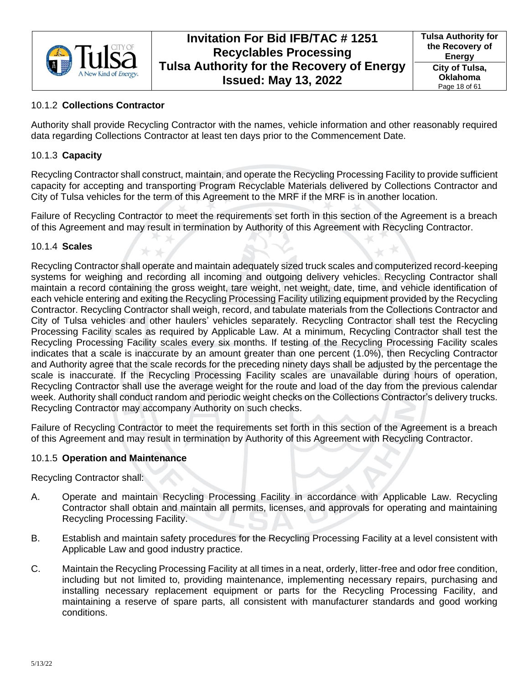

## <span id="page-17-0"></span>10.1.2 **Collections Contractor**

Authority shall provide Recycling Contractor with the names, vehicle information and other reasonably required data regarding Collections Contractor at least ten days prior to the Commencement Date.

### <span id="page-17-1"></span>10.1.3 **Capacity**

Recycling Contractor shall construct, maintain, and operate the Recycling Processing Facility to provide sufficient capacity for accepting and transporting Program Recyclable Materials delivered by Collections Contractor and City of Tulsa vehicles for the term of this Agreement to the MRF if the MRF is in another location.

Failure of Recycling Contractor to meet the requirements set forth in this section of the Agreement is a breach of this Agreement and may result in termination by Authority of this Agreement with Recycling Contractor.

### <span id="page-17-2"></span>10.1.4 **Scales**

Recycling Contractor shall operate and maintain adequately sized truck scales and computerized record-keeping systems for weighing and recording all incoming and outgoing delivery vehicles. Recycling Contractor shall maintain a record containing the gross weight, tare weight, net weight, date, time, and vehicle identification of each vehicle entering and exiting the Recycling Processing Facility utilizing equipment provided by the Recycling Contractor. Recycling Contractor shall weigh, record, and tabulate materials from the Collections Contractor and City of Tulsa vehicles and other haulers' vehicles separately. Recycling Contractor shall test the Recycling Processing Facility scales as required by Applicable Law. At a minimum, Recycling Contractor shall test the Recycling Processing Facility scales every six months. If testing of the Recycling Processing Facility scales indicates that a scale is inaccurate by an amount greater than one percent (1.0%), then Recycling Contractor and Authority agree that the scale records for the preceding ninety days shall be adjusted by the percentage the scale is inaccurate. If the Recycling Processing Facility scales are unavailable during hours of operation, Recycling Contractor shall use the average weight for the route and load of the day from the previous calendar week. Authority shall conduct random and periodic weight checks on the Collections Contractor's delivery trucks. Recycling Contractor may accompany Authority on such checks.

Failure of Recycling Contractor to meet the requirements set forth in this section of the Agreement is a breach of this Agreement and may result in termination by Authority of this Agreement with Recycling Contractor.

### <span id="page-17-3"></span>10.1.5 **Operation and Maintenance**

<span id="page-17-4"></span>Recycling Contractor shall:

- A. Operate and maintain Recycling Processing Facility in accordance with Applicable Law. Recycling Contractor shall obtain and maintain all permits, licenses, and approvals for operating and maintaining Recycling Processing Facility.
- B. Establish and maintain safety procedures for the Recycling Processing Facility at a level consistent with Applicable Law and good industry practice.
- C. Maintain the Recycling Processing Facility at all times in a neat, orderly, litter-free and odor free condition, including but not limited to, providing maintenance, implementing necessary repairs, purchasing and installing necessary replacement equipment or parts for the Recycling Processing Facility, and maintaining a reserve of spare parts, all consistent with manufacturer standards and good working conditions.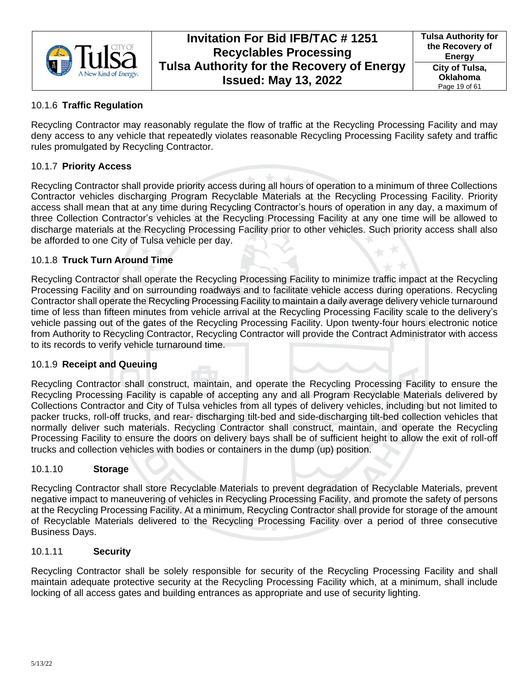

## <span id="page-18-0"></span>10.1.6 **Traffic Regulation**

Recycling Contractor may reasonably regulate the flow of traffic at the Recycling Processing Facility and may deny access to any vehicle that repeatedly violates reasonable Recycling Processing Facility safety and traffic rules promulgated by Recycling Contractor.

### <span id="page-18-1"></span>10.1.7 **Priority Access**

Recycling Contractor shall provide priority access during all hours of operation to a minimum of three Collections Contractor vehicles discharging Program Recyclable Materials at the Recycling Processing Facility. Priority access shall mean that at any time during Recycling Contractor's hours of operation in any day, a maximum of three Collection Contractor's vehicles at the Recycling Processing Facility at any one time will be allowed to discharge materials at the Recycling Processing Facility prior to other vehicles. Such priority access shall also be afforded to one City of Tulsa vehicle per day.

### <span id="page-18-2"></span>10.1.8 **Truck Turn Around Time**

Recycling Contractor shall operate the Recycling Processing Facility to minimize traffic impact at the Recycling Processing Facility and on surrounding roadways and to facilitate vehicle access during operations. Recycling Contractor shall operate the Recycling Processing Facility to maintain a daily average delivery vehicle turnaround time of less than fifteen minutes from vehicle arrival at the Recycling Processing Facility scale to the delivery's vehicle passing out of the gates of the Recycling Processing Facility. Upon twenty-four hours electronic notice from Authority to Recycling Contractor, Recycling Contractor will provide the Contract Administrator with access to its records to verify vehicle turnaround time.

### <span id="page-18-3"></span>10.1.9 **Receipt and Queuing**

Recycling Contractor shall construct, maintain, and operate the Recycling Processing Facility to ensure the Recycling Processing Facility is capable of accepting any and all Program Recyclable Materials delivered by Collections Contractor and City of Tulsa vehicles from all types of delivery vehicles, including but not limited to packer trucks, roll-off trucks, and rear- discharging tilt-bed and side-discharging tilt-bed collection vehicles that normally deliver such materials. Recycling Contractor shall construct, maintain, and operate the Recycling Processing Facility to ensure the doors on delivery bays shall be of sufficient height to allow the exit of roll-off trucks and collection vehicles with bodies or containers in the dump (up) position.

### <span id="page-18-4"></span>10.1.10 **Storage**

Recycling Contractor shall store Recyclable Materials to prevent degradation of Recyclable Materials, prevent negative impact to maneuvering of vehicles in Recycling Processing Facility, and promote the safety of persons at the Recycling Processing Facility. At a minimum, Recycling Contractor shall provide for storage of the amount of Recyclable Materials delivered to the Recycling Processing Facility over a period of three consecutive Business Days.

#### <span id="page-18-5"></span>10.1.11 **Security**

Recycling Contractor shall be solely responsible for security of the Recycling Processing Facility and shall maintain adequate protective security at the Recycling Processing Facility which, at a minimum, shall include locking of all access gates and building entrances as appropriate and use of security lighting.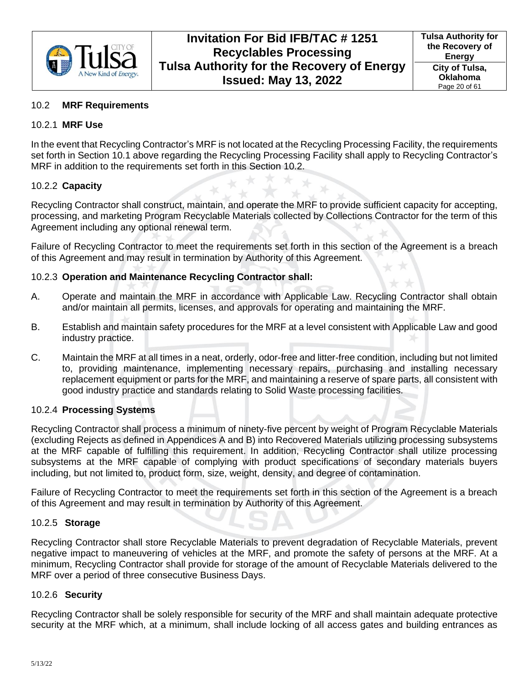

### <span id="page-19-0"></span>10.2 **MRF Requirements**

#### <span id="page-19-1"></span>10.2.1 **MRF Use**

In the event that Recycling Contractor's MRF is not located at the Recycling Processing Facility, the requirements set forth in Section [10.1](#page-16-2) above regarding the Recycling Processing Facility shall apply to Recycling Contractor's MRF in addition to the requirements set forth in this Section [10.2.](#page-19-0)

#### <span id="page-19-2"></span>10.2.2 **Capacity**

Recycling Contractor shall construct, maintain, and operate the MRF to provide sufficient capacity for accepting, processing, and marketing Program Recyclable Materials collected by Collections Contractor for the term of this Agreement including any optional renewal term.

Failure of Recycling Contractor to meet the requirements set forth in this section of the Agreement is a breach of this Agreement and may result in termination by Authority of this Agreement.

#### <span id="page-19-3"></span>10.2.3 **Operation and Maintenance Recycling Contractor shall:**

- A. Operate and maintain the MRF in accordance with Applicable Law. Recycling Contractor shall obtain and/or maintain all permits, licenses, and approvals for operating and maintaining the MRF.
- B. Establish and maintain safety procedures for the MRF at a level consistent with Applicable Law and good industry practice.
- C. Maintain the MRF at all times in a neat, orderly, odor-free and litter-free condition, including but not limited to, providing maintenance, implementing necessary repairs, purchasing and installing necessary replacement equipment or parts for the MRF, and maintaining a reserve of spare parts, all consistent with good industry practice and standards relating to Solid Waste processing facilities.

### <span id="page-19-4"></span>10.2.4 **Processing Systems**

Recycling Contractor shall process a minimum of ninety-five percent by weight of Program Recyclable Materials (excluding Rejects as defined in Appendices A and B) into Recovered Materials utilizing processing subsystems at the MRF capable of fulfilling this requirement. In addition, Recycling Contractor shall utilize processing subsystems at the MRF capable of complying with product specifications of secondary materials buyers including, but not limited to, product form, size, weight, density, and degree of contamination.

Failure of Recycling Contractor to meet the requirements set forth in this section of the Agreement is a breach of this Agreement and may result in termination by Authority of this Agreement.

#### <span id="page-19-5"></span>10.2.5 **Storage**

Recycling Contractor shall store Recyclable Materials to prevent degradation of Recyclable Materials, prevent negative impact to maneuvering of vehicles at the MRF, and promote the safety of persons at the MRF. At a minimum, Recycling Contractor shall provide for storage of the amount of Recyclable Materials delivered to the MRF over a period of three consecutive Business Days.

#### <span id="page-19-6"></span>10.2.6 **Security**

Recycling Contractor shall be solely responsible for security of the MRF and shall maintain adequate protective security at the MRF which, at a minimum, shall include locking of all access gates and building entrances as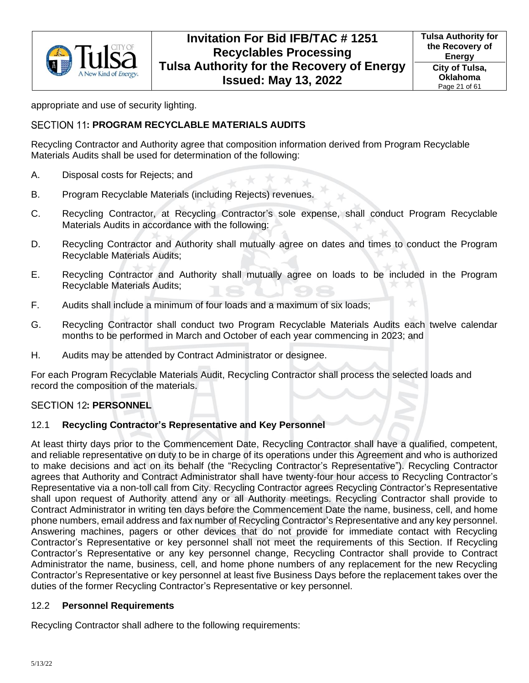

appropriate and use of security lighting.

### <span id="page-20-0"></span>SECTION 11: PROGRAM RECYCLABLE MATERIALS AUDITS

Recycling Contractor and Authority agree that composition information derived from Program Recyclable Materials Audits shall be used for determination of the following:

- A. Disposal costs for Rejects; and
- B. Program Recyclable Materials (including Rejects) revenues.
- C. Recycling Contractor, at Recycling Contractor's sole expense, shall conduct Program Recyclable Materials Audits in accordance with the following:
- D. Recycling Contractor and Authority shall mutually agree on dates and times to conduct the Program Recyclable Materials Audits;
- E. Recycling Contractor and Authority shall mutually agree on loads to be included in the Program Recyclable Materials Audits;
- F. Audits shall include a minimum of four loads and a maximum of six loads;
- G. Recycling Contractor shall conduct two Program Recyclable Materials Audits each twelve calendar months to be performed in March and October of each year commencing in 2023; and
- H. Audits may be attended by Contract Administrator or designee.

For each Program Recyclable Materials Audit, Recycling Contractor shall process the selected loads and record the composition of the materials.

### <span id="page-20-1"></span>**SECTION 12: PERSONNEL**

### <span id="page-20-2"></span>12.1 **Recycling Contractor's Representative and Key Personnel**

At least thirty days prior to the Commencement Date, Recycling Contractor shall have a qualified, competent, and reliable representative on duty to be in charge of its operations under this Agreement and who is authorized to make decisions and act on its behalf (the "Recycling Contractor's Representative"). Recycling Contractor agrees that Authority and Contract Administrator shall have twenty-four hour access to Recycling Contractor's Representative via a non-toll call from City. Recycling Contractor agrees Recycling Contractor's Representative shall upon request of Authority attend any or all Authority meetings. Recycling Contractor shall provide to Contract Administrator in writing ten days before the Commencement Date the name, business, cell, and home phone numbers, email address and fax number of Recycling Contractor's Representative and any key personnel. Answering machines, pagers or other devices that do not provide for immediate contact with Recycling Contractor's Representative or key personnel shall not meet the requirements of this Section. If Recycling Contractor's Representative or any key personnel change, Recycling Contractor shall provide to Contract Administrator the name, business, cell, and home phone numbers of any replacement for the new Recycling Contractor's Representative or key personnel at least five Business Days before the replacement takes over the duties of the former Recycling Contractor's Representative or key personnel.

#### <span id="page-20-3"></span>12.2 **Personnel Requirements**

Recycling Contractor shall adhere to the following requirements: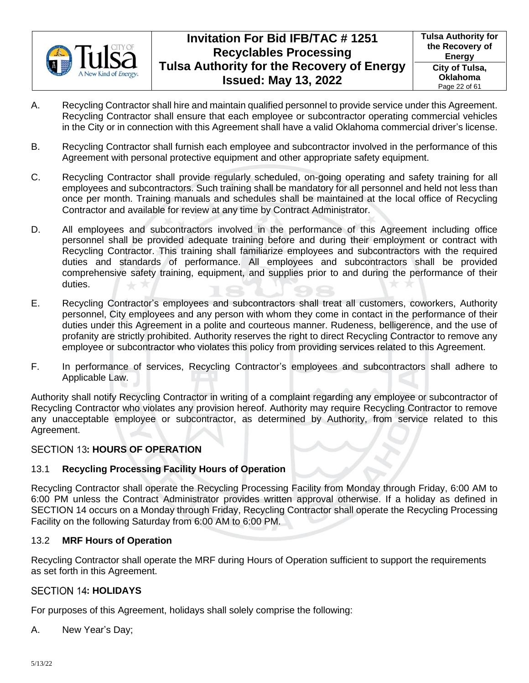

- A. Recycling Contractor shall hire and maintain qualified personnel to provide service under this Agreement. Recycling Contractor shall ensure that each employee or subcontractor operating commercial vehicles in the City or in connection with this Agreement shall have a valid Oklahoma commercial driver's license.
- B. Recycling Contractor shall furnish each employee and subcontractor involved in the performance of this Agreement with personal protective equipment and other appropriate safety equipment.
- C. Recycling Contractor shall provide regularly scheduled, on-going operating and safety training for all employees and subcontractors. Such training shall be mandatory for all personnel and held not less than once per month. Training manuals and schedules shall be maintained at the local office of Recycling Contractor and available for review at any time by Contract Administrator.
- D. All employees and subcontractors involved in the performance of this Agreement including office personnel shall be provided adequate training before and during their employment or contract with Recycling Contractor. This training shall familiarize employees and subcontractors with the required duties and standards of performance. All employees and subcontractors shall be provided comprehensive safety training, equipment, and supplies prior to and during the performance of their duties.
- E. Recycling Contractor's employees and subcontractors shall treat all customers, coworkers, Authority personnel, City employees and any person with whom they come in contact in the performance of their duties under this Agreement in a polite and courteous manner. Rudeness, belligerence, and the use of profanity are strictly prohibited. Authority reserves the right to direct Recycling Contractor to remove any employee or subcontractor who violates this policy from providing services related to this Agreement.
- F. In performance of services, Recycling Contractor's employees and subcontractors shall adhere to Applicable Law.

Authority shall notify Recycling Contractor in writing of a complaint regarding any employee or subcontractor of Recycling Contractor who violates any provision hereof. Authority may require Recycling Contractor to remove any unacceptable employee or subcontractor, as determined by Authority, from service related to this Agreement.

## <span id="page-21-0"></span>**SECTION 13: HOURS OF OPERATION**

## <span id="page-21-1"></span>13.1 **Recycling Processing Facility Hours of Operation**

Recycling Contractor shall operate the Recycling Processing Facility from Monday through Friday, 6:00 AM to 6:00 PM unless the Contract Administrator provides written approval otherwise. If a holiday as defined in [SECTION 14](#page-21-3) occurs on a Monday through Friday, Recycling Contractor shall operate the Recycling Processing Facility on the following Saturday from 6:00 AM to 6:00 PM.

### <span id="page-21-2"></span>13.2 **MRF Hours of Operation**

Recycling Contractor shall operate the MRF during Hours of Operation sufficient to support the requirements as set forth in this Agreement.

### <span id="page-21-3"></span>**SECTION 14: HOLIDAYS**

For purposes of this Agreement, holidays shall solely comprise the following:

A. New Year's Day;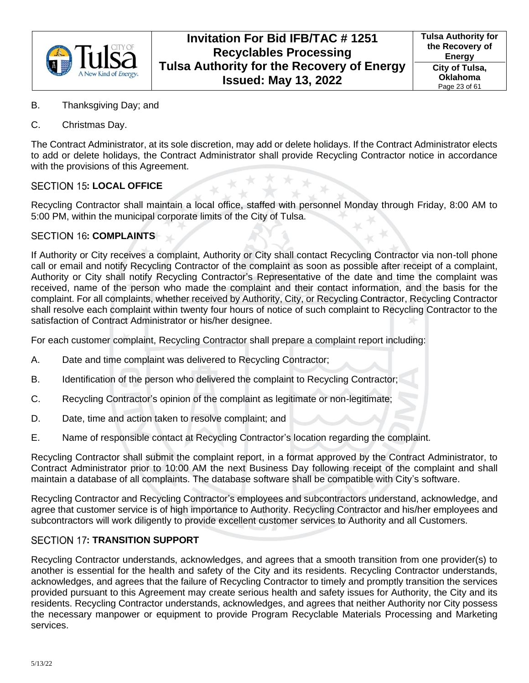

- B. Thanksgiving Day; and
- C. Christmas Day.

The Contract Administrator, at its sole discretion, may add or delete holidays. If the Contract Administrator elects to add or delete holidays, the Contract Administrator shall provide Recycling Contractor notice in accordance with the provisions of this Agreement.

## <span id="page-22-0"></span>**SECTION 15: LOCAL OFFICE**

Recycling Contractor shall maintain a local office, staffed with personnel Monday through Friday, 8:00 AM to 5:00 PM, within the municipal corporate limits of the City of Tulsa.

## <span id="page-22-1"></span>**SECTION 16: COMPLAINTS**

If Authority or City receives a complaint, Authority or City shall contact Recycling Contractor via non-toll phone call or email and notify Recycling Contractor of the complaint as soon as possible after receipt of a complaint, Authority or City shall notify Recycling Contractor's Representative of the date and time the complaint was received, name of the person who made the complaint and their contact information, and the basis for the complaint. For all complaints, whether received by Authority, City, or Recycling Contractor, Recycling Contractor shall resolve each complaint within twenty four hours of notice of such complaint to Recycling Contractor to the satisfaction of Contract Administrator or his/her designee.

For each customer complaint, Recycling Contractor shall prepare a complaint report including:

- A. Date and time complaint was delivered to Recycling Contractor;
- B. Identification of the person who delivered the complaint to Recycling Contractor;
- C. Recycling Contractor's opinion of the complaint as legitimate or non-legitimate;
- D. Date, time and action taken to resolve complaint; and
- E. Name of responsible contact at Recycling Contractor's location regarding the complaint.

Recycling Contractor shall submit the complaint report, in a format approved by the Contract Administrator, to Contract Administrator prior to 10:00 AM the next Business Day following receipt of the complaint and shall maintain a database of all complaints. The database software shall be compatible with City's software.

Recycling Contractor and Recycling Contractor's employees and subcontractors understand, acknowledge, and agree that customer service is of high importance to Authority. Recycling Contractor and his/her employees and subcontractors will work diligently to provide excellent customer services to Authority and all Customers.

### <span id="page-22-2"></span>**SECTION 17: TRANSITION SUPPORT**

Recycling Contractor understands, acknowledges, and agrees that a smooth transition from one provider(s) to another is essential for the health and safety of the City and its residents. Recycling Contractor understands, acknowledges, and agrees that the failure of Recycling Contractor to timely and promptly transition the services provided pursuant to this Agreement may create serious health and safety issues for Authority, the City and its residents. Recycling Contractor understands, acknowledges, and agrees that neither Authority nor City possess the necessary manpower or equipment to provide Program Recyclable Materials Processing and Marketing services.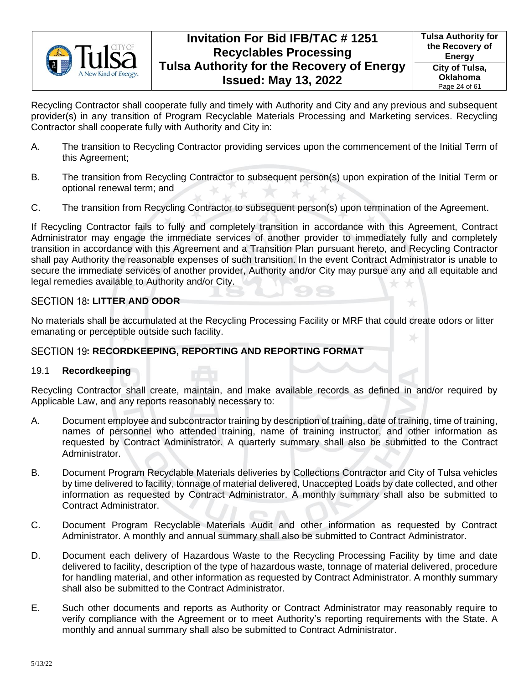

Recycling Contractor shall cooperate fully and timely with Authority and City and any previous and subsequent provider(s) in any transition of Program Recyclable Materials Processing and Marketing services. Recycling Contractor shall cooperate fully with Authority and City in:

- A. The transition to Recycling Contractor providing services upon the commencement of the Initial Term of this Agreement;
- B. The transition from Recycling Contractor to subsequent person(s) upon expiration of the Initial Term or optional renewal term; and
- C. The transition from Recycling Contractor to subsequent person(s) upon termination of the Agreement.

If Recycling Contractor fails to fully and completely transition in accordance with this Agreement, Contract Administrator may engage the immediate services of another provider to immediately fully and completely transition in accordance with this Agreement and a Transition Plan pursuant hereto, and Recycling Contractor shall pay Authority the reasonable expenses of such transition. In the event Contract Administrator is unable to secure the immediate services of another provider, Authority and/or City may pursue any and all equitable and legal remedies available to Authority and/or City.

## <span id="page-23-0"></span>**SECTION 18: LITTER AND ODOR**

No materials shall be accumulated at the Recycling Processing Facility or MRF that could create odors or litter emanating or perceptible outside such facility.

## <span id="page-23-1"></span>SECTION 19: RECORDKEEPING, REPORTING AND REPORTING FORMAT

## <span id="page-23-2"></span>19.1 **Recordkeeping**

Recycling Contractor shall create, maintain, and make available records as defined in and/or required by Applicable Law, and any reports reasonably necessary to:

- A. Document employee and subcontractor training by description of training, date of training, time of training, names of personnel who attended training, name of training instructor, and other information as requested by Contract Administrator. A quarterly summary shall also be submitted to the Contract Administrator.
- B. Document Program Recyclable Materials deliveries by Collections Contractor and City of Tulsa vehicles by time delivered to facility, tonnage of material delivered, Unaccepted Loads by date collected, and other information as requested by Contract Administrator. A monthly summary shall also be submitted to Contract Administrator.
- C. Document Program Recyclable Materials Audit and other information as requested by Contract Administrator. A monthly and annual summary shall also be submitted to Contract Administrator.
- D. Document each delivery of Hazardous Waste to the Recycling Processing Facility by time and date delivered to facility, description of the type of hazardous waste, tonnage of material delivered, procedure for handling material, and other information as requested by Contract Administrator. A monthly summary shall also be submitted to the Contract Administrator.
- E. Such other documents and reports as Authority or Contract Administrator may reasonably require to verify compliance with the Agreement or to meet Authority's reporting requirements with the State. A monthly and annual summary shall also be submitted to Contract Administrator.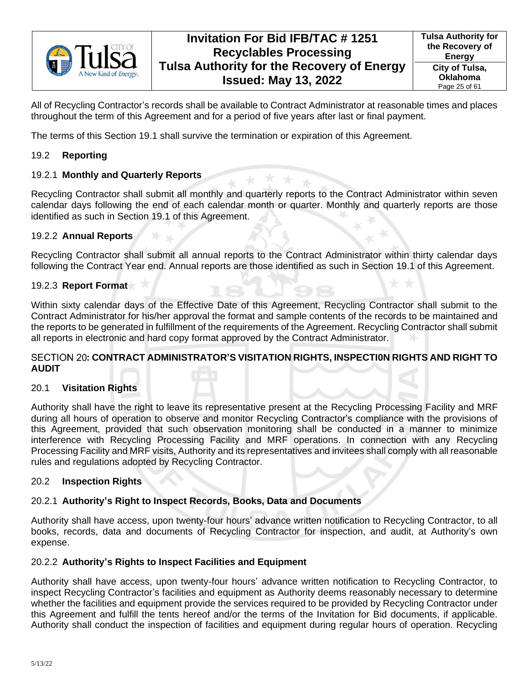

All of Recycling Contractor's records shall be available to Contract Administrator at reasonable times and places throughout the term of this Agreement and for a period of five years after last or final payment.

The terms of this Section [19.1](#page-23-2) shall survive the termination or expiration of this Agreement.

## <span id="page-24-0"></span>19.2 **Reporting**

## <span id="page-24-1"></span>19.2.1 **Monthly and Quarterly Reports**

Recycling Contractor shall submit all monthly and quarterly reports to the Contract Administrator within seven calendar days following the end of each calendar month or quarter. Monthly and quarterly reports are those identified as such in Section [19.1](#page-23-2) of this Agreement.

## <span id="page-24-2"></span>19.2.2 **Annual Reports**

Recycling Contractor shall submit all annual reports to the Contract Administrator within thirty calendar days following the Contract Year end. Annual reports are those identified as such in Section [19.1](#page-23-2) of this Agreement.

## <span id="page-24-3"></span>19.2.3 **Report Format**

Within sixty calendar days of the Effective Date of this Agreement, Recycling Contractor shall submit to the Contract Administrator for his/her approval the format and sample contents of the records to be maintained and the reports to be generated in fulfillment of the requirements of the Agreement. Recycling Contractor shall submit all reports in electronic and hard copy format approved by the Contract Administrator.

### <span id="page-24-4"></span>**: CONTRACT ADMINISTRATOR'S VISITATION RIGHTS, INSPECTI0N RIGHTS AND RIGHT TO AUDIT**

## <span id="page-24-5"></span>20.1 **Visitation Rights**

Authority shall have the right to leave its representative present at the Recycling Processing Facility and MRF during all hours of operation to observe and monitor Recycling Contractor's compliance with the provisions of this Agreement, provided that such observation monitoring shall be conducted in a manner to minimize interference with Recycling Processing Facility and MRF operations. In connection with any Recycling Processing Facility and MRF visits, Authority and its representatives and invitees shall comply with all reasonable rules and regulations adopted by Recycling Contractor.

### <span id="page-24-6"></span>20.2 **Inspection Rights**

## <span id="page-24-7"></span>20.2.1 **Authority's Right to Inspect Records, Books, Data and Documents**

Authority shall have access, upon twenty-four hours' advance written notification to Recycling Contractor, to all books, records, data and documents of Recycling Contractor for inspection, and audit, at Authority's own expense.

### <span id="page-24-8"></span>20.2.2 **Authority's Rights to Inspect Facilities and Equipment**

Authority shall have access, upon twenty-four hours' advance written notification to Recycling Contractor, to inspect Recycling Contractor's facilities and equipment as Authority deems reasonably necessary to determine whether the facilities and equipment provide the services required to be provided by Recycling Contractor under this Agreement and fulfill the tents hereof and/or the terms of the Invitation for Bid documents, if applicable. Authority shall conduct the inspection of facilities and equipment during regular hours of operation. Recycling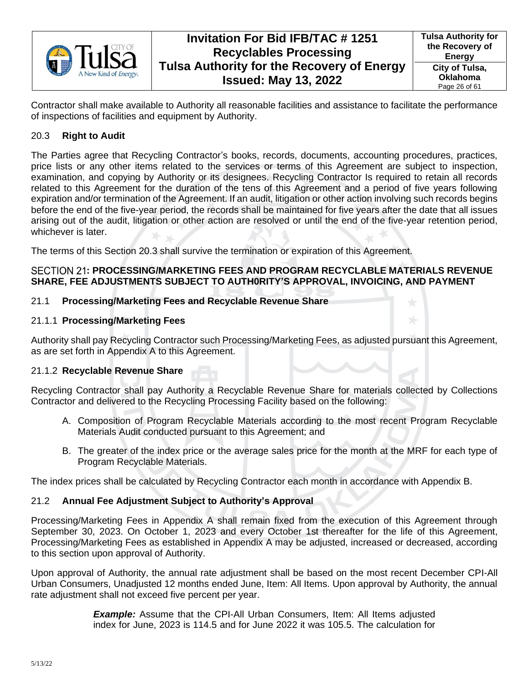

Contractor shall make available to Authority all reasonable facilities and assistance to facilitate the performance of inspections of facilities and equipment by Authority.

## <span id="page-25-0"></span>20.3 **Right to Audit**

The Parties agree that Recycling Contractor's books, records, documents, accounting procedures, practices, price lists or any other items related to the services or terms of this Agreement are subject to inspection, examination, and copying by Authority or its designees. Recycling Contractor Is required to retain all records related to this Agreement for the duration of the tens of this Agreement and a period of five years following expiration and/or termination of the Agreement. If an audit, litigation or other action involving such records begins before the end of the five-year period, the records shall be maintained for five years after the date that all issues arising out of the audit, litigation or other action are resolved or until the end of the five-year retention period, whichever is later.

The terms of this Section [20.3](#page-25-0) shall survive the termination or expiration of this Agreement.

## <span id="page-25-1"></span>**: PROCESSING/MARKETING FEES AND PROGRAM RECYCLABLE MATERIALS REVENUE SHARE, FEE ADJUSTMENTS SUBJECT TO AUTH0RITY'S APPROVAL, INVOICING, AND PAYMENT**

## <span id="page-25-2"></span>21.1 **Processing/Marketing Fees and Recyclable Revenue Share**

## <span id="page-25-3"></span>21.1.1 **Processing/Marketing Fees**

Authority shall pay Recycling Contractor such Processing/Marketing Fees, as adjusted pursuant this Agreement, as are set forth in Appendix A to this Agreement.

## <span id="page-25-4"></span>21.1.2 **Recyclable Revenue Share**

Recycling Contractor shall pay Authority a Recyclable Revenue Share for materials collected by Collections Contractor and delivered to the Recycling Processing Facility based on the following:

- A. Composition of Program Recyclable Materials according to the most recent Program Recyclable Materials Audit conducted pursuant to this Agreement; and
- B. The greater of the index price or the average sales price for the month at the MRF for each type of Program Recyclable Materials.

The index prices shall be calculated by Recycling Contractor each month in accordance with Appendix B.

## <span id="page-25-5"></span>21.2 **Annual Fee Adjustment Subject to Authority's Approval**

Processing/Marketing Fees in Appendix A shall remain fixed from the execution of this Agreement through September 30, 2023. On October 1, 2023 and every October 1st thereafter for the life of this Agreement, Processing/Marketing Fees as established in Appendix A may be adjusted, increased or decreased, according to this section upon approval of Authority.

Upon approval of Authority, the annual rate adjustment shall be based on the most recent December CPI-All Urban Consumers, Unadjusted 12 months ended June, Item: All Items. Upon approval by Authority, the annual rate adjustment shall not exceed five percent per year.

> *Example:* Assume that the CPI-All Urban Consumers, Item: All Items adjusted index for June, 2023 is 114.5 and for June 2022 it was 105.5. The calculation for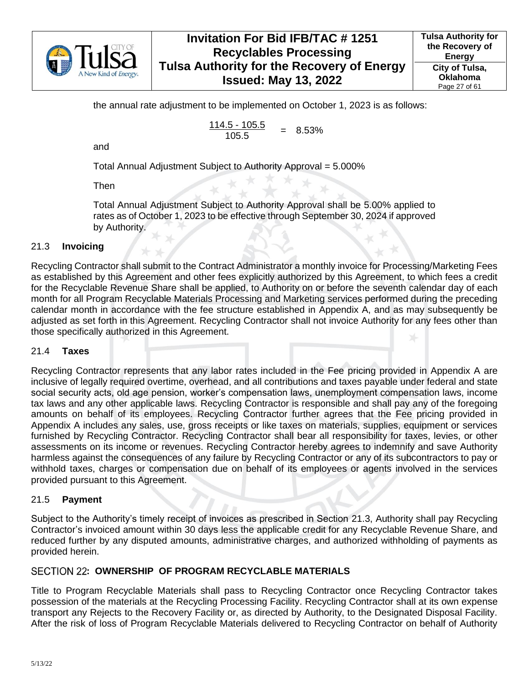

the annual rate adjustment to be implemented on October 1, 2023 is as follows:

$$
\frac{114.5 - 105.5}{105.5} = 8.53\%
$$

and

Total Annual Adjustment Subject to Authority Approval = 5.000%

Then

Total Annual Adjustment Subject to Authority Approval shall be 5.00% applied to rates as of October 1, 2023 to be effective through September 30, 2024 if approved by Authority.

#### <span id="page-26-0"></span>21.3 **Invoicing**

Recycling Contractor shall submit to the Contract Administrator a monthly invoice for Processing/Marketing Fees as established by this Agreement and other fees explicitly authorized by this Agreement, to which fees a credit for the Recyclable Revenue Share shall be applied, to Authority on or before the seventh calendar day of each month for all Program Recyclable Materials Processing and Marketing services performed during the preceding calendar month in accordance with the fee structure established in Appendix A, and as may subsequently be adjusted as set forth in this Agreement. Recycling Contractor shall not invoice Authority for any fees other than those specifically authorized in this Agreement.

#### <span id="page-26-1"></span>21.4 **Taxes**

Recycling Contractor represents that any labor rates included in the Fee pricing provided in Appendix A are inclusive of legally required overtime, overhead, and all contributions and taxes payable under federal and state social security acts, old age pension, worker's compensation laws, unemployment compensation laws, income tax laws and any other applicable laws. Recycling Contractor is responsible and shall pay any of the foregoing amounts on behalf of its employees. Recycling Contractor further agrees that the Fee pricing provided in Appendix A includes any sales, use, gross receipts or like taxes on materials, supplies, equipment or services furnished by Recycling Contractor. Recycling Contractor shall bear all responsibility for taxes, levies, or other assessments on its income or revenues. Recycling Contractor hereby agrees to indemnify and save Authority harmless against the consequences of any failure by Recycling Contractor or any of its subcontractors to pay or withhold taxes, charges or compensation due on behalf of its employees or agents involved in the services provided pursuant to this Agreement.

#### <span id="page-26-2"></span>21.5 **Payment**

Subject to the Authority's timely receipt of invoices as prescribed in Section [21.3,](#page-26-0) Authority shall pay Recycling Contractor's invoiced amount within 30 days less the applicable credit for any Recyclable Revenue Share, and reduced further by any disputed amounts, administrative charges, and authorized withholding of payments as provided herein.

### <span id="page-26-3"></span>SECTION 22: OWNERSHIP OF PROGRAM RECYCLABLE MATERIALS

Title to Program Recyclable Materials shall pass to Recycling Contractor once Recycling Contractor takes possession of the materials at the Recycling Processing Facility. Recycling Contractor shall at its own expense transport any Rejects to the Recovery Facility or, as directed by Authority, to the Designated Disposal Facility. After the risk of loss of Program Recyclable Materials delivered to Recycling Contractor on behalf of Authority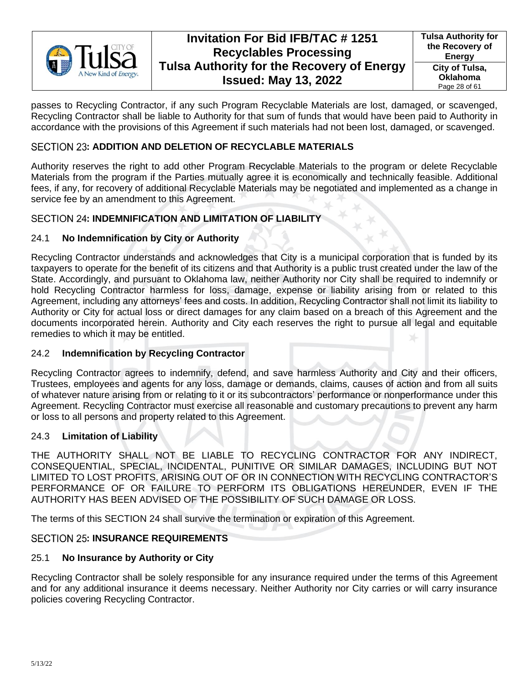

passes to Recycling Contractor, if any such Program Recyclable Materials are lost, damaged, or scavenged, Recycling Contractor shall be liable to Authority for that sum of funds that would have been paid to Authority in accordance with the provisions of this Agreement if such materials had not been lost, damaged, or scavenged.

## <span id="page-27-0"></span>**SECTION 23: ADDITION AND DELETION OF RECYCLABLE MATERIALS**

Authority reserves the right to add other Program Recyclable Materials to the program or delete Recyclable Materials from the program if the Parties mutually agree it is economically and technically feasible. Additional fees, if any, for recovery of additional Recyclable Materials may be negotiated and implemented as a change in service fee by an amendment to this Agreement.

## <span id="page-27-1"></span>**SECTION 24: INDEMNIFICATION AND LIMITATION OF LIABILITY**

## <span id="page-27-2"></span>24.1 **No Indemnification by City or Authority**

Recycling Contractor understands and acknowledges that City is a municipal corporation that is funded by its taxpayers to operate for the benefit of its citizens and that Authority is a public trust created under the law of the State. Accordingly, and pursuant to Oklahoma law, neither Authority nor City shall be required to indemnify or hold Recycling Contractor harmless for loss, damage, expense or liability arising from or related to this Agreement, including any attorneys' fees and costs. In addition, Recycling Contractor shall not limit its liability to Authority or City for actual loss or direct damages for any claim based on a breach of this Agreement and the documents incorporated herein. Authority and City each reserves the right to pursue all legal and equitable remedies to which it may be entitled.

## <span id="page-27-3"></span>24.2 **Indemnification by Recycling Contractor**

Recycling Contractor agrees to indemnify, defend, and save harmless Authority and City and their officers, Trustees, employees and agents for any loss, damage or demands, claims, causes of action and from all suits of whatever nature arising from or relating to it or its subcontractors' performance or nonperformance under this Agreement. Recycling Contractor must exercise all reasonable and customary precautions to prevent any harm or loss to all persons and property related to this Agreement.

### <span id="page-27-4"></span>24.3 **Limitation of Liability**

THE AUTHORITY SHALL NOT BE LIABLE TO RECYCLING CONTRACTOR FOR ANY INDIRECT, CONSEQUENTIAL, SPECIAL, INCIDENTAL, PUNITIVE OR SIMILAR DAMAGES, INCLUDING BUT NOT LIMITED TO LOST PROFITS, ARISING OUT OF OR IN CONNECTION WITH RECYCLING CONTRACTOR'S PERFORMANCE OF OR FAILURE TO PERFORM ITS OBLIGATIONS HEREUNDER, EVEN IF THE AUTHORITY HAS BEEN ADVISED OF THE POSSIBILITY OF SUCH DAMAGE OR LOSS.

The terms of this [SECTION 24](#page-27-1) shall survive the termination or expiration of this Agreement.

## <span id="page-27-5"></span>SECTION 25: **INSURANCE REQUIREMENTS**

## <span id="page-27-6"></span>25.1 **No Insurance by Authority or City**

Recycling Contractor shall be solely responsible for any insurance required under the terms of this Agreement and for any additional insurance it deems necessary. Neither Authority nor City carries or will carry insurance policies covering Recycling Contractor.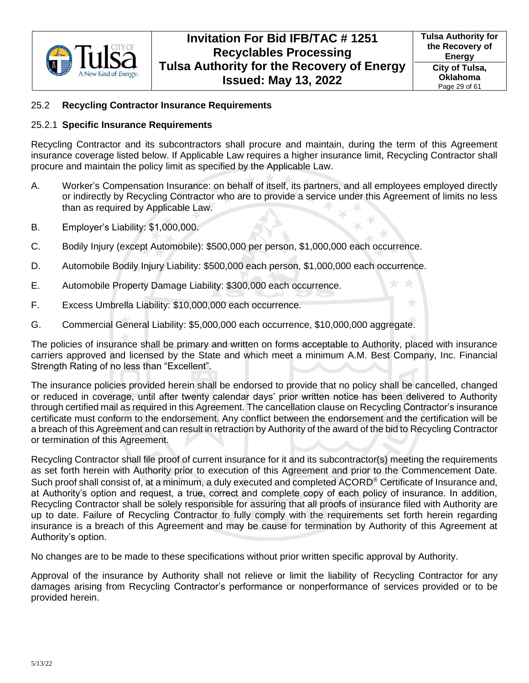

## <span id="page-28-0"></span>25.2 **Recycling Contractor Insurance Requirements**

#### <span id="page-28-1"></span>25.2.1 **Specific Insurance Requirements**

Recycling Contractor and its subcontractors shall procure and maintain, during the term of this Agreement insurance coverage listed below. If Applicable Law requires a higher insurance limit, Recycling Contractor shall procure and maintain the policy limit as specified by the Applicable Law.

- A. Worker's Compensation Insurance: on behalf of itself, its partners, and all employees employed directly or indirectly by Recycling Contractor who are to provide a service under this Agreement of limits no less than as required by Applicable Law.
- B. Employer's Liability: \$1,000,000.
- C. Bodily Injury (except Automobile): \$500,000 per person, \$1,000,000 each occurrence.
- D. Automobile Bodily Injury Liability: \$500,000 each person, \$1,000,000 each occurrence.
- E. Automobile Property Damage Liability: \$300,000 each occurrence.
- F. Excess Umbrella Liability: \$10,000,000 each occurrence.
- G. Commercial General Liability: \$5,000,000 each occurrence, \$10,000,000 aggregate.

The policies of insurance shall be primary and written on forms acceptable to Authority, placed with insurance carriers approved and licensed by the State and which meet a minimum A.M. Best Company, Inc. Financial Strength Rating of no less than "Excellent".

The insurance policies provided herein shall be endorsed to provide that no policy shall be cancelled, changed or reduced in coverage, until after twenty calendar days' prior written notice has been delivered to Authority through certified mail as required in this Agreement. The cancellation clause on Recycling Contractor's insurance certificate must conform to the endorsement. Any conflict between the endorsement and the certification will be a breach of this Agreement and can result in retraction by Authority of the award of the bid to Recycling Contractor or termination of this Agreement.

Recycling Contractor shall file proof of current insurance for it and its subcontractor(s) meeting the requirements as set forth herein with Authority prior to execution of this Agreement and prior to the Commencement Date. Such proof shall consist of, at a minimum, a duly executed and completed ACORD<sup>®</sup> Certificate of Insurance and, at Authority's option and request, a true, correct and complete copy of each policy of insurance. In addition, Recycling Contractor shall be solely responsible for assuring that all proofs of insurance filed with Authority are up to date. Failure of Recycling Contractor to fully comply with the requirements set forth herein regarding insurance is a breach of this Agreement and may be cause for termination by Authority of this Agreement at Authority's option.

No changes are to be made to these specifications without prior written specific approval by Authority.

Approval of the insurance by Authority shall not relieve or limit the liability of Recycling Contractor for any damages arising from Recycling Contractor's performance or nonperformance of services provided or to be provided herein.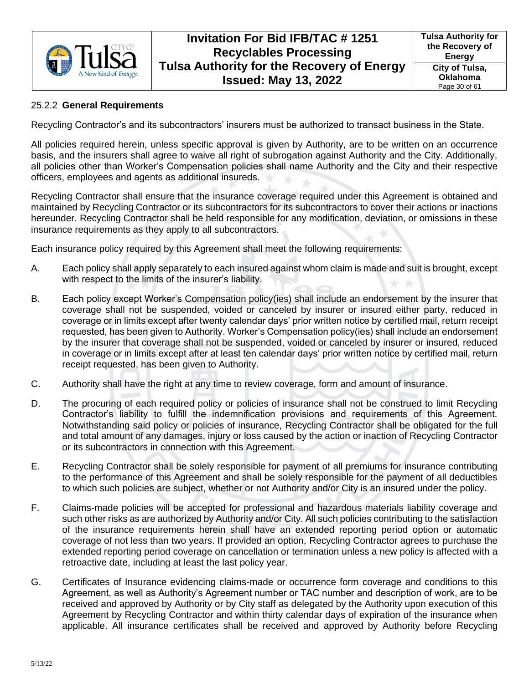

### <span id="page-29-0"></span>25.2.2 **General Requirements**

Recycling Contractor's and its subcontractors' insurers must be authorized to transact business in the State.

All policies required herein, unless specific approval is given by Authority, are to be written on an occurrence basis, and the insurers shall agree to waive all right of subrogation against Authority and the City. Additionally, all policies other than Worker's Compensation policies shall name Authority and the City and their respective officers, employees and agents as additional insureds.

Recycling Contractor shall ensure that the insurance coverage required under this Agreement is obtained and maintained by Recycling Contractor or its subcontractors for its subcontractors to cover their actions or inactions hereunder. Recycling Contractor shall be held responsible for any modification, deviation, or omissions in these insurance requirements as they apply to all subcontractors.

Each insurance policy required by this Agreement shall meet the following requirements:

- A. Each policy shall apply separately to each insured against whom claim is made and suit is brought, except with respect to the limits of the insurer's liability.
- B. Each policy except Worker's Compensation policy(ies) shall include an endorsement by the insurer that coverage shall not be suspended, voided or canceled by insurer or insured either party, reduced in coverage or in limits except after twenty calendar days' prior written notice by certified mail, return receipt requested, has been given to Authority. Worker's Compensation policy(ies) shall include an endorsement by the insurer that coverage shall not be suspended, voided or canceled by insurer or insured, reduced in coverage or in limits except after at least ten calendar days' prior written notice by certified mail, return receipt requested, has been given to Authority.
- C. Authority shall have the right at any time to review coverage, form and amount of insurance.
- D. The procuring of each required policy or policies of insurance shall not be construed to limit Recycling Contractor's liability to fulfill the indemnification provisions and requirements of this Agreement. Notwithstanding said policy or policies of insurance, Recycling Contractor shall be obligated for the full and total amount of any damages, injury or loss caused by the action or inaction of Recycling Contractor or its subcontractors in connection with this Agreement.
- E. Recycling Contractor shall be solely responsible for payment of all premiums for insurance contributing to the performance of this Agreement and shall be solely responsible for the payment of all deductibles to which such policies are subject, whether or not Authority and/or City is an insured under the policy.
- F. Claims-made policies will be accepted for professional and hazardous materials liability coverage and such other risks as are authorized by Authority and/or City. All such policies contributing to the satisfaction of the insurance requirements herein shall have an extended reporting period option or automatic coverage of not less than two years. If provided an option, Recycling Contractor agrees to purchase the extended reporting period coverage on cancellation or termination unless a new policy is affected with a retroactive date, including at least the last policy year.
- G. Certificates of Insurance evidencing claims-made or occurrence form coverage and conditions to this Agreement, as well as Authority's Agreement number or TAC number and description of work, are to be received and approved by Authority or by City staff as delegated by the Authority upon execution of this Agreement by Recycling Contractor and within thirty calendar days of expiration of the insurance when applicable. All insurance certificates shall be received and approved by Authority before Recycling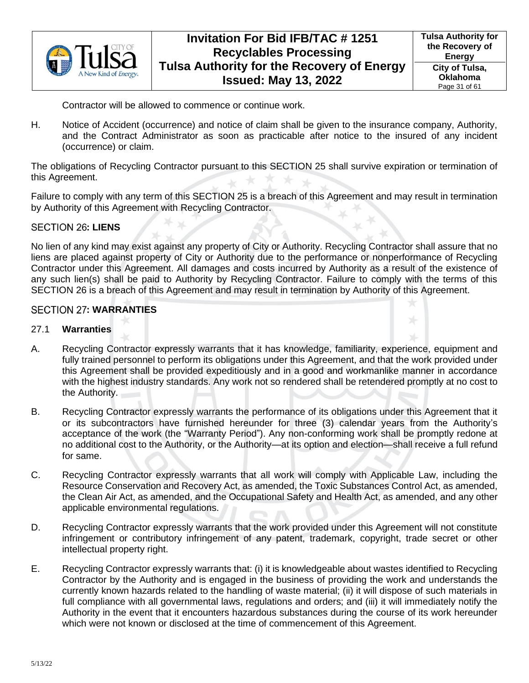

Contractor will be allowed to commence or continue work.

H. Notice of Accident (occurrence) and notice of claim shall be given to the insurance company, Authority, and the Contract Administrator as soon as practicable after notice to the insured of any incident (occurrence) or claim.

The obligations of Recycling Contractor pursuant to this [SECTION 25](#page-27-5) shall survive expiration or termination of this Agreement.

Failure to comply with any term of this [SECTION 25](#page-27-5) is a breach of this Agreement and may result in termination by Authority of this Agreement with Recycling Contractor.

#### <span id="page-30-0"></span>**SECTION 26: LIENS**

No lien of any kind may exist against any property of City or Authority. Recycling Contractor shall assure that no liens are placed against property of City or Authority due to the performance or nonperformance of Recycling Contractor under this Agreement. All damages and costs incurred by Authority as a result of the existence of any such lien(s) shall be paid to Authority by Recycling Contractor. Failure to comply with the terms of this [SECTION 26](#page-30-0) is a breach of this Agreement and may result in termination by Authority of this Agreement.

#### <span id="page-30-1"></span>**: WARRANTIES**

#### <span id="page-30-2"></span>27.1 **Warranties**

- A. Recycling Contractor expressly warrants that it has knowledge, familiarity, experience, equipment and fully trained personnel to perform its obligations under this Agreement, and that the work provided under this Agreement shall be provided expeditiously and in a good and workmanlike manner in accordance with the highest industry standards. Any work not so rendered shall be retendered promptly at no cost to the Authority.
- B. Recycling Contractor expressly warrants the performance of its obligations under this Agreement that it or its subcontractors have furnished hereunder for three (3) calendar years from the Authority's acceptance of the work (the "Warranty Period"). Any non-conforming work shall be promptly redone at no additional cost to the Authority, or the Authority—at its option and election—shall receive a full refund for same.
- C. Recycling Contractor expressly warrants that all work will comply with Applicable Law, including the Resource Conservation and Recovery Act, as amended, the Toxic Substances Control Act, as amended, the Clean Air Act, as amended, and the Occupational Safety and Health Act, as amended, and any other applicable environmental regulations.
- D. Recycling Contractor expressly warrants that the work provided under this Agreement will not constitute infringement or contributory infringement of any patent, trademark, copyright, trade secret or other intellectual property right.
- E. Recycling Contractor expressly warrants that: (i) it is knowledgeable about wastes identified to Recycling Contractor by the Authority and is engaged in the business of providing the work and understands the currently known hazards related to the handling of waste material; (ii) it will dispose of such materials in full compliance with all governmental laws, regulations and orders; and (iii) it will immediately notify the Authority in the event that it encounters hazardous substances during the course of its work hereunder which were not known or disclosed at the time of commencement of this Agreement.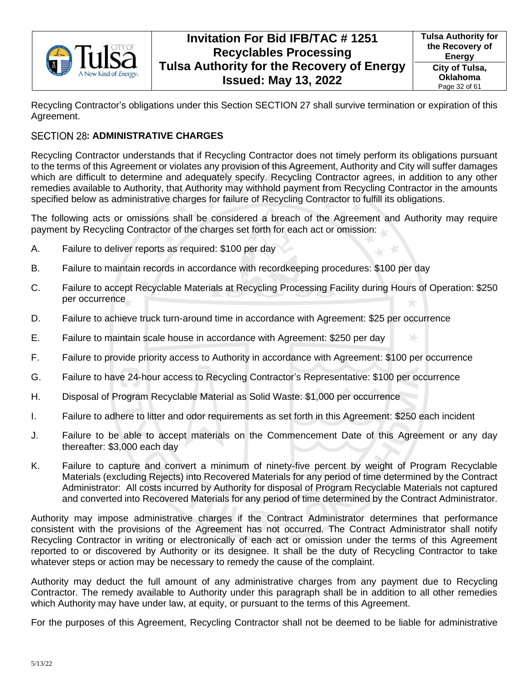

**Tulsa Authority for the Recovery of Energy City of Tulsa, Oklahoma** Page 32 of 61

Recycling Contractor's obligations under this Section [SECTION 27](#page-30-1) shall survive termination or expiration of this Agreement.

## <span id="page-31-0"></span>SECTION 28: ADMINISTRATIVE CHARGES

Recycling Contractor understands that if Recycling Contractor does not timely perform its obligations pursuant to the terms of this Agreement or violates any provision of this Agreement, Authority and City will suffer damages which are difficult to determine and adequately specify. Recycling Contractor agrees, in addition to any other remedies available to Authority, that Authority may withhold payment from Recycling Contractor in the amounts specified below as administrative charges for failure of Recycling Contractor to fulfill its obligations.

The following acts or omissions shall be considered a breach of the Agreement and Authority may require payment by Recycling Contractor of the charges set forth for each act or omission:

- A. Failure to deliver reports as required: \$100 per day
- B. Failure to maintain records in accordance with recordkeeping procedures: \$100 per day
- C. Failure to accept Recyclable Materials at Recycling Processing Facility during Hours of Operation: \$250 per occurrence
- D. Failure to achieve truck turn-around time in accordance with Agreement: \$25 per occurrence
- E. Failure to maintain scale house in accordance with Agreement: \$250 per day
- F. Failure to provide priority access to Authority in accordance with Agreement: \$100 per occurrence
- G. Failure to have 24-hour access to Recycling Contractor's Representative: \$100 per occurrence
- H. Disposal of Program Recyclable Material as Solid Waste: \$1,000 per occurrence
- I. Failure to adhere to litter and odor requirements as set forth in this Agreement: \$250 each incident
- J. Failure to be able to accept materials on the Commencement Date of this Agreement or any day thereafter: \$3,000 each day
- K. Failure to capture and convert a minimum of ninety-five percent by weight of Program Recyclable Materials (excluding Rejects) into Recovered Materials for any period of time determined by the Contract Administrator: All costs incurred by Authority for disposal of Program Recyclable Materials not captured and converted into Recovered Materials for any period of time determined by the Contract Administrator.

Authority may impose administrative charges if the Contract Administrator determines that performance consistent with the provisions of the Agreement has not occurred. The Contract Administrator shall notify Recycling Contractor in writing or electronically of each act or omission under the terms of this Agreement reported to or discovered by Authority or its designee. It shall be the duty of Recycling Contractor to take whatever steps or action may be necessary to remedy the cause of the complaint.

Authority may deduct the full amount of any administrative charges from any payment due to Recycling Contractor. The remedy available to Authority under this paragraph shall be in addition to all other remedies which Authority may have under law, at equity, or pursuant to the terms of this Agreement.

For the purposes of this Agreement, Recycling Contractor shall not be deemed to be liable for administrative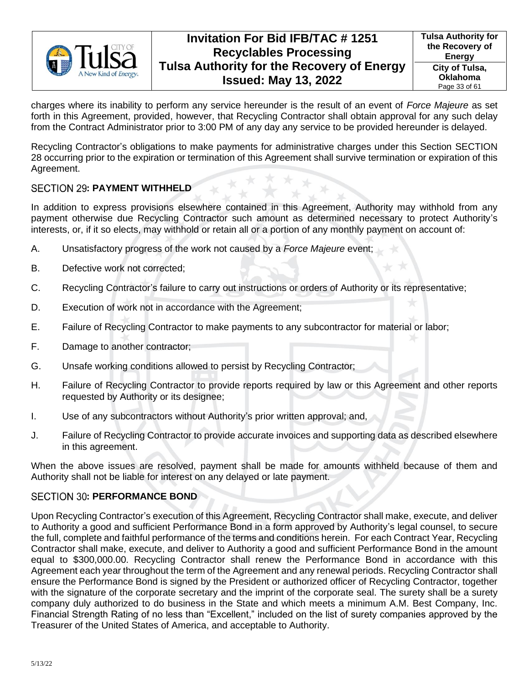

charges where its inability to perform any service hereunder is the result of an event of *Force Majeure* as set forth in this Agreement, provided, however, that Recycling Contractor shall obtain approval for any such delay from the Contract Administrator prior to 3:00 PM of any day any service to be provided hereunder is delayed.

Recycling Contractor's obligations to make payments for administrative charges under this Section [SECTION](#page-31-0)  [28](#page-31-0) occurring prior to the expiration or termination of this Agreement shall survive termination or expiration of this Agreement.

## <span id="page-32-0"></span>**SECTION 29: PAYMENT WITHHELD**

In addition to express provisions elsewhere contained in this Agreement, Authority may withhold from any payment otherwise due Recycling Contractor such amount as determined necessary to protect Authority's interests, or, if it so elects, may withhold or retain all or a portion of any monthly payment on account of:

- A. Unsatisfactory progress of the work not caused by a *Force Majeure* event;
- B. Defective work not corrected;
- C. Recycling Contractor's failure to carry out instructions or orders of Authority or its representative;
- D. Execution of work not in accordance with the Agreement;
- E. Failure of Recycling Contractor to make payments to any subcontractor for material or labor;
- F. Damage to another contractor;
- G. Unsafe working conditions allowed to persist by Recycling Contractor;
- H. Failure of Recycling Contractor to provide reports required by law or this Agreement and other reports requested by Authority or its designee;
- I. Use of any subcontractors without Authority's prior written approval; and,
- J. Failure of Recycling Contractor to provide accurate invoices and supporting data as described elsewhere in this agreement.

When the above issues are resolved, payment shall be made for amounts withheld because of them and Authority shall not be liable for interest on any delayed or late payment.

### <span id="page-32-1"></span>**SECTION 30: PERFORMANCE BOND**

Upon Recycling Contractor's execution of this Agreement, Recycling Contractor shall make, execute, and deliver to Authority a good and sufficient Performance Bond in a form approved by Authority's legal counsel, to secure the full, complete and faithful performance of the terms and conditions herein. For each Contract Year, Recycling Contractor shall make, execute, and deliver to Authority a good and sufficient Performance Bond in the amount equal to \$300,000.00. Recycling Contractor shall renew the Performance Bond in accordance with this Agreement each year throughout the term of the Agreement and any renewal periods. Recycling Contractor shall ensure the Performance Bond is signed by the President or authorized officer of Recycling Contractor, together with the signature of the corporate secretary and the imprint of the corporate seal. The surety shall be a surety company duly authorized to do business in the State and which meets a minimum A.M. Best Company, Inc. Financial Strength Rating of no less than "Excellent," included on the list of surety companies approved by the Treasurer of the United States of America, and acceptable to Authority.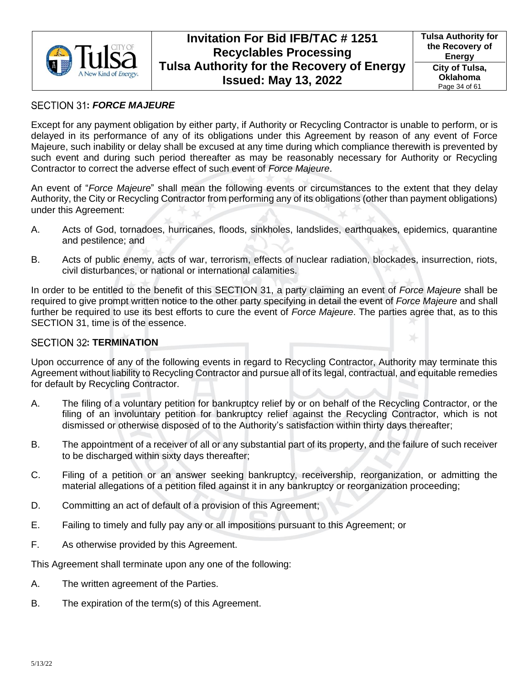

## <span id="page-33-0"></span>**:** *FORCE MAJEURE*

Except for any payment obligation by either party, if Authority or Recycling Contractor is unable to perform, or is delayed in its performance of any of its obligations under this Agreement by reason of any event of Force Majeure, such inability or delay shall be excused at any time during which compliance therewith is prevented by such event and during such period thereafter as may be reasonably necessary for Authority or Recycling Contractor to correct the adverse effect of such event of *Force Majeure*.

An event of "*Force Majeure*" shall mean the following events or circumstances to the extent that they delay Authority, the City or Recycling Contractor from performing any of its obligations (other than payment obligations) under this Agreement:

- A. Acts of God, tornadoes, hurricanes, floods, sinkholes, landslides, earthquakes, epidemics, quarantine and pestilence; and
- B. Acts of public enemy, acts of war, terrorism, effects of nuclear radiation, blockades, insurrection, riots, civil disturbances, or national or international calamities.

In order to be entitled to the benefit of this [SECTION 31,](#page-33-0) a party claiming an event of *Force Majeure* shall be required to give prompt written notice to the other party specifying in detail the event of *Force Majeure* and shall further be required to use its best efforts to cure the event of *Force Majeure*. The parties agree that, as to this [SECTION 31,](#page-33-0) time is of the essence.

### <span id="page-33-1"></span>**SECTION 32: TERMINATION**

Upon occurrence of any of the following events in regard to Recycling Contractor, Authority may terminate this Agreement without liability to Recycling Contractor and pursue all of its legal, contractual, and equitable remedies for default by Recycling Contractor.

- A. The filing of a voluntary petition for bankruptcy relief by or on behalf of the Recycling Contractor, or the filing of an involuntary petition for bankruptcy relief against the Recycling Contractor, which is not dismissed or otherwise disposed of to the Authority's satisfaction within thirty days thereafter;
- B. The appointment of a receiver of all or any substantial part of its property, and the failure of such receiver to be discharged within sixty days thereafter;
- C. Filing of a petition or an answer seeking bankruptcy, receivership, reorganization, or admitting the material allegations of a petition filed against it in any bankruptcy or reorganization proceeding;
- D. Committing an act of default of a provision of this Agreement;
- E. Failing to timely and fully pay any or all impositions pursuant to this Agreement; or
- F. As otherwise provided by this Agreement.

This Agreement shall terminate upon any one of the following:

- A. The written agreement of the Parties.
- B. The expiration of the term(s) of this Agreement.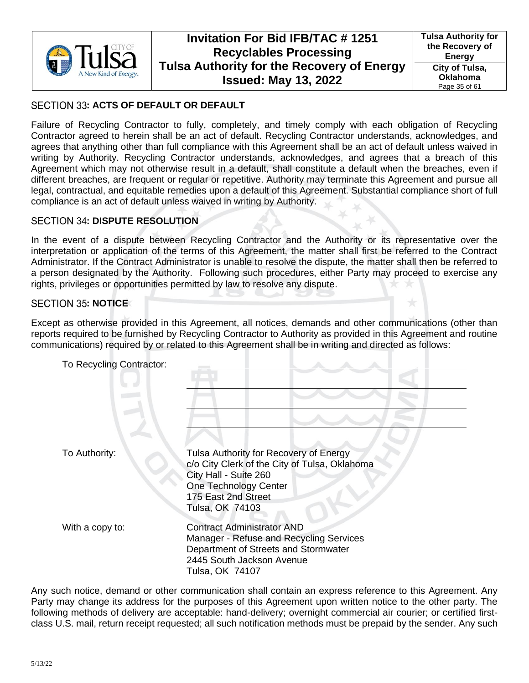

## <span id="page-34-0"></span>SECTION 33: ACTS OF DEFAULT OR DEFAULT

Failure of Recycling Contractor to fully, completely, and timely comply with each obligation of Recycling Contractor agreed to herein shall be an act of default. Recycling Contractor understands, acknowledges, and agrees that anything other than full compliance with this Agreement shall be an act of default unless waived in writing by Authority. Recycling Contractor understands, acknowledges, and agrees that a breach of this Agreement which may not otherwise result in a default, shall constitute a default when the breaches, even if different breaches, are frequent or regular or repetitive. Authority may terminate this Agreement and pursue all legal, contractual, and equitable remedies upon a default of this Agreement. Substantial compliance short of full compliance is an act of default unless waived in writing by Authority.

### <span id="page-34-1"></span>**SECTION 34: DISPUTE RESOLUTION**

In the event of a dispute between Recycling Contractor and the Authority or its representative over the interpretation or application of the terms of this Agreement, the matter shall first be referred to the Contract Administrator. If the Contract Administrator is unable to resolve the dispute, the matter shall then be referred to a person designated by the Authority. Following such procedures, either Party may proceed to exercise any rights, privileges or opportunities permitted by law to resolve any dispute.

#### <span id="page-34-2"></span>**SECTION 35: NOTICE**

Except as otherwise provided in this Agreement, all notices, demands and other communications (other than reports required to be furnished by Recycling Contractor to Authority as provided in this Agreement and routine communications) required by or related to this Agreement shall be in writing and directed as follows:

| To Recycling Contractor: |                                                                                                                                                                                     |
|--------------------------|-------------------------------------------------------------------------------------------------------------------------------------------------------------------------------------|
|                          |                                                                                                                                                                                     |
| To Authority:            | Tulsa Authority for Recovery of Energy<br>c/o City Clerk of the City of Tulsa, Oklahoma<br>City Hall - Suite 260<br>One Technology Center<br>175 East 2nd Street<br>Tulsa, OK 74103 |
| With a copy to:          | <b>Contract Administrator AND</b><br>Manager - Refuse and Recycling Services<br>Department of Streets and Stormwater<br>2445 South Jackson Avenue<br>Tulsa, OK 74107                |

Any such notice, demand or other communication shall contain an express reference to this Agreement. Any Party may change its address for the purposes of this Agreement upon written notice to the other party. The following methods of delivery are acceptable: hand-delivery; overnight commercial air courier; or certified firstclass U.S. mail, return receipt requested; all such notification methods must be prepaid by the sender. Any such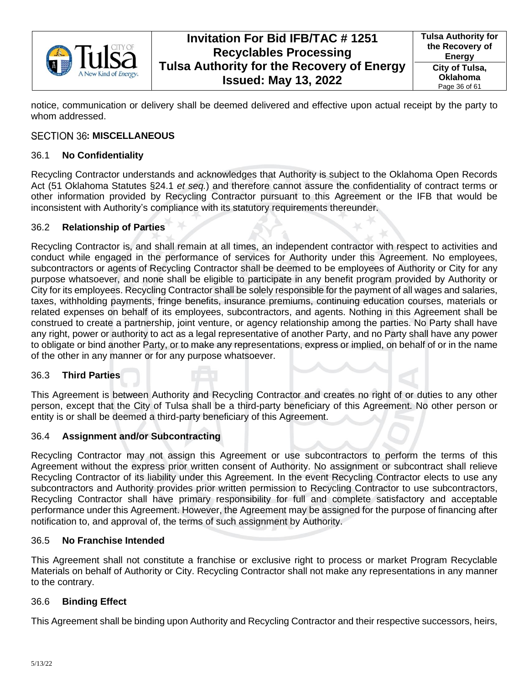

**Tulsa Authority for the Recovery of Energy City of Tulsa, Oklahoma** Page 36 of 61

notice, communication or delivery shall be deemed delivered and effective upon actual receipt by the party to whom addressed.

## <span id="page-35-0"></span>SECTION 36: MISCELLANEOUS

### <span id="page-35-1"></span>36.1 **No Confidentiality**

Recycling Contractor understands and acknowledges that Authority is subject to the Oklahoma Open Records Act (51 Oklahoma Statutes §24.1 *et seq.*) and therefore cannot assure the confidentiality of contract terms or other information provided by Recycling Contractor pursuant to this Agreement or the IFB that would be inconsistent with Authority's compliance with its statutory requirements thereunder.

### <span id="page-35-2"></span>36.2 **Relationship of Parties**

Recycling Contractor is, and shall remain at all times, an independent contractor with respect to activities and conduct while engaged in the performance of services for Authority under this Agreement. No employees, subcontractors or agents of Recycling Contractor shall be deemed to be employees of Authority or City for any purpose whatsoever, and none shall be eligible to participate in any benefit program provided by Authority or City for its employees. Recycling Contractor shall be solely responsible for the payment of all wages and salaries, taxes, withholding payments, fringe benefits, insurance premiums, continuing education courses, materials or related expenses on behalf of its employees, subcontractors, and agents. Nothing in this Agreement shall be construed to create a partnership, joint venture, or agency relationship among the parties. No Party shall have any right, power or authority to act as a legal representative of another Party, and no Party shall have any power to obligate or bind another Party, or to make any representations, express or implied, on behalf of or in the name of the other in any manner or for any purpose whatsoever.

### <span id="page-35-3"></span>36.3 **Third Parties**

This Agreement is between Authority and Recycling Contractor and creates no right of or duties to any other person, except that the City of Tulsa shall be a third-party beneficiary of this Agreement. No other person or entity is or shall be deemed a third-party beneficiary of this Agreement.

### <span id="page-35-4"></span>36.4 **Assignment and/or Subcontracting**

Recycling Contractor may not assign this Agreement or use subcontractors to perform the terms of this Agreement without the express prior written consent of Authority. No assignment or subcontract shall relieve Recycling Contractor of its liability under this Agreement. In the event Recycling Contractor elects to use any subcontractors and Authority provides prior written permission to Recycling Contractor to use subcontractors, Recycling Contractor shall have primary responsibility for full and complete satisfactory and acceptable performance under this Agreement. However, the Agreement may be assigned for the purpose of financing after notification to, and approval of, the terms of such assignment by Authority.

### <span id="page-35-5"></span>36.5 **No Franchise Intended**

This Agreement shall not constitute a franchise or exclusive right to process or market Program Recyclable Materials on behalf of Authority or City. Recycling Contractor shall not make any representations in any manner to the contrary.

### <span id="page-35-6"></span>36.6 **Binding Effect**

This Agreement shall be binding upon Authority and Recycling Contractor and their respective successors, heirs,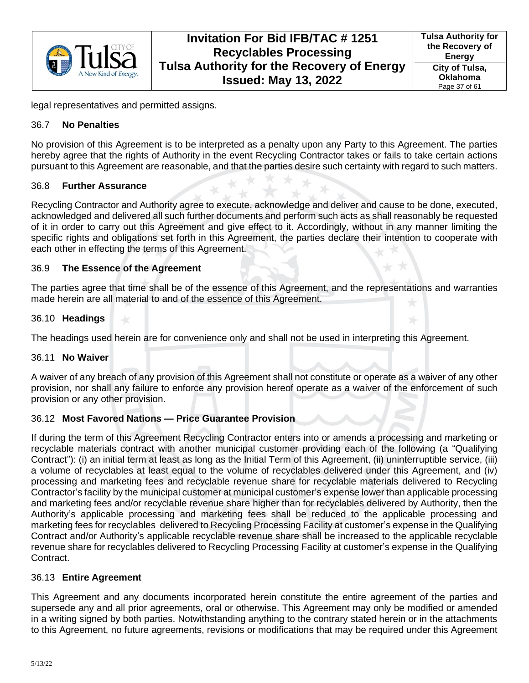

legal representatives and permitted assigns.

### <span id="page-36-0"></span>36.7 **No Penalties**

No provision of this Agreement is to be interpreted as a penalty upon any Party to this Agreement. The parties hereby agree that the rights of Authority in the event Recycling Contractor takes or fails to take certain actions pursuant to this Agreement are reasonable, and that the parties desire such certainty with regard to such matters.

## <span id="page-36-1"></span>36.8 **Further Assurance**

Recycling Contractor and Authority agree to execute, acknowledge and deliver and cause to be done, executed, acknowledged and delivered all such further documents and perform such acts as shall reasonably be requested of it in order to carry out this Agreement and give effect to it. Accordingly, without in any manner limiting the specific rights and obligations set forth in this Agreement, the parties declare their intention to cooperate with each other in effecting the terms of this Agreement.

## <span id="page-36-2"></span>36.9 **The Essence of the Agreement**

The parties agree that time shall be of the essence of this Agreement, and the representations and warranties made herein are all material to and of the essence of this Agreement.

## <span id="page-36-3"></span>36.10 **Headings**

The headings used herein are for convenience only and shall not be used in interpreting this Agreement.

## <span id="page-36-4"></span>36.11 **No Waiver**

A waiver of any breach of any provision of this Agreement shall not constitute or operate as a waiver of any other provision, nor shall any failure to enforce any provision hereof operate as a waiver of the enforcement of such provision or any other provision.

## <span id="page-36-5"></span>36.12 **Most Favored Nations — Price Guarantee Provision**

If during the term of this Agreement Recycling Contractor enters into or amends a processing and marketing or recyclable materials contract with another municipal customer providing each of the following (a "Qualifying Contract"): (i) an initial term at least as long as the Initial Term of this Agreement, (ii) uninterruptible service, (iii) a volume of recyclables at least equal to the volume of recyclables delivered under this Agreement, and (iv) processing and marketing fees and recyclable revenue share for recyclable materials delivered to Recycling Contractor's facility by the municipal customer at municipal customer's expense lower than applicable processing and marketing fees and/or recyclable revenue share higher than for recyclables delivered by Authority, then the Authority's applicable processing and marketing fees shall be reduced to the applicable processing and marketing fees for recyclables delivered to Recycling Processing Facility at customer's expense in the Qualifying Contract and/or Authority's applicable recyclable revenue share shall be increased to the applicable recyclable revenue share for recyclables delivered to Recycling Processing Facility at customer's expense in the Qualifying Contract.

### <span id="page-36-6"></span>36.13 **Entire Agreement**

This Agreement and any documents incorporated herein constitute the entire agreement of the parties and supersede any and all prior agreements, oral or otherwise. This Agreement may only be modified or amended in a writing signed by both parties. Notwithstanding anything to the contrary stated herein or in the attachments to this Agreement, no future agreements, revisions or modifications that may be required under this Agreement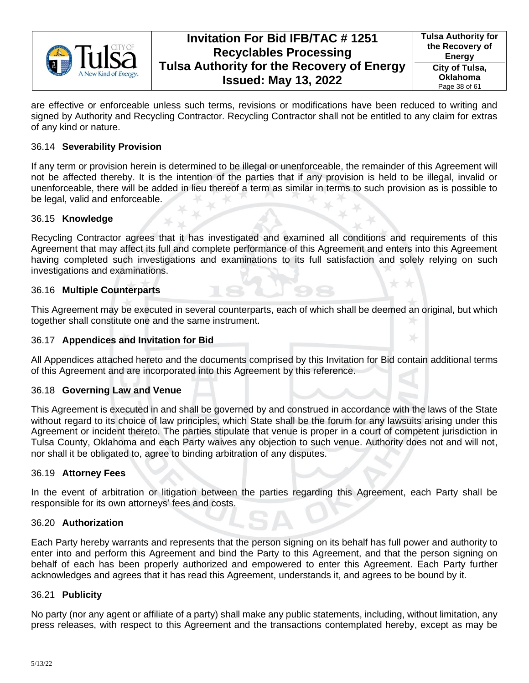

**Tulsa Authority for the Recovery of Energy City of Tulsa, Oklahoma** Page 38 of 61

are effective or enforceable unless such terms, revisions or modifications have been reduced to writing and signed by Authority and Recycling Contractor. Recycling Contractor shall not be entitled to any claim for extras of any kind or nature.

#### <span id="page-37-0"></span>36.14 **Severability Provision**

If any term or provision herein is determined to be illegal or unenforceable, the remainder of this Agreement will not be affected thereby. It is the intention of the parties that if any provision is held to be illegal, invalid or unenforceable, there will be added in lieu thereof a term as similar in terms to such provision as is possible to be legal, valid and enforceable.

#### <span id="page-37-1"></span>36.15 **Knowledge**

Recycling Contractor agrees that it has investigated and examined all conditions and requirements of this Agreement that may affect its full and complete performance of this Agreement and enters into this Agreement having completed such investigations and examinations to its full satisfaction and solely relying on such investigations and examinations.

#### <span id="page-37-2"></span>36.16 **Multiple Counterparts**

This Agreement may be executed in several counterparts, each of which shall be deemed an original, but which together shall constitute one and the same instrument.

#### <span id="page-37-3"></span>36.17 **Appendices and Invitation for Bid**

All Appendices attached hereto and the documents comprised by this Invitation for Bid contain additional terms of this Agreement and are incorporated into this Agreement by this reference.

### <span id="page-37-4"></span>36.18 **Governing Law and Venue**

This Agreement is executed in and shall be governed by and construed in accordance with the laws of the State without regard to its choice of law principles, which State shall be the forum for any lawsuits arising under this Agreement or incident thereto. The parties stipulate that venue is proper in a court of competent jurisdiction in Tulsa County, Oklahoma and each Party waives any objection to such venue. Authority does not and will not, nor shall it be obligated to, agree to binding arbitration of any disputes.

#### <span id="page-37-5"></span>36.19 **Attorney Fees**

In the event of arbitration or litigation between the parties regarding this Agreement, each Party shall be responsible for its own attorneys' fees and costs.

#### <span id="page-37-6"></span>36.20 **Authorization**

Each Party hereby warrants and represents that the person signing on its behalf has full power and authority to enter into and perform this Agreement and bind the Party to this Agreement, and that the person signing on behalf of each has been properly authorized and empowered to enter this Agreement. Each Party further acknowledges and agrees that it has read this Agreement, understands it, and agrees to be bound by it.

#### <span id="page-37-7"></span>36.21 **Publicity**

No party (nor any agent or affiliate of a party) shall make any public statements, including, without limitation, any press releases, with respect to this Agreement and the transactions contemplated hereby, except as may be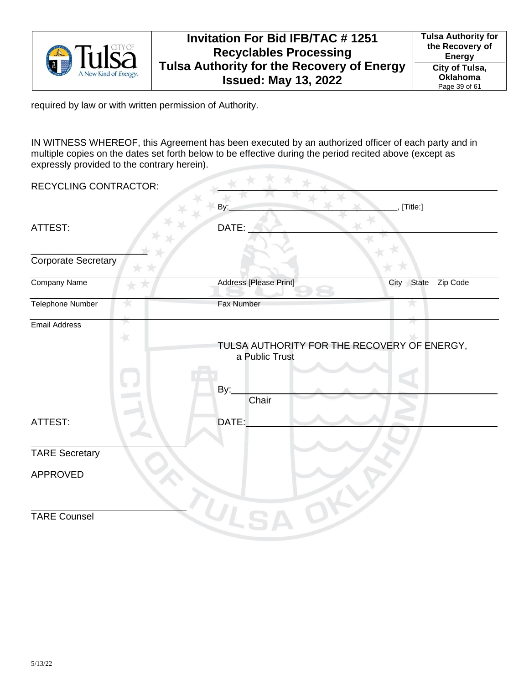

required by law or with written permission of Authority.

IN WITNESS WHEREOF, this Agreement has been executed by an authorized officer of each party and in multiple copies on the dates set forth below to be effective during the period recited above (except as expressly provided to the contrary herein).

| <b>RECYCLING CONTRACTOR:</b> |               |                              |                                             |
|------------------------------|---------------|------------------------------|---------------------------------------------|
|                              |               | By:                          | [Title:]                                    |
| ATTEST:                      |               | DATE:                        |                                             |
| <b>Corporate Secretary</b>   |               |                              |                                             |
| Company Name                 |               | Address [Please Print]       | State<br>Zip Code<br>City                   |
| Telephone Number             |               | Fax Number                   |                                             |
| <b>Email Address</b>         | y.<br>$\star$ | a Public Trust               | TULSA AUTHORITY FOR THE RECOVERY OF ENERGY, |
| ATTEST:                      |               | <u>By:</u><br>Chair<br>DATE: |                                             |
|                              |               |                              |                                             |
| <b>TARE Secretary</b>        |               |                              |                                             |
| APPROVED                     |               |                              |                                             |
| <b>TARE Counsel</b>          |               | $U_{15}$                     |                                             |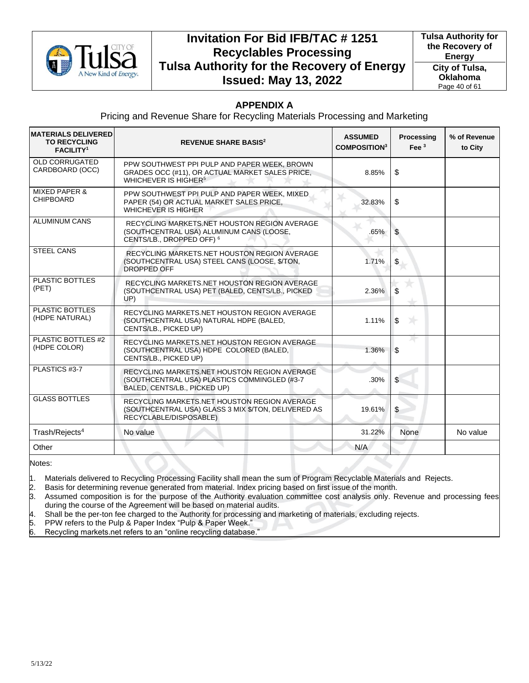

**Tulsa Authority for the Recovery of Energy City of Tulsa, Oklahoma** Page 40 of 61

## **APPENDIX A**

Pricing and Revenue Share for Recycling Materials Processing and Marketing

| <b>MATERIALS DELIVERED</b><br><b>TO RECYCLING</b><br><b>FACILITY<sup>1</sup></b> | <b>REVENUE SHARE BASIS<sup>2</sup></b>                                                                                              | <b>ASSUMED</b><br><b>COMPOSITION3</b> | <b>Processing</b><br>Fee $3$ | % of Revenue<br>to City |
|----------------------------------------------------------------------------------|-------------------------------------------------------------------------------------------------------------------------------------|---------------------------------------|------------------------------|-------------------------|
| <b>OLD CORRUGATED</b><br>CARDBOARD (OCC)                                         | PPW SOUTHWEST PPI PULP AND PAPER WEEK, BROWN<br>GRADES OCC (#11), OR ACTUAL MARKET SALES PRICE,<br>WHICHEVER IS HIGHER <sup>5</sup> | 8.85%                                 | \$                           |                         |
| <b>MIXED PAPER &amp;</b><br><b>CHIPBOARD</b>                                     | PPW SOUTHWEST PPI PULP AND PAPER WEEK, MIXED<br>PAPER (54) OR ACTUAL MARKET SALES PRICE,<br><b>WHICHEVER IS HIGHER</b>              | 32.83%                                | \$                           |                         |
| <b>ALUMINUM CANS</b>                                                             | RECYCLING MARKETS.NET HOUSTON REGION AVERAGE<br>(SOUTHCENTRAL USA) ALUMINUM CANS (LOOSE,<br>CENTS/LB., DROPPED OFF) <sup>6</sup>    | .65%                                  | \$                           |                         |
| <b>STEEL CANS</b>                                                                | RECYCLING MARKETS.NET HOUSTON REGION AVERAGE<br>(SOUTHCENTRAL USA) STEEL CANS (LOOSE, \$/TON,<br><b>DROPPED OFF</b>                 | 1.71%                                 | \$                           |                         |
| PLASTIC BOTTLES<br>(PET)                                                         | RECYCLING MARKETS.NET HOUSTON REGION AVERAGE<br>(SOUTHCENTRAL USA) PET (BALED, CENTS/LB., PICKED<br>UP)                             | 2.36%                                 | \$                           |                         |
| <b>PLASTIC BOTTLES</b><br>(HDPE NATURAL)                                         | RECYCLING MARKETS.NET HOUSTON REGION AVERAGE<br>(SOUTHCENTRAL USA) NATURAL HDPE (BALED,<br>CENTS/LB., PICKED UP)                    | 1.11%                                 | <b>NH</b><br>\$              |                         |
| PLASTIC BOTTLES #2<br>(HDPE COLOR)                                               | RECYCLING MARKETS.NET HOUSTON REGION AVERAGE<br>(SOUTHCENTRAL USA) HDPE COLORED (BALED,<br>CENTS/LB., PICKED UP)                    | 1.36%                                 | \$                           |                         |
| PLASTICS #3-7                                                                    | RECYCLING MARKETS.NET HOUSTON REGION AVERAGE<br>(SOUTHCENTRAL USA) PLASTICS COMMINGLED (#3-7<br>BALED, CENTS/LB., PICKED UP)        | .30%                                  | \$                           |                         |
| <b>GLASS BOTTLES</b>                                                             | RECYCLING MARKETS.NET HOUSTON REGION AVERAGE<br>(SOUTHCENTRAL USA) GLASS 3 MIX \$/TON, DELIVERED AS<br>RECYCLABLE/DISPOSABLE)       | 19.61%                                | \$                           |                         |
| Trash/Rejects <sup>4</sup>                                                       | No value                                                                                                                            | 31.22%                                | <b>None</b>                  | No value                |
| Other                                                                            |                                                                                                                                     | N/A                                   |                              |                         |

Notes:

1. Materials delivered to Recycling Processing Facility shall mean the sum of Program Recyclable Materials and Rejects.

2. Basis for determining revenue generated from material. Index pricing based on first issue of the month.

3. Assumed composition is for the purpose of the Authority evaluation committee cost analysis only. Revenue and processing fees during the course of the Agreement will be based on material audits.

4. Shall be the per-ton fee charged to the Authority for processing and marketing of materials, excluding rejects.

5. PPW refers to the Pulp & Paper Index "Pulp & Paper Week."

6. Recycling markets.net refers to an "online recycling database."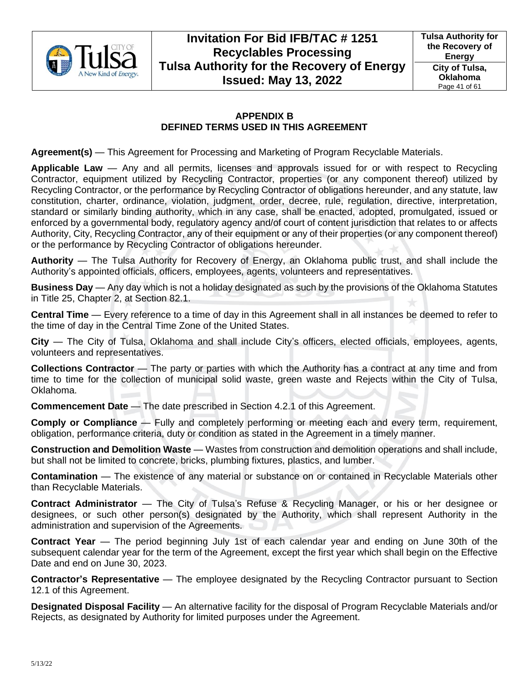

## **APPENDIX B DEFINED TERMS USED IN THIS AGREEMENT**

**Agreement(s)** — This Agreement for Processing and Marketing of Program Recyclable Materials.

**Applicable Law** — Any and all permits, licenses and approvals issued for or with respect to Recycling Contractor, equipment utilized by Recycling Contractor, properties (or any component thereof) utilized by Recycling Contractor, or the performance by Recycling Contractor of obligations hereunder, and any statute, law constitution, charter, ordinance, violation, judgment, order, decree, rule, regulation, directive, interpretation, standard or similarly binding authority, which in any case, shall be enacted, adopted, promulgated, issued or enforced by a governmental body, regulatory agency and/of court of content jurisdiction that relates to or affects Authority, City, Recycling Contractor, any of their equipment or any of their properties (or any component thereof) or the performance by Recycling Contractor of obligations hereunder.

**Authority** — The Tulsa Authority for Recovery of Energy, an Oklahoma public trust, and shall include the Authority's appointed officials, officers, employees, agents, volunteers and representatives.

**Business Day** — Any day which is not a holiday designated as such by the provisions of the Oklahoma Statutes in Title 25, Chapter 2, at Section 82.1.

**Central Time** — Every reference to a time of day in this Agreement shall in all instances be deemed to refer to the time of day in the Central Time Zone of the United States.

**City** — The City of Tulsa, Oklahoma and shall include City's officers, elected officials, employees, agents, volunteers and representatives.

**Collections Contractor** — The party or parties with which the Authority has a contract at any time and from time to time for the collection of municipal solid waste, green waste and Rejects within the City of Tulsa, Oklahoma.

**Commencement Date** — The date prescribed in Section [4.2.1](#page-11-5) of this Agreement.

**Comply or Compliance** — Fully and completely performing or meeting each and every term, requirement, obligation, performance criteria, duty or condition as stated in the Agreement in a timely manner.

**Construction and Demolition Waste** — Wastes from construction and demolition operations and shall include, but shall not be limited to concrete, bricks, plumbing fixtures, plastics, and lumber.

**Contamination** — The existence of any material or substance on or contained in Recyclable Materials other than Recyclable Materials.

**Contract Administrator** — The City of Tulsa's Refuse & Recycling Manager, or his or her designee or designees, or such other person(s) designated by the Authority, which shall represent Authority in the administration and supervision of the Agreements.

**Contract Year** — The period beginning July 1st of each calendar year and ending on June 30th of the subsequent calendar year for the term of the Agreement, except the first year which shall begin on the Effective Date and end on June 30, 2023.

**Contractor's Representative** — The employee designated by the Recycling Contractor pursuant to Section [12.1](#page-20-2) of this Agreement.

**Designated Disposal Facility** — An alternative facility for the disposal of Program Recyclable Materials and/or Rejects, as designated by Authority for limited purposes under the Agreement.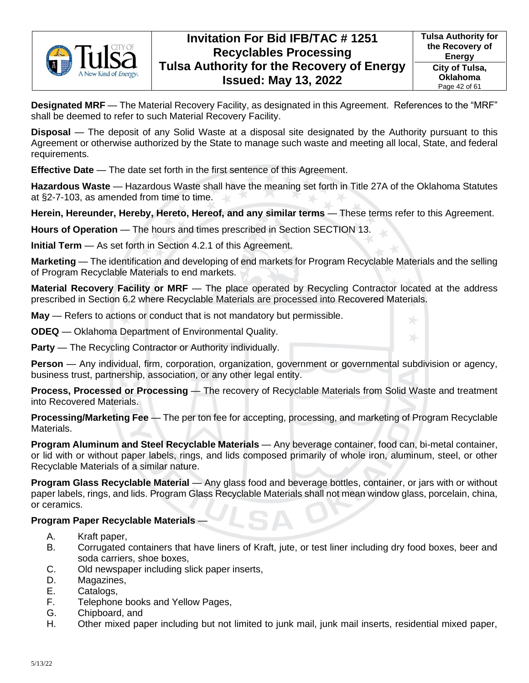

**Designated MRF** — The Material Recovery Facility, as designated in this Agreement. References to the "MRF" shall be deemed to refer to such Material Recovery Facility.

**Disposal** — The deposit of any Solid Waste at a disposal site designated by the Authority pursuant to this Agreement or otherwise authorized by the State to manage such waste and meeting all local, State, and federal requirements.

**Effective Date** — The date set forth in the first sentence of this Agreement.

**Hazardous Waste** — Hazardous Waste shall have the meaning set forth in Title 27A of the Oklahoma Statutes at §2-7-103, as amended from time to time.

**Herein, Hereunder, Hereby, Hereto, Hereof, and any similar terms** — These terms refer to this Agreement.

**Hours of Operation** — The hours and times prescribed in Section [SECTION 13.](#page-21-0)

**Initial Term** — As set forth in Section [4.2.1](#page-11-5) of this Agreement.

**Marketing** — The identification and developing of end markets for Program Recyclable Materials and the selling of Program Recyclable Materials to end markets.

**Material Recovery Facility or MRF** — The place operated by Recycling Contractor located at the address prescribed in Section [6.2](#page-13-3) where Recyclable Materials are processed into Recovered Materials.

**May** — Refers to actions or conduct that is not mandatory but permissible.

**ODEQ** — Oklahoma Department of Environmental Quality.

**Party** — The Recycling Contractor or Authority individually.

**Person** — Any individual, firm, corporation, organization, government or governmental subdivision or agency, business trust, partnership, association, or any other legal entity.

**Process, Processed or Processing** — The recovery of Recyclable Materials from Solid Waste and treatment into Recovered Materials.

**Processing/Marketing Fee** — The per ton fee for accepting, processing, and marketing of Program Recyclable Materials.

**Program Aluminum and Steel Recyclable Materials** — Any beverage container, food can, bi-metal container, or lid with or without paper labels, rings, and lids composed primarily of whole iron, aluminum, steel, or other Recyclable Materials of a similar nature.

**Program Glass Recyclable Material** — Any glass food and beverage bottles, container, or jars with or without paper labels, rings, and lids. Program Glass Recyclable Materials shall not mean window glass, porcelain, china, or ceramics.

### **Program Paper Recyclable Materials** —

- A. Kraft paper,
- B. Corrugated containers that have liners of Kraft, jute, or test liner including dry food boxes, beer and soda carriers, shoe boxes,
- C. Old newspaper including slick paper inserts,
- D. Magazines,
- E. Catalogs,
- F. Telephone books and Yellow Pages,
- G. Chipboard, and
- H. Other mixed paper including but not limited to junk mail, junk mail inserts, residential mixed paper,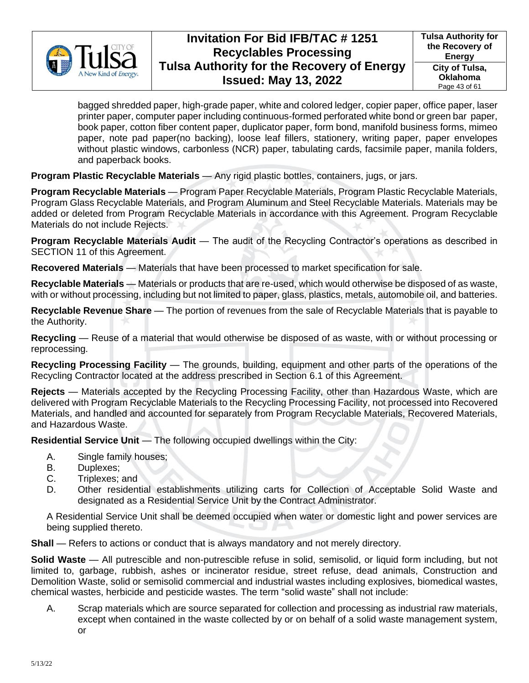

bagged shredded paper, high-grade paper, white and colored ledger, copier paper, office paper, laser printer paper, computer paper including continuous-formed perforated white bond or green bar paper, book paper, cotton fiber content paper, duplicator paper, form bond, manifold business forms, mimeo paper, note pad paper(no backing), loose leaf fillers, stationery, writing paper, paper envelopes without plastic windows, carbonless (NCR) paper, tabulating cards, facsimile paper, manila folders, and paperback books.

**Program Plastic Recyclable Materials** — Any rigid plastic bottles, containers, jugs, or jars.

**Program Recyclable Materials** — Program Paper Recyclable Materials, Program Plastic Recyclable Materials, Program Glass Recyclable Materials, and Program Aluminum and Steel Recyclable Materials. Materials may be added or deleted from Program Recyclable Materials in accordance with this Agreement. Program Recyclable Materials do not include Rejects.

**Program Recyclable Materials Audit** — The audit of the Recycling Contractor's operations as described in [SECTION 11](#page-20-0) of this Agreement.

**Recovered Materials** — Materials that have been processed to market specification for sale.

**Recyclable Materials** — Materials or products that are re-used, which would otherwise be disposed of as waste, with or without processing, including but not limited to paper, glass, plastics, metals, automobile oil, and batteries.

**Recyclable Revenue Share** — The portion of revenues from the sale of Recyclable Materials that is payable to the Authority.

**Recycling** — Reuse of a material that would otherwise be disposed of as waste, with or without processing or reprocessing.

**Recycling Processing Facility** — The grounds, building, equipment and other parts of the operations of the Recycling Contractor located at the address prescribed in Section [6.1](#page-13-2) of this Agreement.

**Rejects** — Materials accepted by the Recycling Processing Facility, other than Hazardous Waste, which are delivered with Program Recyclable Materials to the Recycling Processing Facility, not processed into Recovered Materials, and handled and accounted for separately from Program Recyclable Materials, Recovered Materials, and Hazardous Waste.

**Residential Service Unit** — The following occupied dwellings within the City:

- A. Single family houses;
- B. Duplexes;
- C. Triplexes; and
- D. Other residential establishments utilizing carts for Collection of Acceptable Solid Waste and designated as a Residential Service Unit by the Contract Administrator.

A Residential Service Unit shall be deemed occupied when water or domestic light and power services are being supplied thereto.

**Shall** — Refers to actions or conduct that is always mandatory and not merely directory.

**Solid Waste** — All putrescible and non-putrescible refuse in solid, semisolid, or liquid form including, but not limited to, garbage, rubbish, ashes or incinerator residue, street refuse, dead animals, Construction and Demolition Waste, solid or semisolid commercial and industrial wastes including explosives, biomedical wastes, chemical wastes, herbicide and pesticide wastes. The term "solid waste" shall not include:

A. Scrap materials which are source separated for collection and processing as industrial raw materials, except when contained in the waste collected by or on behalf of a solid waste management system, or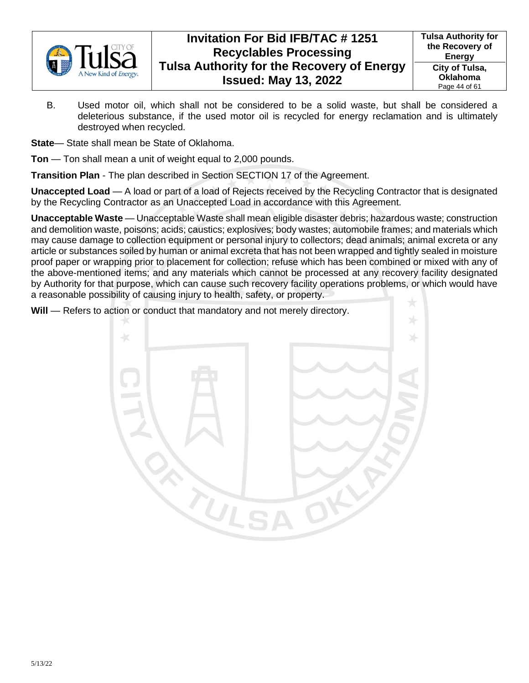

**Tulsa Authority for the Recovery of Energy City of Tulsa, Oklahoma** Page 44 of 61

B. Used motor oil, which shall not be considered to be a solid waste, but shall be considered a deleterious substance, if the used motor oil is recycled for energy reclamation and is ultimately destroyed when recycled.

**State**— State shall mean be State of Oklahoma.

**Ton** — Ton shall mean a unit of weight equal to 2,000 pounds.

**Transition Plan** - The plan described in Section [SECTION 17](#page-22-2) of the Agreement.

**Unaccepted Load** — A load or part of a load of Rejects received by the Recycling Contractor that is designated by the Recycling Contractor as an Unaccepted Load in accordance with this Agreement.

**Unacceptable Waste** — Unacceptable Waste shall mean eligible disaster debris; hazardous waste; construction and demolition waste, poisons; acids; caustics; explosives; body wastes; automobile frames; and materials which may cause damage to collection equipment or personal injury to collectors; dead animals; animal excreta or any article or substances soiled by human or animal excreta that has not been wrapped and tightly sealed in moisture proof paper or wrapping prior to placement for collection; refuse which has been combined or mixed with any of the above-mentioned items; and any materials which cannot be processed at any recovery facility designated by Authority for that purpose, which can cause such recovery facility operations problems, or which would have a reasonable possibility of causing injury to health, safety, or property.

**Will** — Refers to action or conduct that mandatory and not merely directory.

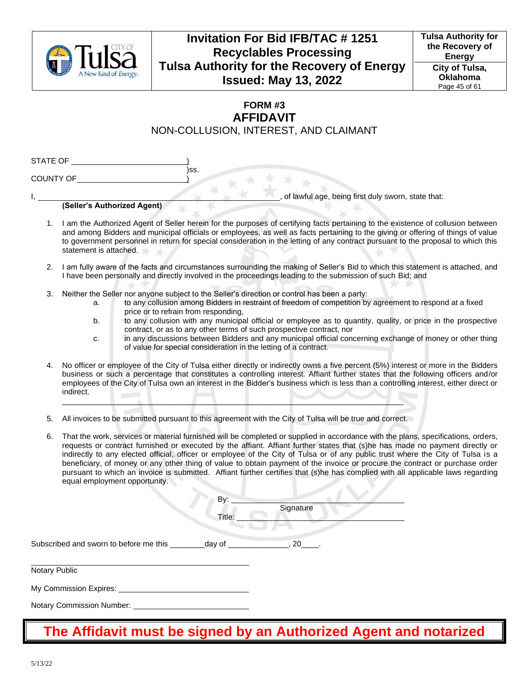

**Tulsa Authority for the Recovery of Energy City of Tulsa, Oklahoma** Page 45 of 61

## **FORM #3 AFFIDAVIT** NON-COLLUSION, INTEREST, AND CLAIMANT

| STATE OF         |      |
|------------------|------|
|                  | )SS. |
| <b>COUNTY OF</b> |      |

of lawful age, being first duly sworn, state that:

### **(Seller's Authorized Agent)**

- 1. I am the Authorized Agent of Seller herein for the purposes of certifying facts pertaining to the existence of collusion between and among Bidders and municipal officials or employees, as well as facts pertaining to the giving or offering of things of value to government personnel in return for special consideration in the letting of any contract pursuant to the proposal to which this statement is attached.
- 2. I am fully aware of the facts and circumstances surrounding the making of Seller's Bid to which this statement is attached, and I have been personally and directly involved in the proceedings leading to the submission of such Bid; and
- 3. Neither the Seller nor anyone subject to the Seller's direction or control has been a party:
	- a. to any collusion among Bidders in restraint of freedom of competition by agreement to respond at a fixed price or to refrain from responding,
	- b. to any collusion with any municipal official or employee as to quantity, quality, or price in the prospective contract, or as to any other terms of such prospective contract, nor
	- c. in any discussions between Bidders and any municipal official concerning exchange of money or other thing of value for special consideration in the letting of a contract.
- 4. No officer or employee of the City of Tulsa either directly or indirectly owns a five percent (5%) interest or more in the Bidders business or such a percentage that constitutes a controlling interest. Affiant further states that the following officers and/or employees of the City of Tulsa own an interest in the Bidder's business which is less than a controlling interest, either direct or indirect.
- 5. All invoices to be submitted pursuant to this agreement with the City of Tulsa will be true and correct.

\_\_\_\_\_\_\_\_\_\_\_\_\_\_\_\_\_\_\_\_\_\_\_\_\_\_\_\_\_\_\_\_\_\_\_\_\_\_\_\_\_\_\_\_\_\_\_\_\_\_\_\_\_\_\_\_\_\_\_\_\_\_\_\_\_\_\_\_\_\_\_\_\_\_\_\_\_\_\_

6. That the work, services or material furnished will be completed or supplied in accordance with the plans, specifications, orders, requests or contract furnished or executed by the affiant. Affiant further states that (s)he has made no payment directly or indirectly to any elected official, officer or employee of the City of Tulsa or of any public trust where the City of Tulsa is a beneficiary, of money or any other thing of value to obtain payment of the invoice or procure the contract or purchase order pursuant to which an invoice is submitted. Affiant further certifies that (s)he has complied with all applicable laws regarding equal employment opportunity.

|                                        | By:<br>Title: | Signature |  |
|----------------------------------------|---------------|-----------|--|
| Subscribed and sworn to before me this | _day of _     | $.20$ .   |  |
| Notary Public                          |               |           |  |
| My Commission Expires:                 |               |           |  |

Notary Commission Number:

# **The Affidavit must be signed by an Authorized Agent and notarized**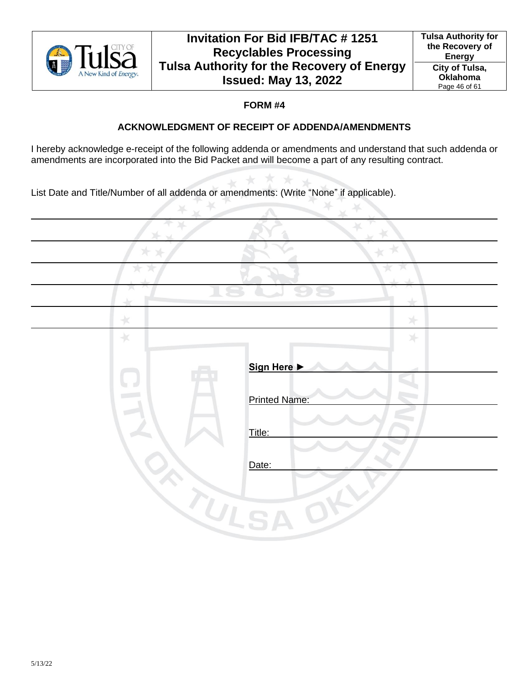

## **FORM #4**

## **ACKNOWLEDGMENT OF RECEIPT OF ADDENDA/AMENDMENTS**

I hereby acknowledge e-receipt of the following addenda or amendments and understand that such addenda or amendments are incorporated into the Bid Packet and will become a part of any resulting contract.

 $\sim$ 

 $\mathcal{C}_{\text{eff}}$ 

List Date and Title/Number of all addenda or amendments: (Write "None" if applicable).  $\rightarrow$ 

|               | $\Box$               |
|---------------|----------------------|
| $\star$       | 外                    |
| $\rightarrow$ |                      |
|               | Sign Here >          |
|               |                      |
|               | <b>Printed Name:</b> |
|               | Title:               |
|               |                      |
|               | Date:                |
|               |                      |
| UIS           |                      |
|               |                      |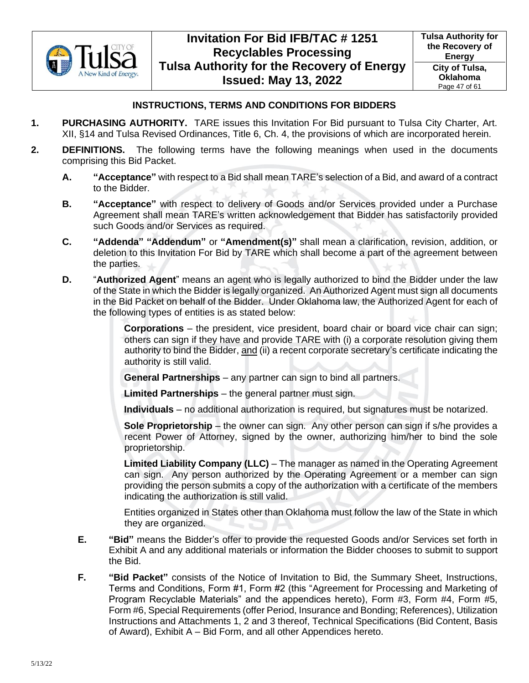

## **INSTRUCTIONS, TERMS AND CONDITIONS FOR BIDDERS**

- **1. PURCHASING AUTHORITY.** TARE issues this Invitation For Bid pursuant to Tulsa City Charter, Art. XII, §14 and Tulsa Revised Ordinances, Title 6, Ch. 4, the provisions of which are incorporated herein.
- **2. DEFINITIONS.** The following terms have the following meanings when used in the documents comprising this Bid Packet.
	- **A. "Acceptance"** with respect to a Bid shall mean TARE's selection of a Bid, and award of a contract to the Bidder.
	- **B. "Acceptance"** with respect to delivery of Goods and/or Services provided under a Purchase Agreement shall mean TARE's written acknowledgement that Bidder has satisfactorily provided such Goods and/or Services as required.
	- **C. "Addenda" "Addendum"** or **"Amendment(s)"** shall mean a clarification, revision, addition, or deletion to this Invitation For Bid by TARE which shall become a part of the agreement between the parties.
	- **D.** "**Authorized Agent**" means an agent who is legally authorized to bind the Bidder under the law of the State in which the Bidder is legally organized. An Authorized Agent must sign all documents in the Bid Packet on behalf of the Bidder. Under Oklahoma law, the Authorized Agent for each of the following types of entities is as stated below:

**Corporations** – the president, vice president, board chair or board vice chair can sign; others can sign if they have and provide TARE with (i) a corporate resolution giving them authority to bind the Bidder, and (ii) a recent corporate secretary's certificate indicating the authority is still valid.

**General Partnerships** – any partner can sign to bind all partners.

**Limited Partnerships** – the general partner must sign.

**Individuals** – no additional authorization is required, but signatures must be notarized.

**Sole Proprietorship** – the owner can sign. Any other person can sign if s/he provides a recent Power of Attorney, signed by the owner, authorizing him/her to bind the sole proprietorship.

**Limited Liability Company (LLC)** – The manager as named in the Operating Agreement can sign. Any person authorized by the Operating Agreement or a member can sign providing the person submits a copy of the authorization with a certificate of the members indicating the authorization is still valid.

Entities organized in States other than Oklahoma must follow the law of the State in which they are organized.

- **E. "Bid"** means the Bidder's offer to provide the requested Goods and/or Services set forth in Exhibit A and any additional materials or information the Bidder chooses to submit to support the Bid.
- **F. "Bid Packet"** consists of the Notice of Invitation to Bid, the Summary Sheet, Instructions, Terms and Conditions, Form #1, Form #2 (this "Agreement for Processing and Marketing of Program Recyclable Materials" and the appendices hereto), Form #3, Form #4, Form #5, Form #6, Special Requirements (offer Period, Insurance and Bonding; References), Utilization Instructions and Attachments 1, 2 and 3 thereof, Technical Specifications (Bid Content, Basis of Award), Exhibit A – Bid Form, and all other Appendices hereto.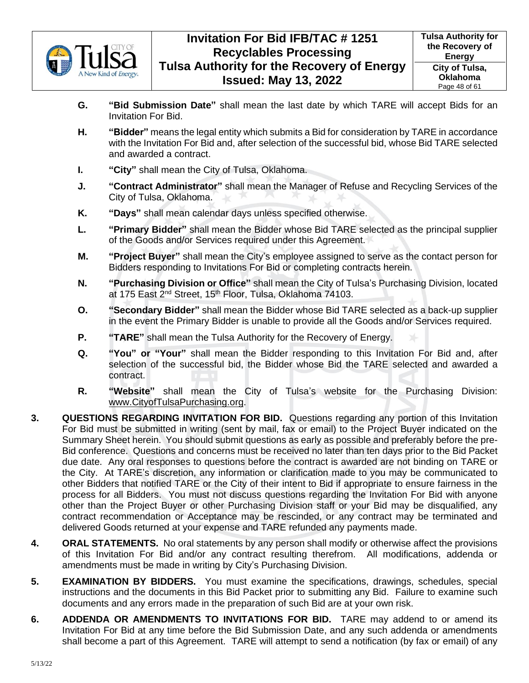

- **G. "Bid Submission Date"** shall mean the last date by which TARE will accept Bids for an Invitation For Bid.
- **H. "Bidder"** means the legal entity which submits a Bid for consideration by TARE in accordance with the Invitation For Bid and, after selection of the successful bid, whose Bid TARE selected and awarded a contract.
- **I. "City"** shall mean the City of Tulsa, Oklahoma.
- **J. "Contract Administrator"** shall mean the Manager of Refuse and Recycling Services of the City of Tulsa, Oklahoma.
- **K. "Days"** shall mean calendar days unless specified otherwise.
- **L. "Primary Bidder"** shall mean the Bidder whose Bid TARE selected as the principal supplier of the Goods and/or Services required under this Agreement.
- **M. "Project Buyer"** shall mean the City's employee assigned to serve as the contact person for Bidders responding to Invitations For Bid or completing contracts herein.
- **N. "Purchasing Division or Office"** shall mean the City of Tulsa's Purchasing Division, located at 175 East 2<sup>nd</sup> Street, 15<sup>th</sup> Floor, Tulsa, Oklahoma 74103.
- **O. "Secondary Bidder"** shall mean the Bidder whose Bid TARE selected as a back-up supplier in the event the Primary Bidder is unable to provide all the Goods and/or Services required.
- **P. "TARE"** shall mean the Tulsa Authority for the Recovery of Energy.
- **Q. "You" or "Your"** shall mean the Bidder responding to this Invitation For Bid and, after selection of the successful bid, the Bidder whose Bid the TARE selected and awarded a contract.
- **R. "Website"** shall mean the City of Tulsa's website for the Purchasing Division: [www.CityofTulsaPurchasing.org.](http://www.cityoftulsapurchasing.org/)
- **3. QUESTIONS REGARDING INVITATION FOR BID.** Questions regarding any portion of this Invitation For Bid must be submitted in writing (sent by mail, fax or email) to the Project Buyer indicated on the Summary Sheet herein. You should submit questions as early as possible and preferably before the pre-Bid conference. Questions and concerns must be received no later than ten days prior to the Bid Packet due date. Any oral responses to questions before the contract is awarded are not binding on TARE or the City. At TARE's discretion, any information or clarification made to you may be communicated to other Bidders that notified TARE or the City of their intent to Bid if appropriate to ensure fairness in the process for all Bidders. You must not discuss questions regarding the Invitation For Bid with anyone other than the Project Buyer or other Purchasing Division staff or your Bid may be disqualified, any contract recommendation or Acceptance may be rescinded, or any contract may be terminated and delivered Goods returned at your expense and TARE refunded any payments made.
- **4. ORAL STATEMENTS.** No oral statements by any person shall modify or otherwise affect the provisions of this Invitation For Bid and/or any contract resulting therefrom. All modifications, addenda or amendments must be made in writing by City's Purchasing Division.
- **5. EXAMINATION BY BIDDERS.** You must examine the specifications, drawings, schedules, special instructions and the documents in this Bid Packet prior to submitting any Bid. Failure to examine such documents and any errors made in the preparation of such Bid are at your own risk.
- **6. ADDENDA OR AMENDMENTS TO INVITATIONS FOR BID.** TARE may addend to or amend its Invitation For Bid at any time before the Bid Submission Date, and any such addenda or amendments shall become a part of this Agreement. TARE will attempt to send a notification (by fax or email) of any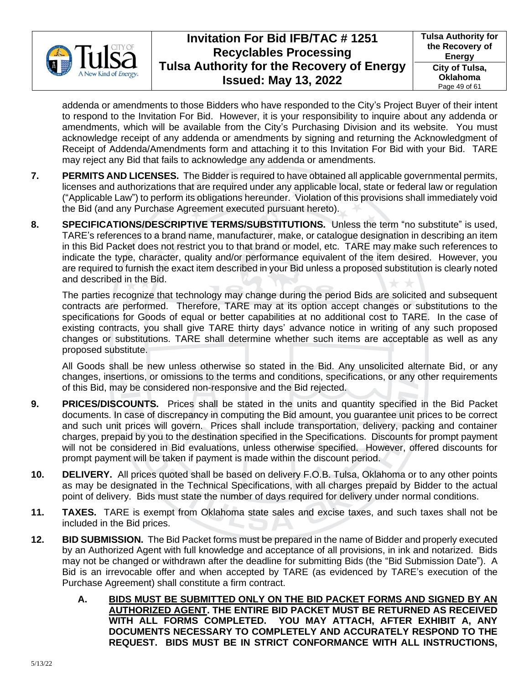

addenda or amendments to those Bidders who have responded to the City's Project Buyer of their intent to respond to the Invitation For Bid. However, it is your responsibility to inquire about any addenda or amendments, which will be available from the City's Purchasing Division and its website. You must acknowledge receipt of any addenda or amendments by signing and returning the Acknowledgment of Receipt of Addenda/Amendments form and attaching it to this Invitation For Bid with your Bid. TARE may reject any Bid that fails to acknowledge any addenda or amendments.

- **7. PERMITS AND LICENSES.** The Bidder is required to have obtained all applicable governmental permits, licenses and authorizations that are required under any applicable local, state or federal law or regulation ("Applicable Law") to perform its obligations hereunder. Violation of this provisions shall immediately void the Bid (and any Purchase Agreement executed pursuant hereto).
- **8. SPECIFICATIONS/DESCRIPTIVE TERMS/SUBSTITUTIONS.** Unless the term "no substitute" is used, TARE's references to a brand name, manufacturer, make, or catalogue designation in describing an item in this Bid Packet does not restrict you to that brand or model, etc. TARE may make such references to indicate the type, character, quality and/or performance equivalent of the item desired. However, you are required to furnish the exact item described in your Bid unless a proposed substitution is clearly noted and described in the Bid.

The parties recognize that technology may change during the period Bids are solicited and subsequent contracts are performed. Therefore, TARE may at its option accept changes or substitutions to the specifications for Goods of equal or better capabilities at no additional cost to TARE. In the case of existing contracts, you shall give TARE thirty days' advance notice in writing of any such proposed changes or substitutions. TARE shall determine whether such items are acceptable as well as any proposed substitute.

All Goods shall be new unless otherwise so stated in the Bid. Any unsolicited alternate Bid, or any changes, insertions, or omissions to the terms and conditions, specifications, or any other requirements of this Bid, may be considered non-responsive and the Bid rejected.

- **9. PRICES/DISCOUNTS.** Prices shall be stated in the units and quantity specified in the Bid Packet documents. In case of discrepancy in computing the Bid amount, you guarantee unit prices to be correct and such unit prices will govern. Prices shall include transportation, delivery, packing and container charges, prepaid by you to the destination specified in the Specifications. Discounts for prompt payment will not be considered in Bid evaluations, unless otherwise specified. However, offered discounts for prompt payment will be taken if payment is made within the discount period.
- **10. DELIVERY.** All prices quoted shall be based on delivery F.O.B. Tulsa, Oklahoma or to any other points as may be designated in the Technical Specifications, with all charges prepaid by Bidder to the actual point of delivery. Bids must state the number of days required for delivery under normal conditions.
- **11. TAXES.** TARE is exempt from Oklahoma state sales and excise taxes, and such taxes shall not be included in the Bid prices.
- **12. BID SUBMISSION.** The Bid Packet forms must be prepared in the name of Bidder and properly executed by an Authorized Agent with full knowledge and acceptance of all provisions, in ink and notarized. Bids may not be changed or withdrawn after the deadline for submitting Bids (the "Bid Submission Date"). A Bid is an irrevocable offer and when accepted by TARE (as evidenced by TARE's execution of the Purchase Agreement) shall constitute a firm contract.
	- **A. BIDS MUST BE SUBMITTED ONLY ON THE BID PACKET FORMS AND SIGNED BY AN AUTHORIZED AGENT. THE ENTIRE BID PACKET MUST BE RETURNED AS RECEIVED WITH ALL FORMS COMPLETED. YOU MAY ATTACH, AFTER EXHIBIT A, ANY DOCUMENTS NECESSARY TO COMPLETELY AND ACCURATELY RESPOND TO THE REQUEST. BIDS MUST BE IN STRICT CONFORMANCE WITH ALL INSTRUCTIONS,**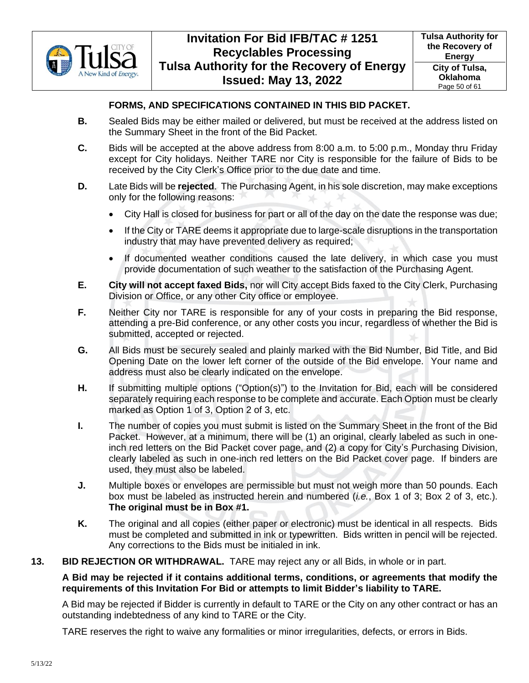

## **FORMS, AND SPECIFICATIONS CONTAINED IN THIS BID PACKET.**

- **B.** Sealed Bids may be either mailed or delivered, but must be received at the address listed on the Summary Sheet in the front of the Bid Packet.
- **C.** Bids will be accepted at the above address from 8:00 a.m. to 5:00 p.m., Monday thru Friday except for City holidays. Neither TARE nor City is responsible for the failure of Bids to be received by the City Clerk's Office prior to the due date and time.
- **D.** Late Bids will be **rejected**. The Purchasing Agent, in his sole discretion, may make exceptions only for the following reasons:
	- City Hall is closed for business for part or all of the day on the date the response was due;
	- If the City or TARE deems it appropriate due to large-scale disruptions in the transportation industry that may have prevented delivery as required;
	- If documented weather conditions caused the late delivery, in which case you must provide documentation of such weather to the satisfaction of the Purchasing Agent.
- **E. City will not accept faxed Bids,** nor will City accept Bids faxed to the City Clerk, Purchasing Division or Office, or any other City office or employee.
- **F.** Neither City nor TARE is responsible for any of your costs in preparing the Bid response, attending a pre-Bid conference, or any other costs you incur, regardless of whether the Bid is submitted, accepted or rejected.
- **G.** All Bids must be securely sealed and plainly marked with the Bid Number, Bid Title, and Bid Opening Date on the lower left corner of the outside of the Bid envelope. Your name and address must also be clearly indicated on the envelope.
- **H.** If submitting multiple options ("Option(s)") to the Invitation for Bid, each will be considered separately requiring each response to be complete and accurate. Each Option must be clearly marked as Option 1 of 3, Option 2 of 3, etc.
- **I.** The number of copies you must submit is listed on the Summary Sheet in the front of the Bid Packet. However, at a minimum, there will be (1) an original, clearly labeled as such in oneinch red letters on the Bid Packet cover page, and (2) a copy for City's Purchasing Division, clearly labeled as such in one-inch red letters on the Bid Packet cover page. If binders are used, they must also be labeled.
- **J.** Multiple boxes or envelopes are permissible but must not weigh more than 50 pounds. Each box must be labeled as instructed herein and numbered (*i.e.*, Box 1 of 3; Box 2 of 3, etc.). **The original must be in Box #1.**
- **K.** The original and all copies (either paper or electronic) must be identical in all respects. Bids must be completed and submitted in ink or typewritten. Bids written in pencil will be rejected. Any corrections to the Bids must be initialed in ink.
- **13. BID REJECTION OR WITHDRAWAL.** TARE may reject any or all Bids, in whole or in part.

### **A Bid may be rejected if it contains additional terms, conditions, or agreements that modify the requirements of this Invitation For Bid or attempts to limit Bidder's liability to TARE.**

A Bid may be rejected if Bidder is currently in default to TARE or the City on any other contract or has an outstanding indebtedness of any kind to TARE or the City.

TARE reserves the right to waive any formalities or minor irregularities, defects, or errors in Bids.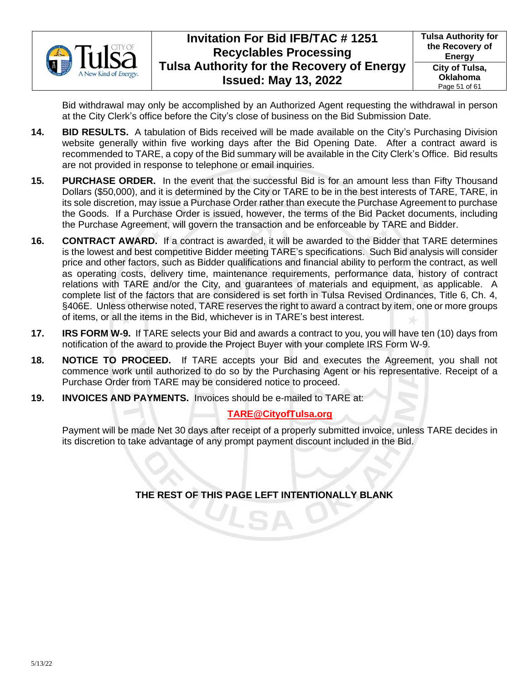

Bid withdrawal may only be accomplished by an Authorized Agent requesting the withdrawal in person at the City Clerk's office before the City's close of business on the Bid Submission Date.

- **14. BID RESULTS.** A tabulation of Bids received will be made available on the City's Purchasing Division website generally within five working days after the Bid Opening Date. After a contract award is recommended to TARE, a copy of the Bid summary will be available in the City Clerk's Office. Bid results are not provided in response to telephone or email inquiries.
- **15. PURCHASE ORDER.** In the event that the successful Bid is for an amount less than Fifty Thousand Dollars (\$50,000), and it is determined by the City or TARE to be in the best interests of TARE, TARE, in its sole discretion, may issue a Purchase Order rather than execute the Purchase Agreement to purchase the Goods. If a Purchase Order is issued, however, the terms of the Bid Packet documents, including the Purchase Agreement, will govern the transaction and be enforceable by TARE and Bidder.
- **16. CONTRACT AWARD.** If a contract is awarded, it will be awarded to the Bidder that TARE determines is the lowest and best competitive Bidder meeting TARE's specifications. Such Bid analysis will consider price and other factors, such as Bidder qualifications and financial ability to perform the contract, as well as operating costs, delivery time, maintenance requirements, performance data, history of contract relations with TARE and/or the City, and guarantees of materials and equipment, as applicable. A complete list of the factors that are considered is set forth in Tulsa Revised Ordinances, Title 6, Ch. 4, §406E. Unless otherwise noted, TARE reserves the right to award a contract by item, one or more groups of items, or all the items in the Bid, whichever is in TARE's best interest.
- **17. IRS FORM W-9.** If TARE selects your Bid and awards a contract to you, you will have ten (10) days from notification of the award to provide the Project Buyer with your complete IRS Form W-9.
- **18. NOTICE TO PROCEED.** If TARE accepts your Bid and executes the Agreement, you shall not commence work until authorized to do so by the Purchasing Agent or his representative. Receipt of a Purchase Order from TARE may be considered notice to proceed.
- **19. INVOICES AND PAYMENTS.** Invoices should be e-mailed to TARE at:

## **TARE@CityofTulsa.org**

Payment will be made Net 30 days after receipt of a properly submitted invoice, unless TARE decides in its discretion to take advantage of any prompt payment discount included in the Bid.

**THE REST OF THIS PAGE LEFT INTENTIONALLY BLANK**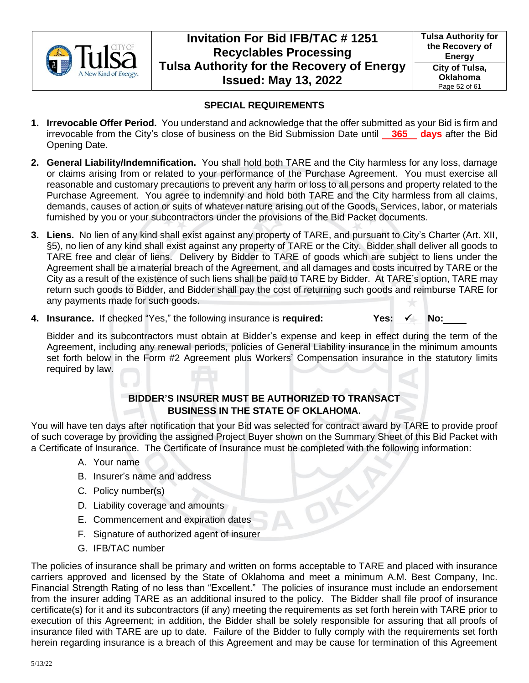

**Tulsa Authority for the Recovery of Energy City of Tulsa, Oklahoma** Page 52 of 61

## **SPECIAL REQUIREMENTS**

- **1. Irrevocable Offer Period.** You understand and acknowledge that the offer submitted as your Bid is firm and irrevocable from the City's close of business on the Bid Submission Date until **365 days** after the Bid Opening Date.
- **2. General Liability/Indemnification.** You shall hold both TARE and the City harmless for any loss, damage or claims arising from or related to your performance of the Purchase Agreement. You must exercise all reasonable and customary precautions to prevent any harm or loss to all persons and property related to the Purchase Agreement. You agree to indemnify and hold both TARE and the City harmless from all claims, demands, causes of action or suits of whatever nature arising out of the Goods, Services, labor, or materials furnished by you or your subcontractors under the provisions of the Bid Packet documents.
- **3. Liens.** No lien of any kind shall exist against any property of TARE, and pursuant to City's Charter (Art. XII, §5), no lien of any kind shall exist against any property of TARE or the City. Bidder shall deliver all goods to TARE free and clear of liens. Delivery by Bidder to TARE of goods which are subject to liens under the Agreement shall be a material breach of the Agreement, and all damages and costs incurred by TARE or the City as a result of the existence of such liens shall be paid to TARE by Bidder. At TARE's option, TARE may return such goods to Bidder, and Bidder shall pay the cost of returning such goods and reimburse TARE for any payments made for such goods.
- **4. Insurance.** If checked "Yes," the following insurance is **required: Yes:** ✓ **No:**

Bidder and its subcontractors must obtain at Bidder's expense and keep in effect during the term of the Agreement, including any renewal periods, policies of General Liability insurance in the minimum amounts set forth below in the Form #2 Agreement plus Workers' Compensation insurance in the statutory limits required by law.

## **BIDDER'S INSURER MUST BE AUTHORIZED TO TRANSACT BUSINESS IN THE STATE OF OKLAHOMA.**

You will have ten days after notification that your Bid was selected for contract award by TARE to provide proof of such coverage by providing the assigned Project Buyer shown on the Summary Sheet of this Bid Packet with a Certificate of Insurance. The Certificate of Insurance must be completed with the following information:

- A. Your name
- B. Insurer's name and address
- C. Policy number(s)
- D. Liability coverage and amounts
- E. Commencement and expiration dates
- F. Signature of authorized agent of insurer
- G. IFB/TAC number

The policies of insurance shall be primary and written on forms acceptable to TARE and placed with insurance carriers approved and licensed by the State of Oklahoma and meet a minimum A.M. Best Company, Inc. Financial Strength Rating of no less than "Excellent." The policies of insurance must include an endorsement from the insurer adding TARE as an additional insured to the policy. The Bidder shall file proof of insurance certificate(s) for it and its subcontractors (if any) meeting the requirements as set forth herein with TARE prior to execution of this Agreement; in addition, the Bidder shall be solely responsible for assuring that all proofs of insurance filed with TARE are up to date. Failure of the Bidder to fully comply with the requirements set forth herein regarding insurance is a breach of this Agreement and may be cause for termination of this Agreement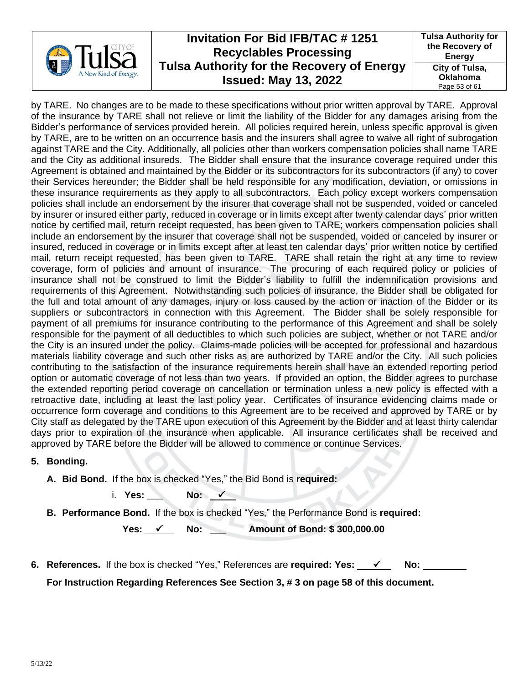

**Tulsa Authority for the Recovery of Energy City of Tulsa, Oklahoma** Page 53 of 61

by TARE. No changes are to be made to these specifications without prior written approval by TARE. Approval of the insurance by TARE shall not relieve or limit the liability of the Bidder for any damages arising from the Bidder's performance of services provided herein. All policies required herein, unless specific approval is given by TARE, are to be written on an occurrence basis and the insurers shall agree to waive all right of subrogation against TARE and the City. Additionally, all policies other than workers compensation policies shall name TARE and the City as additional insureds. The Bidder shall ensure that the insurance coverage required under this Agreement is obtained and maintained by the Bidder or its subcontractors for its subcontractors (if any) to cover their Services hereunder; the Bidder shall be held responsible for any modification, deviation, or omissions in these insurance requirements as they apply to all subcontractors. Each policy except workers compensation policies shall include an endorsement by the insurer that coverage shall not be suspended, voided or canceled by insurer or insured either party, reduced in coverage or in limits except after twenty calendar days' prior written notice by certified mail, return receipt requested, has been given to TARE; workers compensation policies shall include an endorsement by the insurer that coverage shall not be suspended, voided or canceled by insurer or insured, reduced in coverage or in limits except after at least ten calendar days' prior written notice by certified mail, return receipt requested, has been given to TARE. TARE shall retain the right at any time to review coverage, form of policies and amount of insurance. The procuring of each required policy or policies of insurance shall not be construed to limit the Bidder's liability to fulfill the indemnification provisions and requirements of this Agreement. Notwithstanding such policies of insurance, the Bidder shall be obligated for the full and total amount of any damages, injury or loss caused by the action or inaction of the Bidder or its suppliers or subcontractors in connection with this Agreement. The Bidder shall be solely responsible for payment of all premiums for insurance contributing to the performance of this Agreement and shall be solely responsible for the payment of all deductibles to which such policies are subject, whether or not TARE and/or the City is an insured under the policy. Claims-made policies will be accepted for professional and hazardous materials liability coverage and such other risks as are authorized by TARE and/or the City. All such policies contributing to the satisfaction of the insurance requirements herein shall have an extended reporting period option or automatic coverage of not less than two years. If provided an option, the Bidder agrees to purchase the extended reporting period coverage on cancellation or termination unless a new policy is effected with a retroactive date, including at least the last policy year. Certificates of insurance evidencing claims made or occurrence form coverage and conditions to this Agreement are to be received and approved by TARE or by City staff as delegated by the TARE upon execution of this Agreement by the Bidder and at least thirty calendar days prior to expiration of the insurance when applicable. All insurance certificates shall be received and approved by TARE before the Bidder will be allowed to commence or continue Services.

### **5. Bonding.**

- **A. Bid Bond.** If the box is checked "Yes," the Bid Bond is **required:** 
	- i. **Yes: \_\_\_ No:** ✓
- **B. Performance Bond.** If the box is checked "Yes," the Performance Bond is **required:**

 **Yes:** ✓ **No: \_\_\_ Amount of Bond: \$ 300,000.00**

**6. References.** If the box is checked "Yes," References are **required: Yes:** ✓ **No:** 

**For Instruction Regarding References See Section 3, # 3 on page 58 of this document.**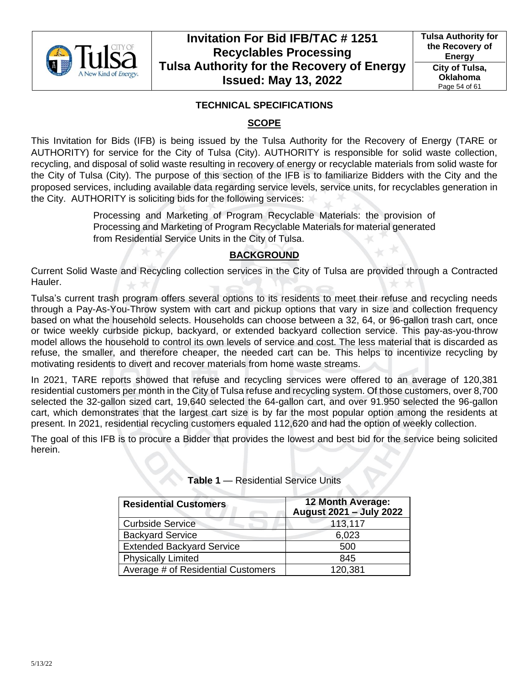

## **TECHNICAL SPECIFICATIONS**

## **SCOPE**

This Invitation for Bids (IFB) is being issued by the Tulsa Authority for the Recovery of Energy (TARE or AUTHORITY) for service for the City of Tulsa (City). AUTHORITY is responsible for solid waste collection, recycling, and disposal of solid waste resulting in recovery of energy or recyclable materials from solid waste for the City of Tulsa (City). The purpose of this section of the IFB is to familiarize Bidders with the City and the proposed services, including available data regarding service levels, service units, for recyclables generation in the City. AUTHORITY is soliciting bids for the following services:

> Processing and Marketing of Program Recyclable Materials: the provision of Processing and Marketing of Program Recyclable Materials for material generated from Residential Service Units in the City of Tulsa.

## **BACKGROUND**

Current Solid Waste and Recycling collection services in the City of Tulsa are provided through a Contracted Hauler.

Tulsa's current trash program offers several options to its residents to meet their refuse and recycling needs through a Pay-As-You-Throw system with cart and pickup options that vary in size and collection frequency based on what the household selects. Households can choose between a 32, 64, or 96-gallon trash cart, once or twice weekly curbside pickup, backyard, or extended backyard collection service. This pay-as-you-throw model allows the household to control its own levels of service and cost. The less material that is discarded as refuse, the smaller, and therefore cheaper, the needed cart can be. This helps to incentivize recycling by motivating residents to divert and recover materials from home waste streams.

In 2021, TARE reports showed that refuse and recycling services were offered to an average of 120,381 residential customers per month in the City of Tulsa refuse and recycling system. Of those customers, over 8,700 selected the 32-gallon sized cart, 19,640 selected the 64-gallon cart, and over 91.950 selected the 96-gallon cart, which demonstrates that the largest cart size is by far the most popular option among the residents at present. In 2021, residential recycling customers equaled 112,620 and had the option of weekly collection.

The goal of this IFB is to procure a Bidder that provides the lowest and best bid for the service being solicited herein.

| <b>Residential Customers</b>       | 12 Month Average:<br>August 2021 - July 2022 |
|------------------------------------|----------------------------------------------|
| <b>Curbside Service</b>            | 113,117                                      |
| <b>Backyard Service</b>            | 6,023                                        |
| <b>Extended Backyard Service</b>   | 500                                          |
| <b>Physically Limited</b>          | 845                                          |
| Average # of Residential Customers | 120,381                                      |

**Table 1** — Residential Service Units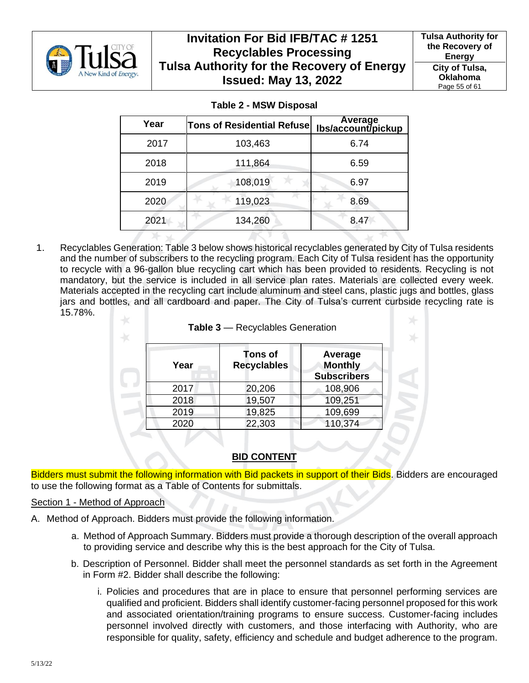

**Tulsa Authority for the Recovery of Energy City of Tulsa, Oklahoma** Page 55 of 61

| Year | <b>Tons of Residential Refuse</b> | Average<br>Ibs/account/pickup |
|------|-----------------------------------|-------------------------------|
| 2017 | 103,463                           | 6.74                          |
| 2018 | 111,864                           | 6.59                          |
| 2019 | 108,019                           | 6.97                          |
| 2020 | 119,023                           | 8.69                          |
| 2021 | 134,260                           | 8.47                          |

**Table 2 - MSW Disposal**

1. Recyclables Generation: Table 3 below shows historical recyclables generated by City of Tulsa residents and the number of subscribers to the recycling program. Each City of Tulsa resident has the opportunity to recycle with a 96-gallon blue recycling cart which has been provided to residents. Recycling is not mandatory, but the service is included in all service plan rates. Materials are collected every week. Materials accepted in the recycling cart include aluminum and steel cans, plastic jugs and bottles, glass jars and bottles, and all cardboard and paper. The City of Tulsa's current curbside recycling rate is 15.78%.

| Tons of<br>Average<br><b>Monthly</b><br><b>Recyclables</b><br>Year<br><b>Subscribers</b><br>20,206<br>108,906<br>2017<br>109,251<br>19,507<br>2018 |
|----------------------------------------------------------------------------------------------------------------------------------------------------|
|                                                                                                                                                    |
|                                                                                                                                                    |
|                                                                                                                                                    |
| 19,825<br>109,699<br>2019                                                                                                                          |
| 110,374<br>22,303<br>2020                                                                                                                          |

## **BID CONTENT**

Bidders must submit the following information with Bid packets in support of their Bids. Bidders are encouraged to use the following format as a Table of Contents for submittals.

### Section 1 - Method of Approach

- A. Method of Approach. Bidders must provide the following information.
	- a. Method of Approach Summary. Bidders must provide a thorough description of the overall approach to providing service and describe why this is the best approach for the City of Tulsa.
	- b. Description of Personnel. Bidder shall meet the personnel standards as set forth in the Agreement in Form #2. Bidder shall describe the following:
		- i. Policies and procedures that are in place to ensure that personnel performing services are qualified and proficient. Bidders shall identify customer-facing personnel proposed for this work and associated orientation/training programs to ensure success. Customer-facing includes personnel involved directly with customers, and those interfacing with Authority, who are responsible for quality, safety, efficiency and schedule and budget adherence to the program.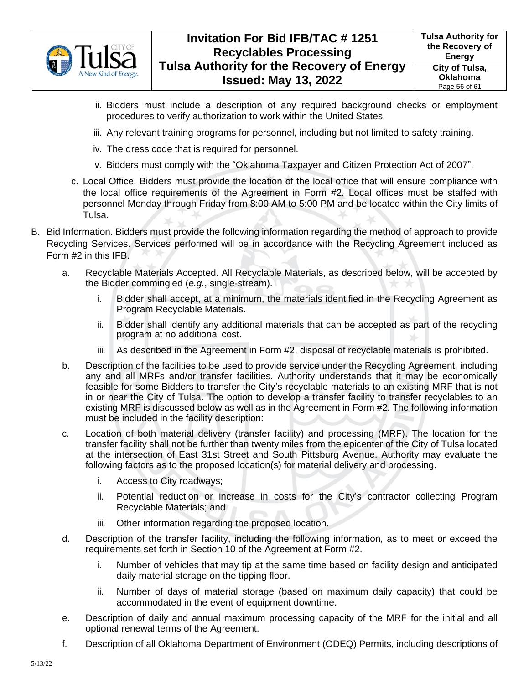

- ii. Bidders must include a description of any required background checks or employment procedures to verify authorization to work within the United States.
- iii. Any relevant training programs for personnel, including but not limited to safety training.
- iv. The dress code that is required for personnel.
- v. Bidders must comply with the "Oklahoma Taxpayer and Citizen Protection Act of 2007".
- c. Local Office. Bidders must provide the location of the local office that will ensure compliance with the local office requirements of the Agreement in Form #2. Local offices must be staffed with personnel Monday through Friday from 8:00 AM to 5:00 PM and be located within the City limits of Tulsa.
- B. Bid Information. Bidders must provide the following information regarding the method of approach to provide Recycling Services. Services performed will be in accordance with the Recycling Agreement included as Form #2 in this IFB.
	- a. Recyclable Materials Accepted. All Recyclable Materials, as described below, will be accepted by the Bidder commingled (*e.g.*, single-stream).
		- i. Bidder shall accept, at a minimum, the materials identified in the Recycling Agreement as Program Recyclable Materials.
		- ii. Bidder shall identify any additional materials that can be accepted as part of the recycling program at no additional cost.
		- iii. As described in the Agreement in Form #2, disposal of recyclable materials is prohibited.
	- b. Description of the facilities to be used to provide service under the Recycling Agreement, including any and all MRFs and/or transfer facilities. Authority understands that it may be economically feasible for some Bidders to transfer the City's recyclable materials to an existing MRF that is not in or near the City of Tulsa. The option to develop a transfer facility to transfer recyclables to an existing MRF is discussed below as well as in the Agreement in Form #2. The following information must be included in the facility description:
	- c. Location of both material delivery (transfer facility) and processing (MRF). The location for the transfer facility shall not be further than twenty miles from the epicenter of the City of Tulsa located at the intersection of East 31st Street and South Pittsburg Avenue. Authority may evaluate the following factors as to the proposed location(s) for material delivery and processing.
		- i. Access to City roadways;
		- ii. Potential reduction or increase in costs for the City's contractor collecting Program Recyclable Materials; and
		- iii. Other information regarding the proposed location.
	- d. Description of the transfer facility, including the following information, as to meet or exceed the requirements set forth in Section 10 of the Agreement at Form #2.
		- i. Number of vehicles that may tip at the same time based on facility design and anticipated daily material storage on the tipping floor.
		- ii. Number of days of material storage (based on maximum daily capacity) that could be accommodated in the event of equipment downtime.
	- e. Description of daily and annual maximum processing capacity of the MRF for the initial and all optional renewal terms of the Agreement.
	- f. Description of all Oklahoma Department of Environment (ODEQ) Permits, including descriptions of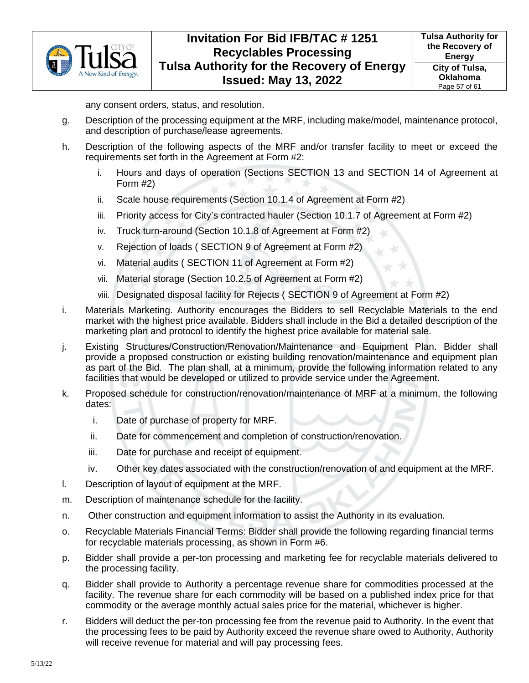

any consent orders, status, and resolution.

- g. Description of the processing equipment at the MRF, including make/model, maintenance protocol, and description of purchase/lease agreements.
- h. Description of the following aspects of the MRF and/or transfer facility to meet or exceed the requirements set forth in the Agreement at Form #2:
	- i. Hours and days of operation (Sections [SECTION 13](#page-21-0) and [SECTION 14](#page-21-3) of Agreement at Form #2)
	- ii. Scale house requirements (Section [10.1.4](#page-17-2) of Agreement at Form #2)
	- iii. Priority access for City's contracted hauler (Section [10.1.7](#page-18-1) of Agreement at Form #2)
	- iv. Truck turn-around (Section [10.1.8](#page-18-2) of Agreement at Form #2)
	- v. Rejection of loads ( [SECTION 9](#page-15-0) of Agreement at Form #2)
	- vi. Material audits ( [SECTION 11](#page-20-0) of Agreement at Form #2)
	- vii. Material storage (Section [10.2.5](#page-19-5) of Agreement at Form #2)
	- viii. Designated disposal facility for Rejects ( [SECTION 9](#page-15-0) of Agreement at Form #2)
- i. Materials Marketing. Authority encourages the Bidders to sell Recyclable Materials to the end market with the highest price available. Bidders shall include in the Bid a detailed description of the marketing plan and protocol to identify the highest price available for material sale.
- j. Existing Structures/Construction/Renovation/Maintenance and Equipment Plan. Bidder shall provide a proposed construction or existing building renovation/maintenance and equipment plan as part of the Bid. The plan shall, at a minimum, provide the following information related to any facilities that would be developed or utilized to provide service under the Agreement.
- k. Proposed schedule for construction/renovation/maintenance of MRF at a minimum, the following dates:
	- i. Date of purchase of property for MRF.
	- ii. Date for commencement and completion of construction/renovation.
	- iii. Date for purchase and receipt of equipment.
	- iv. Other key dates associated with the construction/renovation of and equipment at the MRF.
- l. Description of layout of equipment at the MRF.
- m. Description of maintenance schedule for the facility.
- n. Other construction and equipment information to assist the Authority in its evaluation.
- o. Recyclable Materials Financial Terms: Bidder shall provide the following regarding financial terms for recyclable materials processing, as shown in Form #6.
- p. Bidder shall provide a per-ton processing and marketing fee for recyclable materials delivered to the processing facility.
- q. Bidder shall provide to Authority a percentage revenue share for commodities processed at the facility. The revenue share for each commodity will be based on a published index price for that commodity or the average monthly actual sales price for the material, whichever is higher.
- r. Bidders will deduct the per-ton processing fee from the revenue paid to Authority. In the event that the processing fees to be paid by Authority exceed the revenue share owed to Authority, Authority will receive revenue for material and will pay processing fees.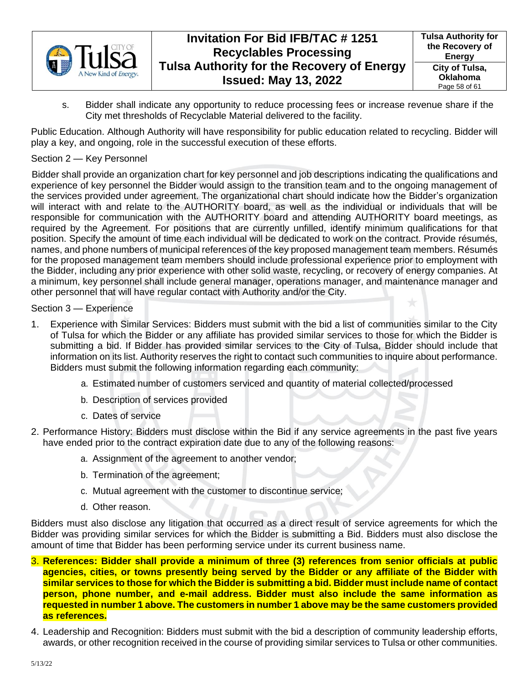

s. Bidder shall indicate any opportunity to reduce processing fees or increase revenue share if the City met thresholds of Recyclable Material delivered to the facility.

Public Education. Although Authority will have responsibility for public education related to recycling. Bidder will play a key, and ongoing, role in the successful execution of these efforts.

## Section 2 — Key Personnel

Bidder shall provide an organization chart for key personnel and job descriptions indicating the qualifications and experience of key personnel the Bidder would assign to the transition team and to the ongoing management of the services provided under agreement. The organizational chart should indicate how the Bidder's organization will interact with and relate to the AUTHORITY board, as well as the individual or individuals that will be responsible for communication with the AUTHORITY board and attending AUTHORITY board meetings, as required by the Agreement. For positions that are currently unfilled, identify minimum qualifications for that position. Specify the amount of time each individual will be dedicated to work on the contract. Provide résumés, names, and phone numbers of municipal references of the key proposed management team members. Résumés for the proposed management team members should include professional experience prior to employment with the Bidder, including any prior experience with other solid waste, recycling, or recovery of energy companies. At a minimum, key personnel shall include general manager, operations manager, and maintenance manager and other personnel that will have regular contact with Authority and/or the City.

### Section 3 — Experience

- 1. Experience with Similar Services: Bidders must submit with the bid a list of communities similar to the City of Tulsa for which the Bidder or any affiliate has provided similar services to those for which the Bidder is submitting a bid. If Bidder has provided similar services to the City of Tulsa, Bidder should include that information on its list. Authority reserves the right to contact such communities to inquire about performance. Bidders must submit the following information regarding each community:
	- a. Estimated number of customers serviced and quantity of material collected/processed
	- b. Description of services provided
	- c. Dates of service
- 2. Performance History: Bidders must disclose within the Bid if any service agreements in the past five years have ended prior to the contract expiration date due to any of the following reasons:
	- a. Assignment of the agreement to another vendor;
	- b. Termination of the agreement;
	- c. Mutual agreement with the customer to discontinue service;
	- d. Other reason.

Bidders must also disclose any litigation that occurred as a direct result of service agreements for which the Bidder was providing similar services for which the Bidder is submitting a Bid. Bidders must also disclose the amount of time that Bidder has been performing service under its current business name.

- 3. **References: Bidder shall provide a minimum of three (3) references from senior officials at public agencies, cities, or towns presently being served by the Bidder or any affiliate of the Bidder with similar services to those for which the Bidder is submitting a bid. Bidder must include name of contact person, phone number, and e-mail address. Bidder must also include the same information as requested in number 1 above. The customers in number 1 above may be the same customers provided as references.**
- 4. Leadership and Recognition: Bidders must submit with the bid a description of community leadership efforts, awards, or other recognition received in the course of providing similar services to Tulsa or other communities.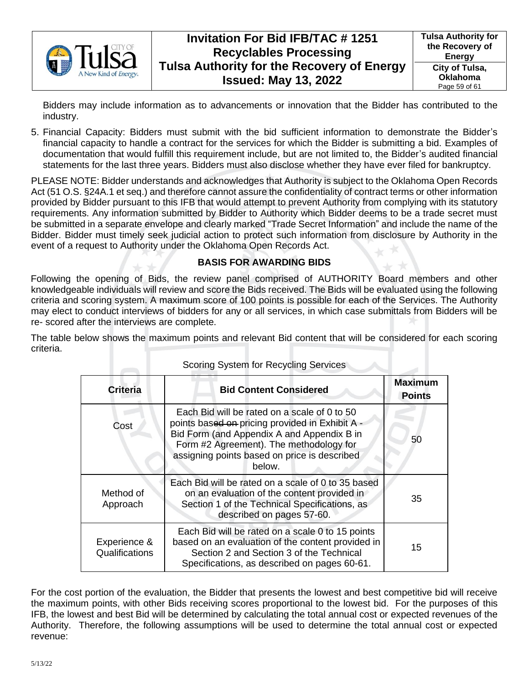

Bidders may include information as to advancements or innovation that the Bidder has contributed to the industry.

5. Financial Capacity: Bidders must submit with the bid sufficient information to demonstrate the Bidder's financial capacity to handle a contract for the services for which the Bidder is submitting a bid. Examples of documentation that would fulfill this requirement include, but are not limited to, the Bidder's audited financial statements for the last three years. Bidders must also disclose whether they have ever filed for bankruptcy.

PLEASE NOTE: Bidder understands and acknowledges that Authority is subject to the Oklahoma Open Records Act (51 O.S. §24A.1 et seq.) and therefore cannot assure the confidentiality of contract terms or other information provided by Bidder pursuant to this IFB that would attempt to prevent Authority from complying with its statutory requirements. Any information submitted by Bidder to Authority which Bidder deems to be a trade secret must be submitted in a separate envelope and clearly marked "Trade Secret Information" and include the name of the Bidder. Bidder must timely seek judicial action to protect such information from disclosure by Authority in the event of a request to Authority under the Oklahoma Open Records Act.

## **BASIS FOR AWARDING BIDS**

Following the opening of Bids, the review panel comprised of AUTHORITY Board members and other knowledgeable individuals will review and score the Bids received. The Bids will be evaluated using the following criteria and scoring system. A maximum score of 100 points is possible for each of the Services. The Authority may elect to conduct interviews of bidders for any or all services, in which case submittals from Bidders will be re- scored after the interviews are complete.

The table below shows the maximum points and relevant Bid content that will be considered for each scoring criteria.

| <b>Criteria</b>                | <b>Bid Content Considered</b>                                                                                                                                                                                                                      | <b>Maximum</b><br><b>Points</b> |  |  |
|--------------------------------|----------------------------------------------------------------------------------------------------------------------------------------------------------------------------------------------------------------------------------------------------|---------------------------------|--|--|
| Cost                           | Each Bid will be rated on a scale of 0 to 50<br>points based on pricing provided in Exhibit A -<br>Bid Form (and Appendix A and Appendix B in<br>Form #2 Agreement). The methodology for<br>assigning points based on price is described<br>below. | 50                              |  |  |
| Method of<br>Approach          | Each Bid will be rated on a scale of 0 to 35 based<br>on an evaluation of the content provided in<br>Section 1 of the Technical Specifications, as<br>described on pages 57-60.                                                                    | 35                              |  |  |
| Experience &<br>Qualifications | Each Bid will be rated on a scale 0 to 15 points<br>based on an evaluation of the content provided in<br>Section 2 and Section 3 of the Technical<br>Specifications, as described on pages 60-61.                                                  | 15                              |  |  |

Scoring System for Recycling Services

For the cost portion of the evaluation, the Bidder that presents the lowest and best competitive bid will receive the maximum points, with other Bids receiving scores proportional to the lowest bid. For the purposes of this IFB, the lowest and best Bid will be determined by calculating the total annual cost or expected revenues of the Authority. Therefore, the following assumptions will be used to determine the total annual cost or expected revenue: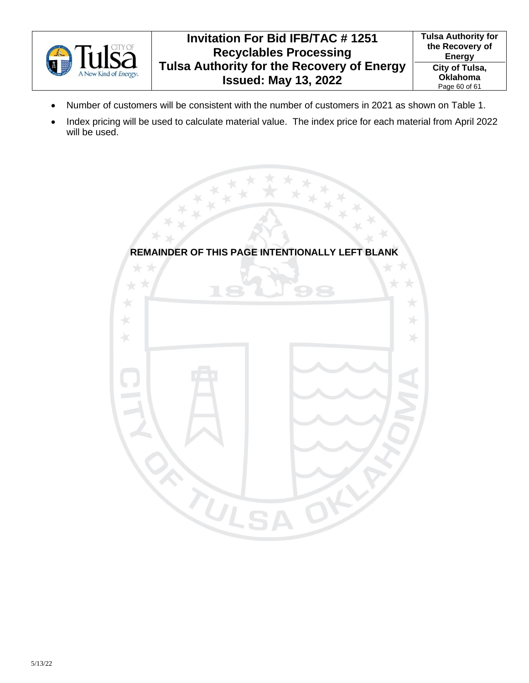

- Number of customers will be consistent with the number of customers in 2021 as shown on Table 1.
- Index pricing will be used to calculate material value. The index price for each material from April 2022 will be used.